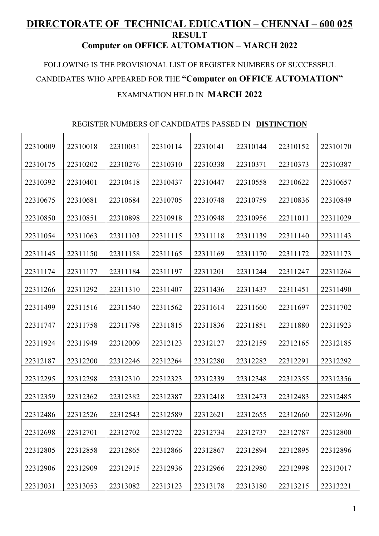## **DIRECTORATE OF TECHNICAL EDUCATION – CHENNAI – 600 025 RESULT Computer on OFFICE AUTOMATION – MARCH 2022**

## FOLLOWING IS THE PROVISIONAL LIST OF REGISTER NUMBERS OF SUCCESSFUL CANDIDATES WHO APPEARED FOR THE **"Computer on OFFICE AUTOMATION"** EXAMINATION HELD IN **MARCH 2022**

## REGISTER NUMBERS OF CANDIDATES PASSED IN **DISTINCTION**

| 22310009 | 22310018 | 22310031 | 22310114 | 22310141 | 22310144 | 22310152 | 22310170 |
|----------|----------|----------|----------|----------|----------|----------|----------|
| 22310175 | 22310202 | 22310276 | 22310310 | 22310338 | 22310371 | 22310373 | 22310387 |
| 22310392 | 22310401 | 22310418 | 22310437 | 22310447 | 22310558 | 22310622 | 22310657 |
| 22310675 | 22310681 | 22310684 | 22310705 | 22310748 | 22310759 | 22310836 | 22310849 |
| 22310850 | 22310851 | 22310898 | 22310918 | 22310948 | 22310956 | 22311011 | 22311029 |
| 22311054 | 22311063 | 22311103 | 22311115 | 22311118 | 22311139 | 22311140 | 22311143 |
| 22311145 | 22311150 | 22311158 | 22311165 | 22311169 | 22311170 | 22311172 | 22311173 |
| 22311174 | 22311177 | 22311184 | 22311197 | 22311201 | 22311244 | 22311247 | 22311264 |
| 22311266 | 22311292 | 22311310 | 22311407 | 22311436 | 22311437 | 22311451 | 22311490 |
| 22311499 | 22311516 | 22311540 | 22311562 | 22311614 | 22311660 | 22311697 | 22311702 |
| 22311747 | 22311758 | 22311798 | 22311815 | 22311836 | 22311851 | 22311880 | 22311923 |
| 22311924 | 22311949 | 22312009 | 22312123 | 22312127 | 22312159 | 22312165 | 22312185 |
|          |          |          |          |          |          |          |          |
| 22312187 | 22312200 | 22312246 | 22312264 | 22312280 | 22312282 | 22312291 | 22312292 |
| 22312295 | 22312298 | 22312310 | 22312323 | 22312339 | 22312348 | 22312355 | 22312356 |
| 22312359 | 22312362 | 22312382 | 22312387 | 22312418 | 22312473 | 22312483 | 22312485 |
| 22312486 | 22312526 | 22312543 | 22312589 | 22312621 | 22312655 | 22312660 | 22312696 |
| 22312698 | 22312701 | 22312702 | 22312722 | 22312734 | 22312737 | 22312787 | 22312800 |
| 22312805 | 22312858 | 22312865 | 22312866 | 22312867 | 22312894 | 22312895 | 22312896 |
| 22312906 | 22312909 | 22312915 | 22312936 | 22312966 | 22312980 | 22312998 | 22313017 |
| 22313031 | 22313053 | 22313082 | 22313123 | 22313178 | 22313180 | 22313215 | 22313221 |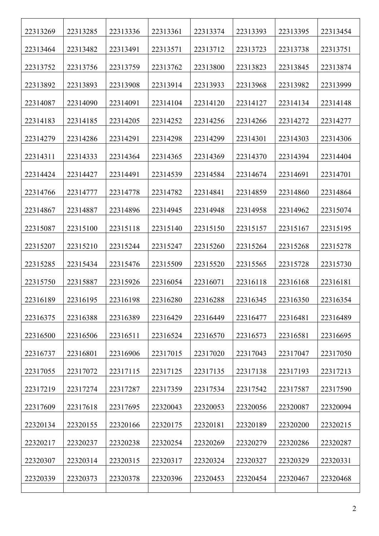| 22313269 | 22313285 | 22313336 | 22313361 | 22313374 | 22313393 | 22313395 | 22313454 |
|----------|----------|----------|----------|----------|----------|----------|----------|
| 22313464 | 22313482 | 22313491 | 22313571 | 22313712 | 22313723 | 22313738 | 22313751 |
| 22313752 | 22313756 | 22313759 | 22313762 | 22313800 | 22313823 | 22313845 | 22313874 |
| 22313892 | 22313893 | 22313908 | 22313914 | 22313933 | 22313968 | 22313982 | 22313999 |
| 22314087 | 22314090 | 22314091 | 22314104 | 22314120 | 22314127 | 22314134 | 22314148 |
| 22314183 | 22314185 | 22314205 | 22314252 | 22314256 | 22314266 | 22314272 | 22314277 |
| 22314279 | 22314286 | 22314291 | 22314298 | 22314299 | 22314301 | 22314303 | 22314306 |
| 22314311 | 22314333 | 22314364 | 22314365 | 22314369 | 22314370 | 22314394 | 22314404 |
| 22314424 | 22314427 | 22314491 | 22314539 | 22314584 | 22314674 | 22314691 | 22314701 |
| 22314766 | 22314777 | 22314778 | 22314782 | 22314841 | 22314859 | 22314860 | 22314864 |
| 22314867 | 22314887 | 22314896 | 22314945 | 22314948 | 22314958 | 22314962 | 22315074 |
| 22315087 | 22315100 | 22315118 | 22315140 | 22315150 | 22315157 | 22315167 | 22315195 |
| 22315207 | 22315210 | 22315244 | 22315247 | 22315260 | 22315264 | 22315268 | 22315278 |
| 22315285 | 22315434 | 22315476 | 22315509 | 22315520 | 22315565 | 22315728 | 22315730 |
| 22315750 | 22315887 | 22315926 | 22316054 | 22316071 | 22316118 | 22316168 | 22316181 |
| 22316189 | 22316195 | 22316198 | 22316280 | 22316288 | 22316345 | 22316350 | 22316354 |
| 22316375 | 22316388 | 22316389 | 22316429 | 22316449 | 22316477 | 22316481 | 22316489 |
| 22316500 | 22316506 | 22316511 | 22316524 | 22316570 | 22316573 | 22316581 | 22316695 |
| 22316737 | 22316801 | 22316906 | 22317015 | 22317020 | 22317043 | 22317047 | 22317050 |
| 22317055 | 22317072 | 22317115 | 22317125 | 22317135 | 22317138 | 22317193 | 22317213 |
| 22317219 | 22317274 | 22317287 | 22317359 | 22317534 | 22317542 | 22317587 | 22317590 |
| 22317609 | 22317618 | 22317695 | 22320043 | 22320053 | 22320056 | 22320087 | 22320094 |
| 22320134 | 22320155 | 22320166 | 22320175 | 22320181 | 22320189 | 22320200 | 22320215 |
| 22320217 | 22320237 | 22320238 | 22320254 | 22320269 | 22320279 | 22320286 | 22320287 |
| 22320307 | 22320314 | 22320315 | 22320317 | 22320324 | 22320327 | 22320329 | 22320331 |
| 22320339 | 22320373 | 22320378 | 22320396 | 22320453 | 22320454 | 22320467 | 22320468 |
|          |          |          |          |          |          |          |          |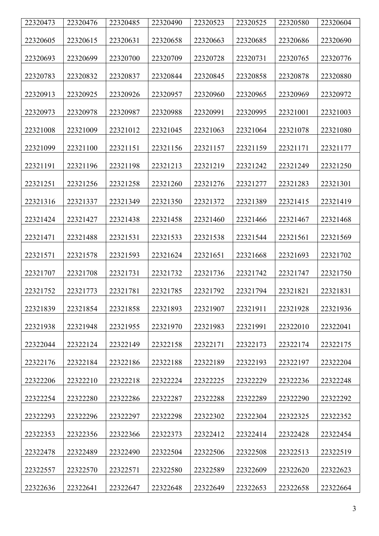| 22320473 | 22320476 | 22320485 | 22320490 | 22320523 | 22320525 | 22320580 | 22320604 |
|----------|----------|----------|----------|----------|----------|----------|----------|
| 22320605 | 22320615 | 22320631 | 22320658 | 22320663 | 22320685 | 22320686 | 22320690 |
| 22320693 | 22320699 | 22320700 | 22320709 | 22320728 | 22320731 | 22320765 | 22320776 |
| 22320783 | 22320832 | 22320837 | 22320844 | 22320845 | 22320858 | 22320878 | 22320880 |
| 22320913 | 22320925 | 22320926 | 22320957 | 22320960 | 22320965 | 22320969 | 22320972 |
| 22320973 | 22320978 | 22320987 | 22320988 | 22320991 | 22320995 | 22321001 | 22321003 |
| 22321008 | 22321009 | 22321012 | 22321045 | 22321063 | 22321064 | 22321078 | 22321080 |
| 22321099 | 22321100 | 22321151 | 22321156 | 22321157 | 22321159 | 22321171 | 22321177 |
| 22321191 | 22321196 | 22321198 | 22321213 | 22321219 | 22321242 | 22321249 | 22321250 |
| 22321251 | 22321256 | 22321258 | 22321260 | 22321276 | 22321277 | 22321283 | 22321301 |
| 22321316 | 22321337 | 22321349 | 22321350 | 22321372 | 22321389 | 22321415 | 22321419 |
| 22321424 | 22321427 | 22321438 | 22321458 | 22321460 | 22321466 | 22321467 | 22321468 |
| 22321471 | 22321488 | 22321531 | 22321533 | 22321538 | 22321544 | 22321561 | 22321569 |
| 22321571 | 22321578 | 22321593 | 22321624 | 22321651 | 22321668 | 22321693 | 22321702 |
| 22321707 | 22321708 | 22321731 | 22321732 | 22321736 | 22321742 | 22321747 | 22321750 |
| 22321752 | 22321773 | 22321781 | 22321785 | 22321792 | 22321794 | 22321821 | 22321831 |
| 22321839 | 22321854 | 22321858 | 22321893 | 22321907 | 22321911 | 22321928 | 22321936 |
| 22321938 | 22321948 | 22321955 | 22321970 | 22321983 | 22321991 | 22322010 | 22322041 |
| 22322044 | 22322124 | 22322149 | 22322158 | 22322171 | 22322173 | 22322174 | 22322175 |
| 22322176 | 22322184 | 22322186 | 22322188 | 22322189 | 22322193 | 22322197 | 22322204 |
| 22322206 | 22322210 | 22322218 | 22322224 | 22322225 | 22322229 | 22322236 | 22322248 |
| 22322254 | 22322280 | 22322286 | 22322287 | 22322288 | 22322289 | 22322290 | 22322292 |
| 22322293 | 22322296 | 22322297 | 22322298 | 22322302 | 22322304 | 22322325 | 22322352 |
| 22322353 | 22322356 | 22322366 | 22322373 | 22322412 | 22322414 | 22322428 | 22322454 |
| 22322478 | 22322489 | 22322490 | 22322504 | 22322506 | 22322508 | 22322513 | 22322519 |
| 22322557 | 22322570 | 22322571 | 22322580 | 22322589 | 22322609 | 22322620 | 22322623 |
| 22322636 | 22322641 | 22322647 | 22322648 | 22322649 | 22322653 | 22322658 | 22322664 |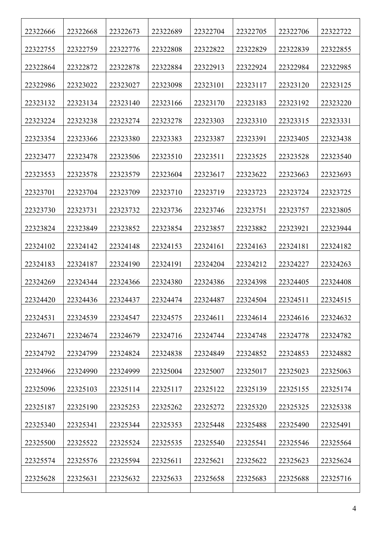| 22322666 | 22322668 | 22322673 | 22322689 | 22322704 | 22322705 | 22322706 | 22322722 |
|----------|----------|----------|----------|----------|----------|----------|----------|
| 22322755 | 22322759 | 22322776 | 22322808 | 22322822 | 22322829 | 22322839 | 22322855 |
| 22322864 | 22322872 | 22322878 | 22322884 | 22322913 | 22322924 | 22322984 | 22322985 |
| 22322986 | 22323022 | 22323027 | 22323098 | 22323101 | 22323117 | 22323120 | 22323125 |
| 22323132 | 22323134 | 22323140 | 22323166 | 22323170 | 22323183 | 22323192 | 22323220 |
| 22323224 | 22323238 | 22323274 | 22323278 | 22323303 | 22323310 | 22323315 | 22323331 |
| 22323354 | 22323366 | 22323380 | 22323383 | 22323387 | 22323391 | 22323405 | 22323438 |
| 22323477 | 22323478 | 22323506 | 22323510 | 22323511 | 22323525 | 22323528 | 22323540 |
| 22323553 | 22323578 | 22323579 | 22323604 | 22323617 | 22323622 | 22323663 | 22323693 |
| 22323701 | 22323704 | 22323709 | 22323710 | 22323719 | 22323723 | 22323724 | 22323725 |
| 22323730 | 22323731 | 22323732 | 22323736 | 22323746 | 22323751 | 22323757 | 22323805 |
| 22323824 | 22323849 | 22323852 | 22323854 | 22323857 | 22323882 | 22323921 | 22323944 |
| 22324102 | 22324142 | 22324148 | 22324153 | 22324161 | 22324163 | 22324181 | 22324182 |
| 22324183 | 22324187 | 22324190 | 22324191 | 22324204 | 22324212 | 22324227 | 22324263 |
| 22324269 | 22324344 | 22324366 | 22324380 | 22324386 | 22324398 | 22324405 | 22324408 |
| 22324420 | 22324436 | 22324437 | 22324474 | 22324487 | 22324504 | 22324511 | 22324515 |
| 22324531 | 22324539 | 22324547 | 22324575 | 22324611 | 22324614 | 22324616 | 22324632 |
| 22324671 | 22324674 | 22324679 | 22324716 | 22324744 | 22324748 | 22324778 | 22324782 |
| 22324792 | 22324799 | 22324824 | 22324838 | 22324849 | 22324852 | 22324853 | 22324882 |
| 22324966 | 22324990 | 22324999 | 22325004 | 22325007 | 22325017 | 22325023 | 22325063 |
| 22325096 | 22325103 | 22325114 | 22325117 | 22325122 | 22325139 | 22325155 | 22325174 |
| 22325187 | 22325190 | 22325253 | 22325262 | 22325272 | 22325320 | 22325325 | 22325338 |
| 22325340 | 22325341 | 22325344 | 22325353 | 22325448 | 22325488 | 22325490 | 22325491 |
| 22325500 | 22325522 | 22325524 | 22325535 | 22325540 | 22325541 | 22325546 | 22325564 |
| 22325574 | 22325576 | 22325594 | 22325611 | 22325621 | 22325622 | 22325623 | 22325624 |
| 22325628 | 22325631 | 22325632 | 22325633 | 22325658 | 22325683 | 22325688 | 22325716 |
|          |          |          |          |          |          |          |          |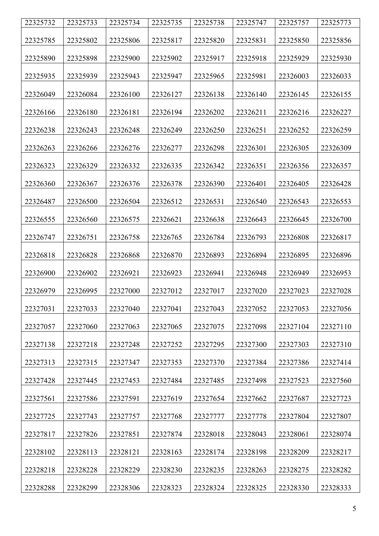| 22325732 | 22325733 | 22325734 | 22325735 | 22325738 | 22325747 | 22325757 | 22325773 |
|----------|----------|----------|----------|----------|----------|----------|----------|
| 22325785 | 22325802 | 22325806 | 22325817 | 22325820 | 22325831 | 22325850 | 22325856 |
|          |          |          |          |          |          |          |          |
| 22325890 | 22325898 | 22325900 | 22325902 | 22325917 | 22325918 | 22325929 | 22325930 |
| 22325935 | 22325939 | 22325943 | 22325947 | 22325965 | 22325981 | 22326003 | 22326033 |
| 22326049 | 22326084 | 22326100 | 22326127 | 22326138 | 22326140 | 22326145 | 22326155 |
| 22326166 | 22326180 | 22326181 | 22326194 | 22326202 | 22326211 | 22326216 | 22326227 |
| 22326238 | 22326243 | 22326248 | 22326249 | 22326250 | 22326251 | 22326252 | 22326259 |
| 22326263 | 22326266 | 22326276 | 22326277 | 22326298 | 22326301 | 22326305 | 22326309 |
| 22326323 | 22326329 | 22326332 | 22326335 | 22326342 | 22326351 | 22326356 | 22326357 |
| 22326360 | 22326367 | 22326376 | 22326378 | 22326390 | 22326401 | 22326405 | 22326428 |
| 22326487 | 22326500 | 22326504 | 22326512 | 22326531 | 22326540 | 22326543 | 22326553 |
| 22326555 | 22326560 | 22326575 | 22326621 | 22326638 | 22326643 | 22326645 | 22326700 |
| 22326747 | 22326751 | 22326758 | 22326765 | 22326784 | 22326793 | 22326808 | 22326817 |
| 22326818 | 22326828 | 22326868 | 22326870 | 22326893 | 22326894 | 22326895 | 22326896 |
| 22326900 | 22326902 | 22326921 | 22326923 | 22326941 | 22326948 | 22326949 | 22326953 |
| 22326979 | 22326995 | 22327000 | 22327012 | 22327017 | 22327020 | 22327023 | 22327028 |
| 22327031 | 22327033 | 22327040 | 22327041 | 22327043 | 22327052 | 22327053 | 22327056 |
| 22327057 | 22327060 | 22327063 | 22327065 | 22327075 | 22327098 | 22327104 | 22327110 |
| 22327138 | 22327218 | 22327248 | 22327252 | 22327295 | 22327300 | 22327303 | 22327310 |
| 22327313 | 22327315 | 22327347 | 22327353 | 22327370 | 22327384 | 22327386 | 22327414 |
| 22327428 | 22327445 | 22327453 | 22327484 | 22327485 | 22327498 | 22327523 | 22327560 |
| 22327561 | 22327586 | 22327591 | 22327619 | 22327654 | 22327662 | 22327687 | 22327723 |
| 22327725 | 22327743 | 22327757 | 22327768 | 22327777 | 22327778 | 22327804 | 22327807 |
| 22327817 | 22327826 | 22327851 | 22327874 | 22328018 | 22328043 | 22328061 | 22328074 |
| 22328102 | 22328113 | 22328121 | 22328163 | 22328174 | 22328198 | 22328209 | 22328217 |
| 22328218 | 22328228 | 22328229 | 22328230 | 22328235 | 22328263 | 22328275 | 22328282 |
| 22328288 | 22328299 | 22328306 | 22328323 | 22328324 | 22328325 | 22328330 | 22328333 |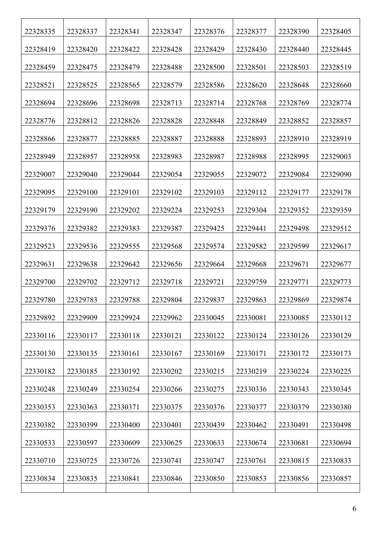| 22328335 | 22328337 | 22328341 | 22328347 | 22328376 | 22328377 | 22328390 | 22328405 |
|----------|----------|----------|----------|----------|----------|----------|----------|
| 22328419 | 22328420 | 22328422 | 22328428 | 22328429 | 22328430 | 22328440 | 22328445 |
| 22328459 | 22328475 | 22328479 | 22328488 | 22328500 | 22328501 | 22328503 | 22328519 |
| 22328521 | 22328525 | 22328565 | 22328579 | 22328586 | 22328620 | 22328648 | 22328660 |
| 22328694 | 22328696 | 22328698 | 22328713 | 22328714 | 22328768 | 22328769 | 22328774 |
| 22328776 | 22328812 | 22328826 | 22328828 | 22328848 | 22328849 | 22328852 | 22328857 |
| 22328866 | 22328877 | 22328885 | 22328887 | 22328888 | 22328893 | 22328910 | 22328919 |
| 22328949 | 22328957 | 22328958 | 22328983 | 22328987 | 22328988 | 22328995 | 22329003 |
| 22329007 | 22329040 | 22329044 | 22329054 | 22329055 | 22329072 | 22329084 | 22329090 |
| 22329095 | 22329100 | 22329101 | 22329102 | 22329103 | 22329112 | 22329177 | 22329178 |
| 22329179 | 22329190 | 22329202 | 22329224 | 22329253 | 22329304 | 22329352 | 22329359 |
| 22329376 | 22329382 | 22329383 | 22329387 | 22329425 | 22329441 | 22329498 | 22329512 |
| 22329523 | 22329536 | 22329555 | 22329568 | 22329574 | 22329582 | 22329599 | 22329617 |
| 22329631 | 22329638 | 22329642 | 22329656 | 22329664 | 22329668 | 22329671 | 22329677 |
| 22329700 | 22329702 | 22329712 | 22329718 | 22329721 | 22329759 | 22329771 | 22329773 |
| 22329780 | 22329783 | 22329788 | 22329804 | 22329837 | 22329863 | 22329869 | 22329874 |
| 22329892 | 22329909 | 22329924 | 22329962 | 22330045 | 22330081 | 22330085 | 22330112 |
| 22330116 | 22330117 | 22330118 | 22330121 | 22330122 | 22330124 | 22330126 | 22330129 |
| 22330130 | 22330135 | 22330161 | 22330167 | 22330169 | 22330171 | 22330172 | 22330173 |
| 22330182 | 22330185 | 22330192 | 22330202 | 22330215 | 22330219 | 22330224 | 22330225 |
| 22330248 | 22330249 | 22330254 | 22330266 | 22330275 | 22330336 | 22330343 | 22330345 |
| 22330353 | 22330363 | 22330371 | 22330375 | 22330376 | 22330377 | 22330379 | 22330380 |
| 22330382 | 22330399 | 22330400 | 22330401 | 22330439 | 22330462 | 22330491 | 22330498 |
| 22330533 | 22330597 | 22330609 | 22330625 | 22330633 | 22330674 | 22330681 | 22330694 |
| 22330710 | 22330725 | 22330726 | 22330741 | 22330747 | 22330761 | 22330815 | 22330833 |
| 22330834 | 22330835 | 22330841 | 22330846 | 22330850 | 22330853 | 22330856 | 22330857 |
|          |          |          |          |          |          |          |          |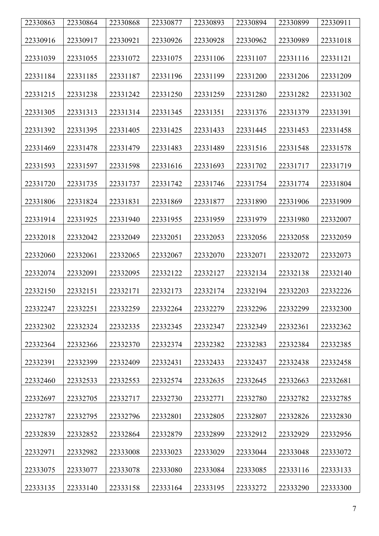| 22330863 | 22330864 | 22330868 | 22330877 | 22330893 | 22330894 | 22330899 | 22330911 |
|----------|----------|----------|----------|----------|----------|----------|----------|
| 22330916 | 22330917 | 22330921 | 22330926 | 22330928 | 22330962 | 22330989 | 22331018 |
| 22331039 | 22331055 | 22331072 | 22331075 | 22331106 | 22331107 | 22331116 | 22331121 |
| 22331184 | 22331185 | 22331187 | 22331196 | 22331199 | 22331200 | 22331206 | 22331209 |
| 22331215 | 22331238 | 22331242 | 22331250 | 22331259 | 22331280 | 22331282 | 22331302 |
| 22331305 | 22331313 | 22331314 | 22331345 | 22331351 | 22331376 | 22331379 | 22331391 |
| 22331392 | 22331395 | 22331405 | 22331425 | 22331433 | 22331445 | 22331453 | 22331458 |
| 22331469 | 22331478 | 22331479 | 22331483 | 22331489 | 22331516 | 22331548 | 22331578 |
| 22331593 | 22331597 | 22331598 | 22331616 | 22331693 | 22331702 | 22331717 | 22331719 |
| 22331720 | 22331735 | 22331737 | 22331742 | 22331746 | 22331754 | 22331774 | 22331804 |
| 22331806 | 22331824 | 22331831 | 22331869 | 22331877 | 22331890 | 22331906 | 22331909 |
| 22331914 | 22331925 | 22331940 | 22331955 | 22331959 | 22331979 | 22331980 | 22332007 |
| 22332018 | 22332042 | 22332049 | 22332051 | 22332053 | 22332056 | 22332058 | 22332059 |
| 22332060 | 22332061 | 22332065 | 22332067 | 22332070 | 22332071 | 22332072 | 22332073 |
| 22332074 | 22332091 | 22332095 | 22332122 | 22332127 | 22332134 | 22332138 | 22332140 |
| 22332150 | 22332151 | 22332171 | 22332173 | 22332174 | 22332194 | 22332203 | 22332226 |
| 22332247 | 22332251 | 22332259 | 22332264 | 22332279 | 22332296 | 22332299 | 22332300 |
| 22332302 | 22332324 | 22332335 | 22332345 | 22332347 | 22332349 | 22332361 | 22332362 |
| 22332364 | 22332366 | 22332370 | 22332374 | 22332382 | 22332383 | 22332384 | 22332385 |
| 22332391 | 22332399 | 22332409 | 22332431 | 22332433 | 22332437 | 22332438 | 22332458 |
| 22332460 | 22332533 | 22332553 | 22332574 | 22332635 | 22332645 | 22332663 | 22332681 |
| 22332697 | 22332705 | 22332717 | 22332730 | 22332771 | 22332780 | 22332782 | 22332785 |
| 22332787 | 22332795 | 22332796 | 22332801 | 22332805 | 22332807 | 22332826 | 22332830 |
| 22332839 | 22332852 | 22332864 | 22332879 | 22332899 | 22332912 | 22332929 | 22332956 |
| 22332971 | 22332982 | 22333008 | 22333023 | 22333029 | 22333044 | 22333048 | 22333072 |
| 22333075 | 22333077 | 22333078 | 22333080 | 22333084 | 22333085 | 22333116 | 22333133 |
| 22333135 | 22333140 | 22333158 | 22333164 | 22333195 | 22333272 | 22333290 | 22333300 |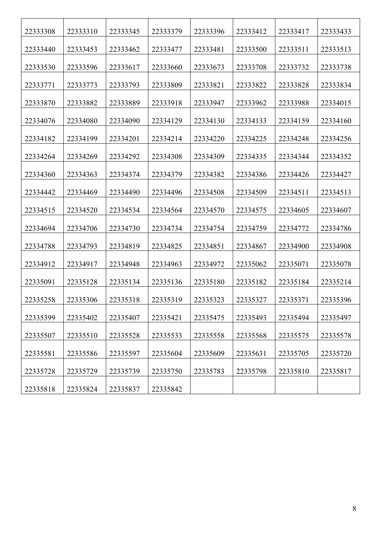| 22333308 | 22333310 | 22333345 | 22333379 | 22333396 | 22333412 | 22333417 | 22333433 |
|----------|----------|----------|----------|----------|----------|----------|----------|
| 22333440 | 22333453 | 22333462 | 22333477 | 22333481 | 22333500 | 22333511 | 22333513 |
| 22333530 | 22333596 | 22333617 | 22333660 | 22333673 | 22333708 | 22333732 | 22333738 |
| 22333771 | 22333773 | 22333793 | 22333809 | 22333821 | 22333822 | 22333828 | 22333834 |
| 22333870 | 22333882 | 22333889 | 22333918 | 22333947 | 22333962 | 22333988 | 22334015 |
| 22334076 | 22334080 | 22334090 | 22334129 | 22334130 | 22334133 | 22334159 | 22334160 |
| 22334182 | 22334199 | 22334201 | 22334214 | 22334220 | 22334225 | 22334248 | 22334256 |
| 22334264 | 22334269 | 22334292 | 22334308 | 22334309 | 22334335 | 22334344 | 22334352 |
| 22334360 | 22334363 | 22334374 | 22334379 | 22334382 | 22334386 | 22334426 | 22334427 |
| 22334442 | 22334469 | 22334490 | 22334496 | 22334508 | 22334509 | 22334511 | 22334513 |
| 22334515 | 22334520 | 22334534 | 22334564 | 22334570 | 22334575 | 22334605 | 22334607 |
| 22334694 | 22334706 | 22334730 | 22334734 | 22334754 | 22334759 | 22334772 | 22334786 |
| 22334788 | 22334793 | 22334819 | 22334825 | 22334851 | 22334867 | 22334900 | 22334908 |
| 22334912 | 22334917 | 22334948 | 22334963 | 22334972 | 22335062 | 22335071 | 22335078 |
| 22335091 | 22335128 | 22335134 | 22335136 | 22335180 | 22335182 | 22335184 | 22335214 |
| 22335258 | 22335306 | 22335318 | 22335319 | 22335323 | 22335327 | 22335371 | 22335396 |
| 22335399 | 22335402 | 22335407 | 22335421 | 22335475 | 22335493 | 22335494 | 22335497 |
| 22335507 | 22335510 | 22335528 | 22335533 | 22335558 | 22335568 | 22335575 | 22335578 |
| 22335581 | 22335586 | 22335597 | 22335604 | 22335609 | 22335631 | 22335705 | 22335720 |
| 22335728 | 22335729 | 22335739 | 22335750 | 22335783 | 22335798 | 22335810 | 22335817 |
| 22335818 | 22335824 | 22335837 | 22335842 |          |          |          |          |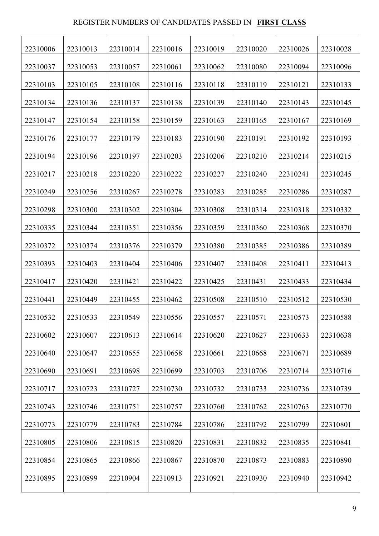## REGISTER NUMBERS OF CANDIDATES PASSED IN **FIRST CLASS**

| 22310006 | 22310013 | 22310014 | 22310016 | 22310019 | 22310020 | 22310026 | 22310028 |
|----------|----------|----------|----------|----------|----------|----------|----------|
| 22310037 | 22310053 | 22310057 | 22310061 | 22310062 | 22310080 | 22310094 | 22310096 |
| 22310103 | 22310105 | 22310108 | 22310116 | 22310118 | 22310119 | 22310121 | 22310133 |
| 22310134 | 22310136 | 22310137 | 22310138 | 22310139 | 22310140 | 22310143 | 22310145 |
| 22310147 | 22310154 | 22310158 | 22310159 | 22310163 | 22310165 | 22310167 | 22310169 |
| 22310176 | 22310177 | 22310179 | 22310183 | 22310190 | 22310191 | 22310192 | 22310193 |
| 22310194 | 22310196 | 22310197 | 22310203 | 22310206 | 22310210 | 22310214 | 22310215 |
| 22310217 | 22310218 | 22310220 | 22310222 | 22310227 | 22310240 | 22310241 | 22310245 |
| 22310249 | 22310256 | 22310267 | 22310278 | 22310283 | 22310285 | 22310286 | 22310287 |
| 22310298 | 22310300 | 22310302 | 22310304 | 22310308 | 22310314 | 22310318 | 22310332 |
| 22310335 | 22310344 | 22310351 | 22310356 | 22310359 | 22310360 | 22310368 | 22310370 |
| 22310372 | 22310374 | 22310376 | 22310379 | 22310380 | 22310385 | 22310386 | 22310389 |
| 22310393 | 22310403 | 22310404 | 22310406 | 22310407 | 22310408 | 22310411 | 22310413 |
| 22310417 | 22310420 | 22310421 | 22310422 | 22310425 | 22310431 | 22310433 | 22310434 |
| 22310441 | 22310449 | 22310455 | 22310462 | 22310508 | 22310510 | 22310512 | 22310530 |
| 22310532 | 22310533 | 22310549 | 22310556 | 22310557 | 22310571 | 22310573 | 22310588 |
| 22310602 | 22310607 | 22310613 | 22310614 | 22310620 | 22310627 | 22310633 | 22310638 |
| 22310640 | 22310647 | 22310655 | 22310658 | 22310661 | 22310668 | 22310671 | 22310689 |
| 22310690 | 22310691 | 22310698 | 22310699 | 22310703 | 22310706 | 22310714 | 22310716 |
| 22310717 | 22310723 | 22310727 | 22310730 | 22310732 | 22310733 | 22310736 | 22310739 |
| 22310743 | 22310746 | 22310751 | 22310757 | 22310760 | 22310762 | 22310763 | 22310770 |
| 22310773 | 22310779 | 22310783 | 22310784 | 22310786 | 22310792 | 22310799 | 22310801 |
| 22310805 | 22310806 | 22310815 | 22310820 | 22310831 | 22310832 | 22310835 | 22310841 |
| 22310854 | 22310865 | 22310866 | 22310867 | 22310870 | 22310873 | 22310883 | 22310890 |
| 22310895 | 22310899 | 22310904 | 22310913 | 22310921 | 22310930 | 22310940 | 22310942 |
|          |          |          |          |          |          |          |          |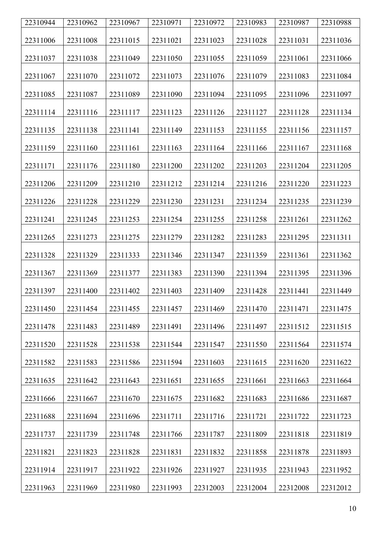| 22310944 | 22310962 | 22310967 | 22310971 | 22310972 | 22310983 | 22310987 | 22310988 |
|----------|----------|----------|----------|----------|----------|----------|----------|
| 22311006 | 22311008 | 22311015 | 22311021 | 22311023 | 22311028 | 22311031 | 22311036 |
|          |          |          |          |          |          |          |          |
| 22311037 | 22311038 | 22311049 | 22311050 | 22311055 | 22311059 | 22311061 | 22311066 |
| 22311067 | 22311070 | 22311072 | 22311073 | 22311076 | 22311079 | 22311083 | 22311084 |
| 22311085 | 22311087 | 22311089 | 22311090 | 22311094 | 22311095 | 22311096 | 22311097 |
| 22311114 | 22311116 | 22311117 | 22311123 | 22311126 | 22311127 | 22311128 | 22311134 |
| 22311135 | 22311138 | 22311141 | 22311149 | 22311153 | 22311155 | 22311156 | 22311157 |
| 22311159 | 22311160 | 22311161 | 22311163 | 22311164 | 22311166 | 22311167 | 22311168 |
| 22311171 | 22311176 | 22311180 | 22311200 | 22311202 | 22311203 | 22311204 | 22311205 |
| 22311206 | 22311209 | 22311210 | 22311212 | 22311214 | 22311216 | 22311220 | 22311223 |
| 22311226 | 22311228 | 22311229 | 22311230 | 22311231 | 22311234 | 22311235 | 22311239 |
| 22311241 | 22311245 | 22311253 | 22311254 | 22311255 | 22311258 | 22311261 | 22311262 |
| 22311265 | 22311273 | 22311275 | 22311279 | 22311282 | 22311283 | 22311295 | 22311311 |
| 22311328 | 22311329 | 22311333 | 22311346 | 22311347 | 22311359 | 22311361 | 22311362 |
| 22311367 | 22311369 | 22311377 | 22311383 | 22311390 | 22311394 | 22311395 | 22311396 |
| 22311397 | 22311400 | 22311402 | 22311403 | 22311409 | 22311428 | 22311441 | 22311449 |
| 22311450 | 22311454 | 22311455 | 22311457 | 22311469 | 22311470 | 22311471 | 22311475 |
| 22311478 | 22311483 | 22311489 | 22311491 | 22311496 | 22311497 | 22311512 | 22311515 |
| 22311520 | 22311528 | 22311538 | 22311544 | 22311547 | 22311550 | 22311564 | 22311574 |
| 22311582 | 22311583 | 22311586 | 22311594 | 22311603 | 22311615 | 22311620 | 22311622 |
| 22311635 | 22311642 | 22311643 | 22311651 | 22311655 | 22311661 | 22311663 | 22311664 |
| 22311666 | 22311667 | 22311670 | 22311675 | 22311682 | 22311683 | 22311686 | 22311687 |
| 22311688 | 22311694 | 22311696 | 22311711 | 22311716 | 22311721 | 22311722 | 22311723 |
| 22311737 | 22311739 | 22311748 | 22311766 | 22311787 | 22311809 | 22311818 | 22311819 |
| 22311821 | 22311823 | 22311828 | 22311831 | 22311832 | 22311858 | 22311878 | 22311893 |
| 22311914 | 22311917 | 22311922 | 22311926 | 22311927 | 22311935 | 22311943 | 22311952 |
| 22311963 | 22311969 | 22311980 | 22311993 | 22312003 | 22312004 | 22312008 | 22312012 |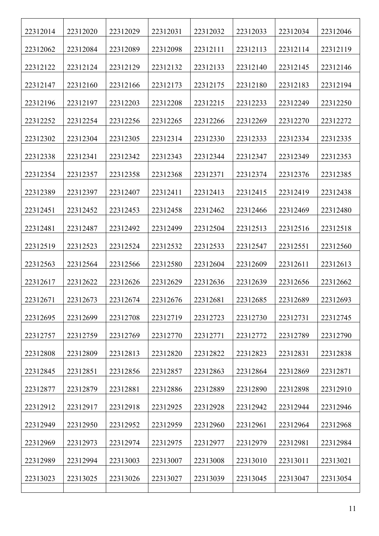| 22312014 | 22312020 | 22312029 | 22312031 | 22312032 | 22312033 | 22312034 | 22312046 |
|----------|----------|----------|----------|----------|----------|----------|----------|
| 22312062 | 22312084 | 22312089 | 22312098 | 22312111 | 22312113 | 22312114 | 22312119 |
| 22312122 | 22312124 | 22312129 | 22312132 | 22312133 | 22312140 | 22312145 | 22312146 |
| 22312147 | 22312160 | 22312166 | 22312173 | 22312175 | 22312180 | 22312183 | 22312194 |
| 22312196 | 22312197 | 22312203 | 22312208 | 22312215 | 22312233 | 22312249 | 22312250 |
| 22312252 | 22312254 | 22312256 | 22312265 | 22312266 | 22312269 | 22312270 | 22312272 |
| 22312302 | 22312304 | 22312305 | 22312314 | 22312330 | 22312333 | 22312334 | 22312335 |
| 22312338 | 22312341 | 22312342 | 22312343 | 22312344 | 22312347 | 22312349 | 22312353 |
| 22312354 | 22312357 | 22312358 | 22312368 | 22312371 | 22312374 | 22312376 | 22312385 |
| 22312389 | 22312397 | 22312407 | 22312411 | 22312413 | 22312415 | 22312419 | 22312438 |
| 22312451 | 22312452 | 22312453 | 22312458 | 22312462 | 22312466 | 22312469 | 22312480 |
| 22312481 | 22312487 | 22312492 | 22312499 | 22312504 | 22312513 | 22312516 | 22312518 |
| 22312519 | 22312523 | 22312524 | 22312532 | 22312533 | 22312547 | 22312551 | 22312560 |
| 22312563 | 22312564 | 22312566 | 22312580 | 22312604 | 22312609 | 22312611 | 22312613 |
| 22312617 | 22312622 | 22312626 | 22312629 | 22312636 | 22312639 | 22312656 | 22312662 |
| 22312671 | 22312673 | 22312674 | 22312676 | 22312681 | 22312685 | 22312689 | 22312693 |
| 22312695 | 22312699 | 22312708 | 22312719 | 22312723 | 22312730 | 22312731 | 22312745 |
| 22312757 | 22312759 | 22312769 | 22312770 | 22312771 | 22312772 | 22312789 | 22312790 |
| 22312808 | 22312809 | 22312813 | 22312820 | 22312822 | 22312823 | 22312831 | 22312838 |
| 22312845 | 22312851 | 22312856 | 22312857 | 22312863 | 22312864 | 22312869 | 22312871 |
| 22312877 | 22312879 | 22312881 | 22312886 | 22312889 | 22312890 | 22312898 | 22312910 |
| 22312912 | 22312917 | 22312918 | 22312925 | 22312928 | 22312942 | 22312944 | 22312946 |
| 22312949 | 22312950 | 22312952 | 22312959 | 22312960 | 22312961 | 22312964 | 22312968 |
| 22312969 | 22312973 | 22312974 | 22312975 | 22312977 | 22312979 | 22312981 | 22312984 |
| 22312989 | 22312994 | 22313003 | 22313007 | 22313008 | 22313010 | 22313011 | 22313021 |
| 22313023 | 22313025 | 22313026 | 22313027 | 22313039 | 22313045 | 22313047 | 22313054 |
|          |          |          |          |          |          |          |          |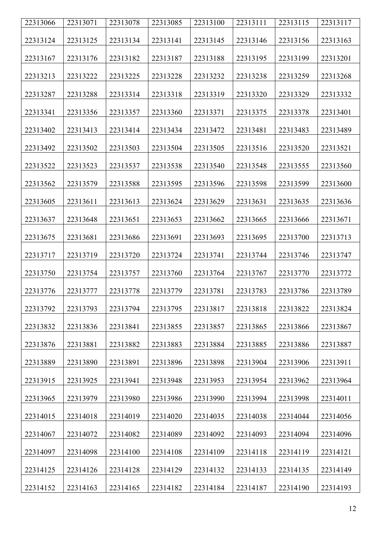| 22313066 | 22313071 | 22313078 | 22313085 | 22313100 | 22313111 | 22313115 | 22313117 |
|----------|----------|----------|----------|----------|----------|----------|----------|
| 22313124 | 22313125 | 22313134 | 22313141 | 22313145 | 22313146 | 22313156 | 22313163 |
| 22313167 | 22313176 | 22313182 | 22313187 | 22313188 | 22313195 | 22313199 | 22313201 |
| 22313213 | 22313222 | 22313225 | 22313228 | 22313232 | 22313238 | 22313259 | 22313268 |
| 22313287 | 22313288 | 22313314 | 22313318 | 22313319 | 22313320 | 22313329 | 22313332 |
| 22313341 | 22313356 | 22313357 | 22313360 | 22313371 | 22313375 | 22313378 | 22313401 |
| 22313402 | 22313413 | 22313414 | 22313434 | 22313472 | 22313481 | 22313483 | 22313489 |
| 22313492 | 22313502 | 22313503 | 22313504 | 22313505 | 22313516 | 22313520 | 22313521 |
| 22313522 | 22313523 | 22313537 | 22313538 | 22313540 | 22313548 | 22313555 | 22313560 |
| 22313562 | 22313579 | 22313588 | 22313595 | 22313596 | 22313598 | 22313599 | 22313600 |
| 22313605 | 22313611 | 22313613 | 22313624 | 22313629 | 22313631 | 22313635 | 22313636 |
| 22313637 | 22313648 | 22313651 | 22313653 | 22313662 | 22313665 | 22313666 | 22313671 |
| 22313675 | 22313681 | 22313686 | 22313691 | 22313693 | 22313695 | 22313700 | 22313713 |
| 22313717 | 22313719 | 22313720 | 22313724 | 22313741 | 22313744 | 22313746 | 22313747 |
| 22313750 | 22313754 | 22313757 | 22313760 | 22313764 | 22313767 | 22313770 | 22313772 |
| 22313776 | 22313777 | 22313778 | 22313779 | 22313781 | 22313783 | 22313786 | 22313789 |
| 22313792 | 22313793 | 22313794 | 22313795 | 22313817 | 22313818 | 22313822 | 22313824 |
| 22313832 | 22313836 | 22313841 | 22313855 | 22313857 | 22313865 | 22313866 | 22313867 |
| 22313876 | 22313881 | 22313882 | 22313883 | 22313884 | 22313885 | 22313886 | 22313887 |
| 22313889 | 22313890 | 22313891 | 22313896 | 22313898 | 22313904 | 22313906 | 22313911 |
| 22313915 | 22313925 | 22313941 | 22313948 | 22313953 | 22313954 | 22313962 | 22313964 |
| 22313965 | 22313979 | 22313980 | 22313986 | 22313990 | 22313994 | 22313998 | 22314011 |
| 22314015 | 22314018 | 22314019 | 22314020 | 22314035 | 22314038 | 22314044 | 22314056 |
| 22314067 | 22314072 | 22314082 | 22314089 | 22314092 | 22314093 | 22314094 | 22314096 |
| 22314097 | 22314098 | 22314100 | 22314108 | 22314109 | 22314118 | 22314119 | 22314121 |
| 22314125 | 22314126 | 22314128 | 22314129 | 22314132 | 22314133 | 22314135 | 22314149 |
| 22314152 | 22314163 | 22314165 | 22314182 | 22314184 | 22314187 | 22314190 | 22314193 |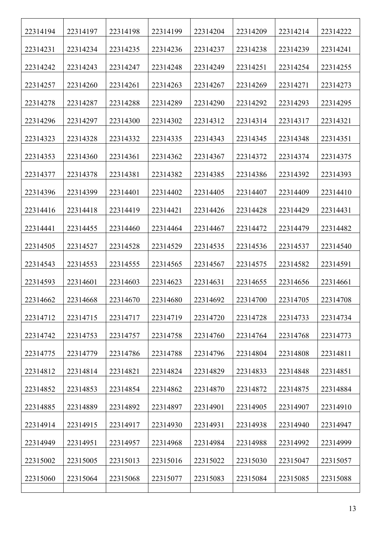| 22314194 | 22314197 | 22314198 | 22314199 | 22314204 | 22314209 | 22314214 | 22314222 |
|----------|----------|----------|----------|----------|----------|----------|----------|
| 22314231 | 22314234 | 22314235 | 22314236 | 22314237 | 22314238 | 22314239 | 22314241 |
| 22314242 | 22314243 | 22314247 | 22314248 | 22314249 | 22314251 | 22314254 | 22314255 |
| 22314257 | 22314260 | 22314261 | 22314263 | 22314267 | 22314269 | 22314271 | 22314273 |
| 22314278 | 22314287 | 22314288 | 22314289 | 22314290 | 22314292 | 22314293 | 22314295 |
| 22314296 | 22314297 | 22314300 | 22314302 | 22314312 | 22314314 | 22314317 | 22314321 |
| 22314323 | 22314328 | 22314332 | 22314335 | 22314343 | 22314345 | 22314348 | 22314351 |
| 22314353 | 22314360 | 22314361 | 22314362 | 22314367 | 22314372 | 22314374 | 22314375 |
| 22314377 | 22314378 | 22314381 | 22314382 | 22314385 | 22314386 | 22314392 | 22314393 |
| 22314396 | 22314399 | 22314401 | 22314402 | 22314405 | 22314407 | 22314409 | 22314410 |
| 22314416 | 22314418 | 22314419 | 22314421 | 22314426 | 22314428 | 22314429 | 22314431 |
| 22314441 | 22314455 | 22314460 | 22314464 | 22314467 | 22314472 | 22314479 | 22314482 |
| 22314505 | 22314527 | 22314528 | 22314529 | 22314535 | 22314536 | 22314537 | 22314540 |
| 22314543 | 22314553 | 22314555 | 22314565 | 22314567 | 22314575 | 22314582 | 22314591 |
| 22314593 | 22314601 | 22314603 | 22314623 | 22314631 | 22314655 | 22314656 | 22314661 |
| 22314662 | 22314668 | 22314670 | 22314680 | 22314692 | 22314700 | 22314705 | 22314708 |
| 22314712 | 22314715 | 22314717 | 22314719 | 22314720 | 22314728 | 22314733 | 22314734 |
| 22314742 | 22314753 | 22314757 | 22314758 | 22314760 | 22314764 | 22314768 | 22314773 |
| 22314775 | 22314779 | 22314786 | 22314788 | 22314796 | 22314804 | 22314808 | 22314811 |
| 22314812 | 22314814 | 22314821 | 22314824 | 22314829 | 22314833 | 22314848 | 22314851 |
| 22314852 | 22314853 | 22314854 | 22314862 | 22314870 | 22314872 | 22314875 | 22314884 |
| 22314885 | 22314889 | 22314892 | 22314897 | 22314901 | 22314905 | 22314907 | 22314910 |
| 22314914 | 22314915 | 22314917 | 22314930 | 22314931 | 22314938 | 22314940 | 22314947 |
| 22314949 | 22314951 | 22314957 | 22314968 | 22314984 | 22314988 | 22314992 | 22314999 |
| 22315002 | 22315005 | 22315013 | 22315016 | 22315022 | 22315030 | 22315047 | 22315057 |
| 22315060 | 22315064 | 22315068 | 22315077 | 22315083 | 22315084 | 22315085 | 22315088 |
|          |          |          |          |          |          |          |          |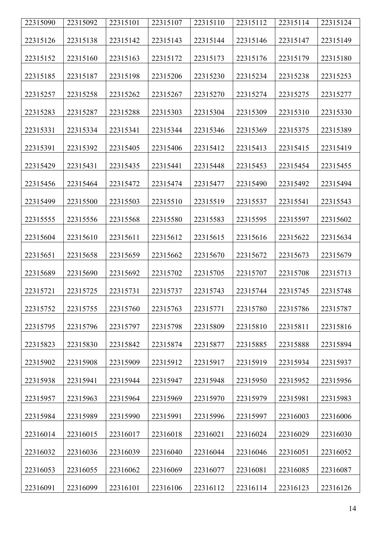| 22315090 | 22315092 | 22315101 | 22315107 | 22315110 | 22315112 | 22315114 | 22315124 |
|----------|----------|----------|----------|----------|----------|----------|----------|
| 22315126 | 22315138 | 22315142 | 22315143 | 22315144 | 22315146 | 22315147 | 22315149 |
| 22315152 | 22315160 | 22315163 | 22315172 | 22315173 | 22315176 | 22315179 | 22315180 |
| 22315185 | 22315187 | 22315198 | 22315206 | 22315230 | 22315234 | 22315238 | 22315253 |
| 22315257 | 22315258 | 22315262 | 22315267 | 22315270 | 22315274 | 22315275 | 22315277 |
| 22315283 | 22315287 | 22315288 | 22315303 | 22315304 | 22315309 | 22315310 | 22315330 |
| 22315331 | 22315334 | 22315341 | 22315344 | 22315346 | 22315369 | 22315375 | 22315389 |
| 22315391 | 22315392 | 22315405 | 22315406 | 22315412 | 22315413 | 22315415 | 22315419 |
| 22315429 | 22315431 | 22315435 | 22315441 | 22315448 | 22315453 | 22315454 | 22315455 |
| 22315456 | 22315464 | 22315472 | 22315474 | 22315477 | 22315490 | 22315492 | 22315494 |
| 22315499 | 22315500 | 22315503 | 22315510 | 22315519 | 22315537 | 22315541 | 22315543 |
| 22315555 | 22315556 | 22315568 | 22315580 | 22315583 | 22315595 | 22315597 | 22315602 |
| 22315604 | 22315610 | 22315611 | 22315612 | 22315615 | 22315616 | 22315622 | 22315634 |
| 22315651 | 22315658 | 22315659 | 22315662 | 22315670 | 22315672 | 22315673 | 22315679 |
| 22315689 | 22315690 | 22315692 | 22315702 | 22315705 | 22315707 | 22315708 | 22315713 |
| 22315721 | 22315725 | 22315731 | 22315737 | 22315743 | 22315744 | 22315745 | 22315748 |
| 22315752 | 22315755 | 22315760 | 22315763 | 22315771 | 22315780 | 22315786 | 22315787 |
| 22315795 | 22315796 | 22315797 | 22315798 | 22315809 | 22315810 | 22315811 | 22315816 |
| 22315823 | 22315830 | 22315842 | 22315874 | 22315877 | 22315885 | 22315888 | 22315894 |
| 22315902 | 22315908 | 22315909 | 22315912 | 22315917 | 22315919 | 22315934 | 22315937 |
| 22315938 | 22315941 | 22315944 | 22315947 | 22315948 | 22315950 | 22315952 | 22315956 |
| 22315957 | 22315963 | 22315964 | 22315969 | 22315970 | 22315979 | 22315981 | 22315983 |
| 22315984 | 22315989 | 22315990 | 22315991 | 22315996 | 22315997 | 22316003 | 22316006 |
| 22316014 | 22316015 | 22316017 | 22316018 | 22316021 | 22316024 | 22316029 | 22316030 |
| 22316032 | 22316036 | 22316039 | 22316040 | 22316044 | 22316046 | 22316051 | 22316052 |
| 22316053 | 22316055 | 22316062 | 22316069 | 22316077 | 22316081 | 22316085 | 22316087 |
| 22316091 | 22316099 | 22316101 | 22316106 | 22316112 | 22316114 | 22316123 | 22316126 |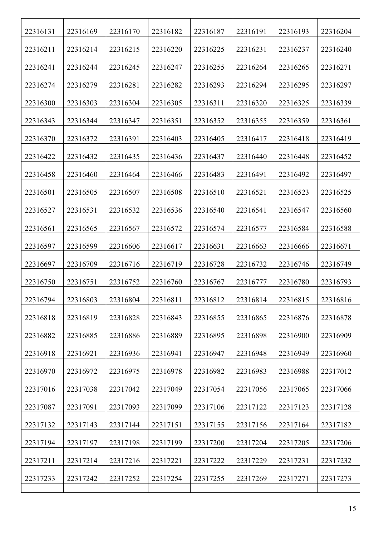| 22316131 | 22316169 | 22316170 | 22316182 | 22316187 | 22316191 | 22316193 | 22316204 |
|----------|----------|----------|----------|----------|----------|----------|----------|
| 22316211 | 22316214 | 22316215 | 22316220 | 22316225 | 22316231 | 22316237 | 22316240 |
| 22316241 | 22316244 | 22316245 | 22316247 | 22316255 | 22316264 | 22316265 | 22316271 |
| 22316274 | 22316279 | 22316281 | 22316282 | 22316293 | 22316294 | 22316295 | 22316297 |
| 22316300 | 22316303 | 22316304 | 22316305 | 22316311 | 22316320 | 22316325 | 22316339 |
| 22316343 | 22316344 | 22316347 | 22316351 | 22316352 | 22316355 | 22316359 | 22316361 |
| 22316370 | 22316372 | 22316391 | 22316403 | 22316405 | 22316417 | 22316418 | 22316419 |
| 22316422 | 22316432 | 22316435 | 22316436 | 22316437 | 22316440 | 22316448 | 22316452 |
| 22316458 | 22316460 | 22316464 | 22316466 | 22316483 | 22316491 | 22316492 | 22316497 |
| 22316501 | 22316505 | 22316507 | 22316508 | 22316510 | 22316521 | 22316523 | 22316525 |
| 22316527 | 22316531 | 22316532 | 22316536 | 22316540 | 22316541 | 22316547 | 22316560 |
| 22316561 | 22316565 | 22316567 | 22316572 | 22316574 | 22316577 | 22316584 | 22316588 |
| 22316597 | 22316599 | 22316606 | 22316617 | 22316631 | 22316663 | 22316666 | 22316671 |
| 22316697 | 22316709 | 22316716 | 22316719 | 22316728 | 22316732 | 22316746 | 22316749 |
| 22316750 | 22316751 | 22316752 | 22316760 | 22316767 | 22316777 | 22316780 | 22316793 |
| 22316794 | 22316803 | 22316804 | 22316811 | 22316812 | 22316814 | 22316815 | 22316816 |
| 22316818 | 22316819 | 22316828 | 22316843 | 22316855 | 22316865 | 22316876 | 22316878 |
| 22316882 | 22316885 | 22316886 | 22316889 | 22316895 | 22316898 | 22316900 | 22316909 |
| 22316918 | 22316921 | 22316936 | 22316941 | 22316947 | 22316948 | 22316949 | 22316960 |
| 22316970 | 22316972 | 22316975 | 22316978 | 22316982 | 22316983 | 22316988 | 22317012 |
| 22317016 | 22317038 | 22317042 | 22317049 | 22317054 | 22317056 | 22317065 | 22317066 |
| 22317087 | 22317091 | 22317093 | 22317099 | 22317106 | 22317122 | 22317123 | 22317128 |
| 22317132 | 22317143 | 22317144 | 22317151 | 22317155 | 22317156 | 22317164 | 22317182 |
| 22317194 | 22317197 | 22317198 | 22317199 | 22317200 | 22317204 | 22317205 | 22317206 |
| 22317211 | 22317214 | 22317216 | 22317221 | 22317222 | 22317229 | 22317231 | 22317232 |
| 22317233 | 22317242 | 22317252 | 22317254 | 22317255 | 22317269 | 22317271 | 22317273 |
|          |          |          |          |          |          |          |          |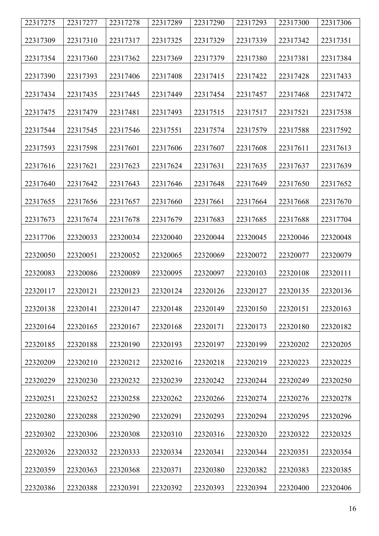| 22317275 | 22317277 | 22317278 | 22317289 | 22317290 | 22317293 | 22317300 | 22317306 |
|----------|----------|----------|----------|----------|----------|----------|----------|
| 22317309 | 22317310 | 22317317 | 22317325 | 22317329 | 22317339 | 22317342 | 22317351 |
| 22317354 | 22317360 | 22317362 | 22317369 | 22317379 | 22317380 | 22317381 | 22317384 |
| 22317390 | 22317393 | 22317406 | 22317408 | 22317415 | 22317422 | 22317428 | 22317433 |
| 22317434 | 22317435 | 22317445 | 22317449 | 22317454 | 22317457 | 22317468 | 22317472 |
| 22317475 | 22317479 | 22317481 | 22317493 | 22317515 | 22317517 | 22317521 | 22317538 |
| 22317544 | 22317545 | 22317546 | 22317551 | 22317574 | 22317579 | 22317588 | 22317592 |
| 22317593 | 22317598 | 22317601 | 22317606 | 22317607 | 22317608 | 22317611 | 22317613 |
| 22317616 | 22317621 | 22317623 | 22317624 | 22317631 | 22317635 | 22317637 | 22317639 |
| 22317640 | 22317642 | 22317643 | 22317646 | 22317648 | 22317649 | 22317650 | 22317652 |
| 22317655 | 22317656 | 22317657 | 22317660 | 22317661 | 22317664 | 22317668 | 22317670 |
| 22317673 | 22317674 | 22317678 | 22317679 | 22317683 | 22317685 | 22317688 | 22317704 |
| 22317706 | 22320033 | 22320034 | 22320040 | 22320044 | 22320045 | 22320046 | 22320048 |
| 22320050 | 22320051 | 22320052 | 22320065 | 22320069 | 22320072 | 22320077 | 22320079 |
| 22320083 | 22320086 | 22320089 | 22320095 | 22320097 | 22320103 | 22320108 | 22320111 |
| 22320117 | 22320121 | 22320123 | 22320124 | 22320126 | 22320127 | 22320135 | 22320136 |
| 22320138 | 22320141 | 22320147 | 22320148 | 22320149 | 22320150 | 22320151 | 22320163 |
| 22320164 | 22320165 | 22320167 | 22320168 | 22320171 | 22320173 | 22320180 | 22320182 |
| 22320185 | 22320188 | 22320190 | 22320193 | 22320197 | 22320199 | 22320202 | 22320205 |
| 22320209 | 22320210 | 22320212 | 22320216 | 22320218 | 22320219 | 22320223 | 22320225 |
| 22320229 | 22320230 | 22320232 | 22320239 | 22320242 | 22320244 | 22320249 | 22320250 |
| 22320251 | 22320252 | 22320258 | 22320262 | 22320266 | 22320274 | 22320276 | 22320278 |
| 22320280 | 22320288 | 22320290 | 22320291 | 22320293 | 22320294 | 22320295 | 22320296 |
| 22320302 | 22320306 | 22320308 | 22320310 | 22320316 | 22320320 | 22320322 | 22320325 |
| 22320326 | 22320332 | 22320333 | 22320334 | 22320341 | 22320344 | 22320351 | 22320354 |
| 22320359 | 22320363 | 22320368 | 22320371 | 22320380 | 22320382 | 22320383 | 22320385 |
| 22320386 | 22320388 | 22320391 | 22320392 | 22320393 | 22320394 | 22320400 | 22320406 |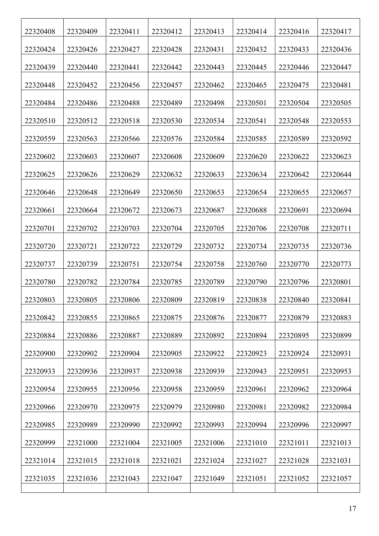| 22320408 | 22320409 | 22320411 | 22320412 | 22320413 | 22320414 | 22320416 | 22320417 |
|----------|----------|----------|----------|----------|----------|----------|----------|
| 22320424 | 22320426 | 22320427 | 22320428 | 22320431 | 22320432 | 22320433 | 22320436 |
| 22320439 | 22320440 | 22320441 | 22320442 | 22320443 | 22320445 | 22320446 | 22320447 |
| 22320448 | 22320452 | 22320456 | 22320457 | 22320462 | 22320465 | 22320475 | 22320481 |
| 22320484 | 22320486 | 22320488 | 22320489 | 22320498 | 22320501 | 22320504 | 22320505 |
| 22320510 | 22320512 | 22320518 | 22320530 | 22320534 | 22320541 | 22320548 | 22320553 |
| 22320559 | 22320563 | 22320566 | 22320576 | 22320584 | 22320585 | 22320589 | 22320592 |
| 22320602 | 22320603 | 22320607 | 22320608 | 22320609 | 22320620 | 22320622 | 22320623 |
| 22320625 | 22320626 | 22320629 | 22320632 | 22320633 | 22320634 | 22320642 | 22320644 |
| 22320646 | 22320648 | 22320649 | 22320650 | 22320653 | 22320654 | 22320655 | 22320657 |
| 22320661 | 22320664 | 22320672 | 22320673 | 22320687 | 22320688 | 22320691 | 22320694 |
| 22320701 | 22320702 | 22320703 | 22320704 | 22320705 | 22320706 | 22320708 | 22320711 |
| 22320720 | 22320721 | 22320722 | 22320729 | 22320732 | 22320734 | 22320735 | 22320736 |
| 22320737 | 22320739 | 22320751 | 22320754 | 22320758 | 22320760 | 22320770 | 22320773 |
| 22320780 | 22320782 | 22320784 | 22320785 | 22320789 | 22320790 | 22320796 | 22320801 |
| 22320803 | 22320805 | 22320806 | 22320809 | 22320819 | 22320838 | 22320840 | 22320841 |
| 22320842 | 22320855 | 22320865 | 22320875 | 22320876 | 22320877 | 22320879 | 22320883 |
| 22320884 | 22320886 | 22320887 | 22320889 | 22320892 | 22320894 | 22320895 | 22320899 |
| 22320900 | 22320902 | 22320904 | 22320905 | 22320922 | 22320923 | 22320924 | 22320931 |
| 22320933 | 22320936 | 22320937 | 22320938 | 22320939 | 22320943 | 22320951 | 22320953 |
| 22320954 | 22320955 | 22320956 | 22320958 | 22320959 | 22320961 | 22320962 | 22320964 |
| 22320966 | 22320970 | 22320975 | 22320979 | 22320980 | 22320981 | 22320982 | 22320984 |
| 22320985 | 22320989 | 22320990 | 22320992 | 22320993 | 22320994 | 22320996 | 22320997 |
| 22320999 | 22321000 | 22321004 | 22321005 | 22321006 | 22321010 | 22321011 | 22321013 |
| 22321014 | 22321015 | 22321018 | 22321021 | 22321024 | 22321027 | 22321028 | 22321031 |
| 22321035 | 22321036 | 22321043 | 22321047 | 22321049 | 22321051 | 22321052 | 22321057 |
|          |          |          |          |          |          |          |          |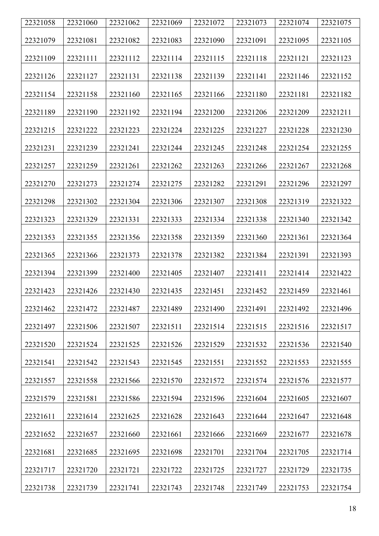| 22321058 | 22321060 | 22321062 | 22321069 | 22321072 | 22321073 | 22321074 | 22321075 |
|----------|----------|----------|----------|----------|----------|----------|----------|
| 22321079 | 22321081 | 22321082 | 22321083 | 22321090 | 22321091 | 22321095 | 22321105 |
| 22321109 | 22321111 | 22321112 | 22321114 | 22321115 | 22321118 | 22321121 | 22321123 |
| 22321126 | 22321127 | 22321131 | 22321138 | 22321139 | 22321141 | 22321146 | 22321152 |
| 22321154 | 22321158 | 22321160 | 22321165 | 22321166 | 22321180 | 22321181 | 22321182 |
| 22321189 | 22321190 | 22321192 | 22321194 | 22321200 | 22321206 | 22321209 | 22321211 |
| 22321215 | 22321222 | 22321223 | 22321224 | 22321225 | 22321227 | 22321228 | 22321230 |
| 22321231 | 22321239 | 22321241 | 22321244 | 22321245 | 22321248 | 22321254 | 22321255 |
| 22321257 | 22321259 | 22321261 | 22321262 | 22321263 | 22321266 | 22321267 | 22321268 |
| 22321270 | 22321273 | 22321274 | 22321275 | 22321282 | 22321291 | 22321296 | 22321297 |
| 22321298 | 22321302 | 22321304 | 22321306 | 22321307 | 22321308 | 22321319 | 22321322 |
| 22321323 | 22321329 | 22321331 | 22321333 | 22321334 | 22321338 | 22321340 | 22321342 |
| 22321353 | 22321355 | 22321356 | 22321358 | 22321359 | 22321360 | 22321361 | 22321364 |
| 22321365 | 22321366 | 22321373 | 22321378 | 22321382 | 22321384 | 22321391 | 22321393 |
| 22321394 | 22321399 | 22321400 | 22321405 | 22321407 | 22321411 | 22321414 | 22321422 |
| 22321423 | 22321426 | 22321430 | 22321435 | 22321451 | 22321452 | 22321459 | 22321461 |
| 22321462 | 22321472 | 22321487 | 22321489 | 22321490 | 22321491 | 22321492 | 22321496 |
| 22321497 | 22321506 | 22321507 | 22321511 | 22321514 | 22321515 | 22321516 | 22321517 |
| 22321520 | 22321524 | 22321525 | 22321526 | 22321529 | 22321532 | 22321536 | 22321540 |
| 22321541 | 22321542 | 22321543 | 22321545 | 22321551 | 22321552 | 22321553 | 22321555 |
| 22321557 | 22321558 | 22321566 | 22321570 | 22321572 | 22321574 | 22321576 | 22321577 |
| 22321579 | 22321581 | 22321586 | 22321594 | 22321596 | 22321604 | 22321605 | 22321607 |
| 22321611 | 22321614 | 22321625 | 22321628 | 22321643 | 22321644 | 22321647 | 22321648 |
| 22321652 | 22321657 | 22321660 | 22321661 | 22321666 | 22321669 | 22321677 | 22321678 |
| 22321681 | 22321685 | 22321695 | 22321698 | 22321701 | 22321704 | 22321705 | 22321714 |
| 22321717 | 22321720 | 22321721 | 22321722 | 22321725 | 22321727 | 22321729 | 22321735 |
| 22321738 | 22321739 | 22321741 | 22321743 | 22321748 | 22321749 | 22321753 | 22321754 |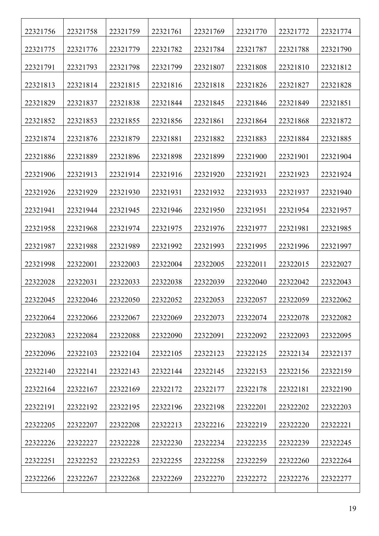| 22321756 | 22321758 | 22321759 | 22321761 | 22321769 | 22321770 | 22321772 | 22321774 |
|----------|----------|----------|----------|----------|----------|----------|----------|
| 22321775 | 22321776 | 22321779 | 22321782 | 22321784 | 22321787 | 22321788 | 22321790 |
| 22321791 | 22321793 | 22321798 | 22321799 | 22321807 | 22321808 | 22321810 | 22321812 |
| 22321813 | 22321814 | 22321815 | 22321816 | 22321818 | 22321826 | 22321827 | 22321828 |
| 22321829 | 22321837 | 22321838 | 22321844 | 22321845 | 22321846 | 22321849 | 22321851 |
| 22321852 | 22321853 | 22321855 | 22321856 | 22321861 | 22321864 | 22321868 | 22321872 |
| 22321874 | 22321876 | 22321879 | 22321881 | 22321882 | 22321883 | 22321884 | 22321885 |
| 22321886 | 22321889 | 22321896 | 22321898 | 22321899 | 22321900 | 22321901 | 22321904 |
| 22321906 | 22321913 | 22321914 | 22321916 | 22321920 | 22321921 | 22321923 | 22321924 |
| 22321926 | 22321929 | 22321930 | 22321931 | 22321932 | 22321933 | 22321937 | 22321940 |
| 22321941 | 22321944 | 22321945 | 22321946 | 22321950 | 22321951 | 22321954 | 22321957 |
| 22321958 | 22321968 | 22321974 | 22321975 | 22321976 | 22321977 | 22321981 | 22321985 |
| 22321987 | 22321988 | 22321989 | 22321992 | 22321993 | 22321995 | 22321996 | 22321997 |
| 22321998 | 22322001 | 22322003 | 22322004 | 22322005 | 22322011 | 22322015 | 22322027 |
| 22322028 | 22322031 | 22322033 | 22322038 | 22322039 | 22322040 | 22322042 | 22322043 |
| 22322045 | 22322046 | 22322050 | 22322052 | 22322053 | 22322057 | 22322059 | 22322062 |
| 22322064 | 22322066 | 22322067 | 22322069 | 22322073 | 22322074 | 22322078 | 22322082 |
| 22322083 | 22322084 | 22322088 | 22322090 | 22322091 | 22322092 | 22322093 | 22322095 |
| 22322096 | 22322103 | 22322104 | 22322105 | 22322123 | 22322125 | 22322134 | 22322137 |
| 22322140 | 22322141 | 22322143 | 22322144 | 22322145 | 22322153 | 22322156 | 22322159 |
| 22322164 | 22322167 | 22322169 | 22322172 | 22322177 | 22322178 | 22322181 | 22322190 |
| 22322191 | 22322192 | 22322195 | 22322196 | 22322198 | 22322201 | 22322202 | 22322203 |
| 22322205 | 22322207 | 22322208 | 22322213 | 22322216 | 22322219 | 22322220 | 22322221 |
| 22322226 | 22322227 | 22322228 | 22322230 | 22322234 | 22322235 | 22322239 | 22322245 |
| 22322251 | 22322252 | 22322253 | 22322255 | 22322258 | 22322259 | 22322260 | 22322264 |
| 22322266 | 22322267 | 22322268 | 22322269 | 22322270 | 22322272 | 22322276 | 22322277 |
|          |          |          |          |          |          |          |          |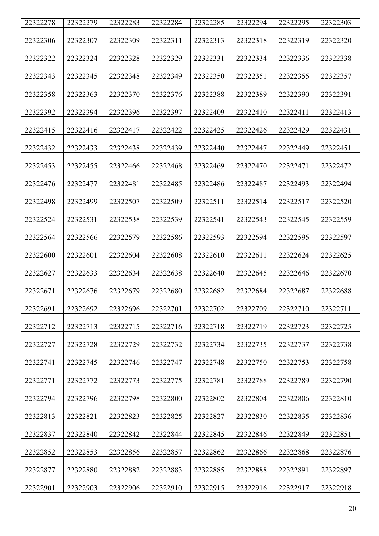| 22322278 | 22322279 | 22322283 | 22322284 | 22322285 | 22322294 | 22322295 | 22322303 |
|----------|----------|----------|----------|----------|----------|----------|----------|
|          |          |          |          |          |          |          |          |
| 22322306 | 22322307 | 22322309 | 22322311 | 22322313 | 22322318 | 22322319 | 22322320 |
| 22322322 | 22322324 | 22322328 | 22322329 | 22322331 | 22322334 | 22322336 | 22322338 |
| 22322343 | 22322345 | 22322348 | 22322349 | 22322350 | 22322351 | 22322355 | 22322357 |
| 22322358 | 22322363 | 22322370 | 22322376 | 22322388 | 22322389 | 22322390 | 22322391 |
| 22322392 | 22322394 | 22322396 | 22322397 | 22322409 | 22322410 | 22322411 | 22322413 |
| 22322415 | 22322416 | 22322417 | 22322422 | 22322425 | 22322426 | 22322429 | 22322431 |
| 22322432 | 22322433 | 22322438 | 22322439 | 22322440 | 22322447 | 22322449 | 22322451 |
| 22322453 | 22322455 | 22322466 | 22322468 | 22322469 | 22322470 | 22322471 | 22322472 |
| 22322476 | 22322477 | 22322481 | 22322485 | 22322486 | 22322487 | 22322493 | 22322494 |
| 22322498 | 22322499 | 22322507 | 22322509 | 22322511 | 22322514 | 22322517 | 22322520 |
| 22322524 | 22322531 | 22322538 | 22322539 | 22322541 | 22322543 | 22322545 | 22322559 |
| 22322564 | 22322566 | 22322579 | 22322586 | 22322593 | 22322594 | 22322595 | 22322597 |
| 22322600 | 22322601 | 22322604 | 22322608 | 22322610 | 22322611 | 22322624 | 22322625 |
| 22322627 | 22322633 | 22322634 | 22322638 | 22322640 | 22322645 | 22322646 | 22322670 |
| 22322671 | 22322676 | 22322679 | 22322680 | 22322682 | 22322684 | 22322687 | 22322688 |
| 22322691 | 22322692 | 22322696 | 22322701 | 22322702 | 22322709 | 22322710 | 22322711 |
| 22322712 | 22322713 | 22322715 | 22322716 | 22322718 | 22322719 | 22322723 | 22322725 |
| 22322727 | 22322728 | 22322729 | 22322732 | 22322734 | 22322735 | 22322737 | 22322738 |
| 22322741 | 22322745 | 22322746 | 22322747 | 22322748 | 22322750 | 22322753 | 22322758 |
| 22322771 | 22322772 | 22322773 | 22322775 | 22322781 | 22322788 | 22322789 | 22322790 |
| 22322794 | 22322796 | 22322798 | 22322800 | 22322802 | 22322804 | 22322806 | 22322810 |
| 22322813 | 22322821 | 22322823 | 22322825 | 22322827 | 22322830 | 22322835 | 22322836 |
| 22322837 | 22322840 | 22322842 | 22322844 | 22322845 | 22322846 | 22322849 | 22322851 |
| 22322852 | 22322853 | 22322856 | 22322857 | 22322862 | 22322866 | 22322868 | 22322876 |
| 22322877 | 22322880 | 22322882 | 22322883 | 22322885 | 22322888 | 22322891 | 22322897 |
| 22322901 | 22322903 | 22322906 | 22322910 | 22322915 | 22322916 | 22322917 | 22322918 |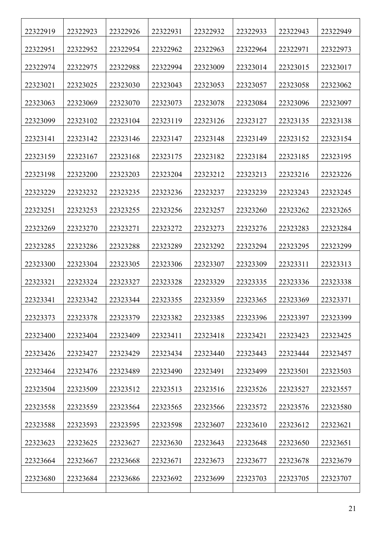| 22322919 | 22322923 | 22322926 | 22322931 | 22322932 | 22322933 | 22322943 | 22322949 |
|----------|----------|----------|----------|----------|----------|----------|----------|
| 22322951 | 22322952 | 22322954 | 22322962 | 22322963 | 22322964 | 22322971 | 22322973 |
| 22322974 | 22322975 | 22322988 | 22322994 | 22323009 | 22323014 | 22323015 | 22323017 |
| 22323021 | 22323025 | 22323030 | 22323043 | 22323053 | 22323057 | 22323058 | 22323062 |
| 22323063 | 22323069 | 22323070 | 22323073 | 22323078 | 22323084 | 22323096 | 22323097 |
| 22323099 | 22323102 | 22323104 | 22323119 | 22323126 | 22323127 | 22323135 | 22323138 |
| 22323141 | 22323142 | 22323146 | 22323147 | 22323148 | 22323149 | 22323152 | 22323154 |
| 22323159 | 22323167 | 22323168 | 22323175 | 22323182 | 22323184 | 22323185 | 22323195 |
| 22323198 | 22323200 | 22323203 | 22323204 | 22323212 | 22323213 | 22323216 | 22323226 |
| 22323229 | 22323232 | 22323235 | 22323236 | 22323237 | 22323239 | 22323243 | 22323245 |
| 22323251 | 22323253 | 22323255 | 22323256 | 22323257 | 22323260 | 22323262 | 22323265 |
| 22323269 | 22323270 | 22323271 | 22323272 | 22323273 | 22323276 | 22323283 | 22323284 |
| 22323285 | 22323286 | 22323288 | 22323289 | 22323292 | 22323294 | 22323295 | 22323299 |
| 22323300 | 22323304 | 22323305 | 22323306 | 22323307 | 22323309 | 22323311 | 22323313 |
| 22323321 | 22323324 | 22323327 | 22323328 | 22323329 | 22323335 | 22323336 | 22323338 |
| 22323341 | 22323342 | 22323344 | 22323355 | 22323359 | 22323365 | 22323369 | 22323371 |
| 22323373 | 22323378 | 22323379 | 22323382 | 22323385 | 22323396 | 22323397 | 22323399 |
| 22323400 | 22323404 | 22323409 | 22323411 | 22323418 | 22323421 | 22323423 | 22323425 |
| 22323426 | 22323427 | 22323429 | 22323434 | 22323440 | 22323443 | 22323444 | 22323457 |
| 22323464 | 22323476 | 22323489 | 22323490 | 22323491 | 22323499 | 22323501 | 22323503 |
| 22323504 | 22323509 | 22323512 | 22323513 | 22323516 | 22323526 | 22323527 | 22323557 |
| 22323558 | 22323559 | 22323564 | 22323565 | 22323566 | 22323572 | 22323576 | 22323580 |
| 22323588 | 22323593 | 22323595 | 22323598 | 22323607 | 22323610 | 22323612 | 22323621 |
| 22323623 | 22323625 | 22323627 | 22323630 | 22323643 | 22323648 | 22323650 | 22323651 |
| 22323664 | 22323667 | 22323668 | 22323671 | 22323673 | 22323677 | 22323678 | 22323679 |
| 22323680 | 22323684 | 22323686 | 22323692 | 22323699 | 22323703 | 22323705 | 22323707 |
|          |          |          |          |          |          |          |          |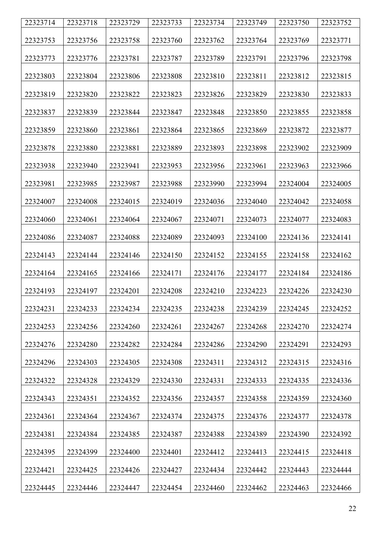| 22323714 | 22323718 | 22323729 | 22323733 | 22323734 | 22323749 | 22323750 | 22323752 |
|----------|----------|----------|----------|----------|----------|----------|----------|
| 22323753 | 22323756 | 22323758 | 22323760 | 22323762 | 22323764 | 22323769 | 22323771 |
| 22323773 | 22323776 | 22323781 | 22323787 | 22323789 | 22323791 | 22323796 | 22323798 |
| 22323803 | 22323804 | 22323806 | 22323808 | 22323810 | 22323811 | 22323812 | 22323815 |
| 22323819 | 22323820 | 22323822 | 22323823 | 22323826 | 22323829 | 22323830 | 22323833 |
| 22323837 | 22323839 | 22323844 | 22323847 | 22323848 | 22323850 | 22323855 | 22323858 |
| 22323859 | 22323860 | 22323861 | 22323864 | 22323865 | 22323869 | 22323872 | 22323877 |
| 22323878 | 22323880 | 22323881 | 22323889 | 22323893 | 22323898 | 22323902 | 22323909 |
| 22323938 | 22323940 | 22323941 | 22323953 | 22323956 | 22323961 | 22323963 | 22323966 |
| 22323981 | 22323985 | 22323987 | 22323988 | 22323990 | 22323994 | 22324004 | 22324005 |
| 22324007 | 22324008 | 22324015 | 22324019 | 22324036 | 22324040 | 22324042 | 22324058 |
| 22324060 | 22324061 | 22324064 | 22324067 | 22324071 | 22324073 | 22324077 | 22324083 |
| 22324086 | 22324087 | 22324088 | 22324089 | 22324093 | 22324100 | 22324136 | 22324141 |
| 22324143 | 22324144 | 22324146 | 22324150 | 22324152 | 22324155 | 22324158 | 22324162 |
| 22324164 | 22324165 | 22324166 | 22324171 | 22324176 | 22324177 | 22324184 | 22324186 |
| 22324193 | 22324197 | 22324201 | 22324208 | 22324210 | 22324223 | 22324226 | 22324230 |
| 22324231 | 22324233 | 22324234 | 22324235 | 22324238 | 22324239 | 22324245 | 22324252 |
| 22324253 | 22324256 | 22324260 | 22324261 | 22324267 | 22324268 | 22324270 | 22324274 |
| 22324276 | 22324280 | 22324282 | 22324284 | 22324286 | 22324290 | 22324291 | 22324293 |
| 22324296 | 22324303 | 22324305 | 22324308 | 22324311 | 22324312 | 22324315 | 22324316 |
| 22324322 | 22324328 | 22324329 | 22324330 | 22324331 | 22324333 | 22324335 | 22324336 |
| 22324343 | 22324351 | 22324352 | 22324356 | 22324357 | 22324358 | 22324359 | 22324360 |
| 22324361 | 22324364 | 22324367 | 22324374 | 22324375 | 22324376 | 22324377 | 22324378 |
| 22324381 | 22324384 | 22324385 | 22324387 | 22324388 | 22324389 | 22324390 | 22324392 |
| 22324395 | 22324399 | 22324400 | 22324401 | 22324412 | 22324413 | 22324415 | 22324418 |
| 22324421 | 22324425 | 22324426 | 22324427 | 22324434 | 22324442 | 22324443 | 22324444 |
| 22324445 | 22324446 | 22324447 | 22324454 | 22324460 | 22324462 | 22324463 | 22324466 |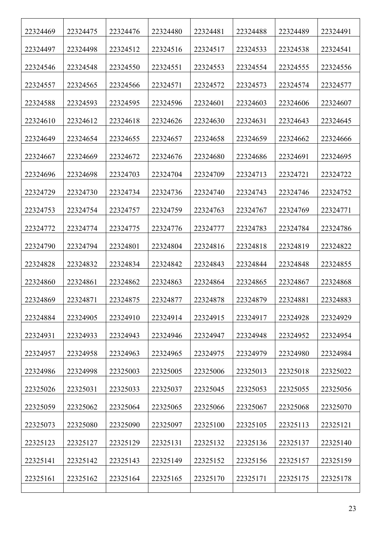| 22324469 | 22324475 | 22324476 | 22324480 | 22324481 | 22324488 | 22324489 | 22324491 |
|----------|----------|----------|----------|----------|----------|----------|----------|
| 22324497 | 22324498 | 22324512 | 22324516 | 22324517 | 22324533 | 22324538 | 22324541 |
| 22324546 | 22324548 | 22324550 | 22324551 | 22324553 | 22324554 | 22324555 | 22324556 |
| 22324557 | 22324565 | 22324566 | 22324571 | 22324572 | 22324573 | 22324574 | 22324577 |
| 22324588 | 22324593 | 22324595 | 22324596 | 22324601 | 22324603 | 22324606 | 22324607 |
| 22324610 | 22324612 | 22324618 | 22324626 | 22324630 | 22324631 | 22324643 | 22324645 |
| 22324649 | 22324654 | 22324655 | 22324657 | 22324658 | 22324659 | 22324662 | 22324666 |
| 22324667 | 22324669 | 22324672 | 22324676 | 22324680 | 22324686 | 22324691 | 22324695 |
| 22324696 | 22324698 | 22324703 | 22324704 | 22324709 | 22324713 | 22324721 | 22324722 |
| 22324729 | 22324730 | 22324734 | 22324736 | 22324740 | 22324743 | 22324746 | 22324752 |
| 22324753 | 22324754 | 22324757 | 22324759 | 22324763 | 22324767 | 22324769 | 22324771 |
| 22324772 | 22324774 | 22324775 | 22324776 | 22324777 | 22324783 | 22324784 | 22324786 |
| 22324790 | 22324794 | 22324801 | 22324804 | 22324816 | 22324818 | 22324819 | 22324822 |
| 22324828 | 22324832 | 22324834 | 22324842 | 22324843 | 22324844 | 22324848 | 22324855 |
| 22324860 | 22324861 | 22324862 | 22324863 | 22324864 | 22324865 | 22324867 | 22324868 |
| 22324869 | 22324871 | 22324875 | 22324877 | 22324878 | 22324879 | 22324881 | 22324883 |
| 22324884 | 22324905 | 22324910 | 22324914 | 22324915 | 22324917 | 22324928 | 22324929 |
| 22324931 | 22324933 | 22324943 | 22324946 | 22324947 | 22324948 | 22324952 | 22324954 |
| 22324957 | 22324958 | 22324963 | 22324965 | 22324975 | 22324979 | 22324980 | 22324984 |
| 22324986 | 22324998 | 22325003 | 22325005 | 22325006 | 22325013 | 22325018 | 22325022 |
| 22325026 | 22325031 | 22325033 | 22325037 | 22325045 | 22325053 | 22325055 | 22325056 |
| 22325059 | 22325062 | 22325064 | 22325065 | 22325066 | 22325067 | 22325068 | 22325070 |
| 22325073 | 22325080 | 22325090 | 22325097 | 22325100 | 22325105 | 22325113 | 22325121 |
| 22325123 | 22325127 | 22325129 | 22325131 | 22325132 | 22325136 | 22325137 | 22325140 |
| 22325141 | 22325142 | 22325143 | 22325149 | 22325152 | 22325156 | 22325157 | 22325159 |
| 22325161 | 22325162 | 22325164 | 22325165 | 22325170 | 22325171 | 22325175 | 22325178 |
|          |          |          |          |          |          |          |          |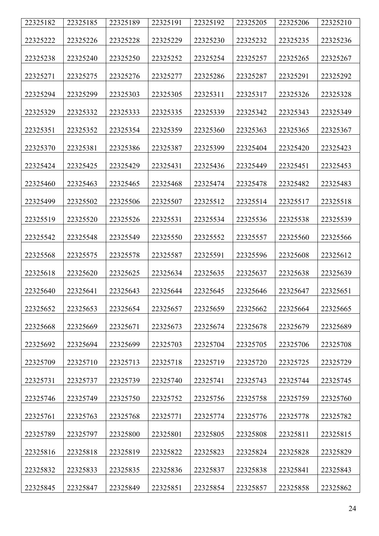| 22325182 | 22325185 | 22325189 | 22325191 | 22325192 | 22325205 | 22325206 | 22325210 |
|----------|----------|----------|----------|----------|----------|----------|----------|
|          |          |          |          |          |          |          |          |
| 22325222 | 22325226 | 22325228 | 22325229 | 22325230 | 22325232 | 22325235 | 22325236 |
| 22325238 | 22325240 | 22325250 | 22325252 | 22325254 | 22325257 | 22325265 | 22325267 |
| 22325271 | 22325275 | 22325276 | 22325277 | 22325286 | 22325287 | 22325291 | 22325292 |
| 22325294 | 22325299 | 22325303 | 22325305 | 22325311 | 22325317 | 22325326 | 22325328 |
| 22325329 | 22325332 | 22325333 | 22325335 | 22325339 | 22325342 | 22325343 | 22325349 |
| 22325351 | 22325352 | 22325354 | 22325359 | 22325360 | 22325363 | 22325365 | 22325367 |
| 22325370 | 22325381 | 22325386 | 22325387 | 22325399 | 22325404 | 22325420 | 22325423 |
| 22325424 | 22325425 | 22325429 | 22325431 | 22325436 | 22325449 | 22325451 | 22325453 |
| 22325460 | 22325463 | 22325465 | 22325468 | 22325474 | 22325478 | 22325482 | 22325483 |
| 22325499 | 22325502 | 22325506 | 22325507 | 22325512 | 22325514 | 22325517 | 22325518 |
| 22325519 | 22325520 | 22325526 | 22325531 | 22325534 | 22325536 | 22325538 | 22325539 |
| 22325542 | 22325548 | 22325549 | 22325550 | 22325552 | 22325557 | 22325560 | 22325566 |
| 22325568 | 22325575 | 22325578 | 22325587 | 22325591 | 22325596 | 22325608 | 22325612 |
| 22325618 | 22325620 | 22325625 | 22325634 | 22325635 | 22325637 | 22325638 | 22325639 |
| 22325640 | 22325641 | 22325643 | 22325644 | 22325645 | 22325646 | 22325647 | 22325651 |
| 22325652 | 22325653 | 22325654 | 22325657 | 22325659 | 22325662 | 22325664 | 22325665 |
| 22325668 | 22325669 | 22325671 | 22325673 | 22325674 | 22325678 | 22325679 | 22325689 |
| 22325692 | 22325694 | 22325699 | 22325703 | 22325704 | 22325705 | 22325706 | 22325708 |
| 22325709 | 22325710 | 22325713 | 22325718 | 22325719 | 22325720 | 22325725 | 22325729 |
| 22325731 | 22325737 | 22325739 | 22325740 | 22325741 | 22325743 | 22325744 | 22325745 |
| 22325746 | 22325749 | 22325750 | 22325752 | 22325756 | 22325758 | 22325759 | 22325760 |
| 22325761 | 22325763 | 22325768 | 22325771 | 22325774 | 22325776 | 22325778 | 22325782 |
| 22325789 | 22325797 | 22325800 | 22325801 | 22325805 | 22325808 | 22325811 | 22325815 |
| 22325816 | 22325818 | 22325819 | 22325822 | 22325823 | 22325824 | 22325828 | 22325829 |
| 22325832 | 22325833 | 22325835 | 22325836 | 22325837 | 22325838 | 22325841 | 22325843 |
| 22325845 | 22325847 | 22325849 | 22325851 | 22325854 | 22325857 | 22325858 | 22325862 |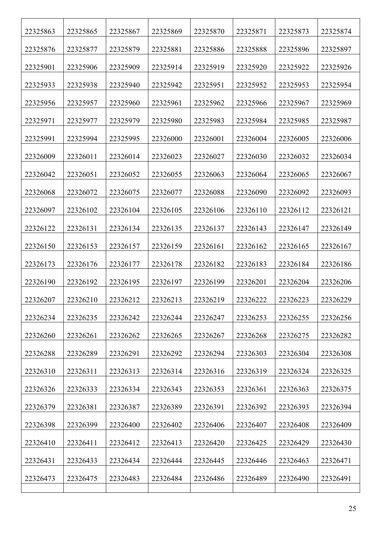| 22325863 | 22325865 | 22325867 | 22325869 | 22325870 | 22325871 | 22325873 | 22325874 |
|----------|----------|----------|----------|----------|----------|----------|----------|
| 22325876 | 22325877 | 22325879 | 22325881 | 22325886 | 22325888 | 22325896 | 22325897 |
| 22325901 | 22325906 | 22325909 | 22325914 | 22325919 | 22325920 | 22325922 | 22325926 |
| 22325933 | 22325938 | 22325940 | 22325942 | 22325951 | 22325952 | 22325953 | 22325954 |
| 22325956 | 22325957 | 22325960 | 22325961 | 22325962 | 22325966 | 22325967 | 22325969 |
| 22325971 | 22325977 | 22325979 | 22325980 | 22325983 | 22325984 | 22325985 | 22325987 |
| 22325991 | 22325994 | 22325995 | 22326000 | 22326001 | 22326004 | 22326005 | 22326006 |
| 22326009 | 22326011 | 22326014 | 22326023 | 22326027 | 22326030 | 22326032 | 22326034 |
| 22326042 | 22326051 | 22326052 | 22326055 | 22326063 | 22326064 | 22326065 | 22326067 |
| 22326068 | 22326072 | 22326075 | 22326077 | 22326088 | 22326090 | 22326092 | 22326093 |
| 22326097 | 22326102 | 22326104 | 22326105 | 22326106 | 22326110 | 22326112 | 22326121 |
| 22326122 | 22326131 | 22326134 | 22326135 | 22326137 | 22326143 | 22326147 | 22326149 |
| 22326150 | 22326153 | 22326157 | 22326159 | 22326161 | 22326162 | 22326165 | 22326167 |
| 22326173 | 22326176 | 22326177 | 22326178 | 22326182 | 22326183 | 22326184 | 22326186 |
| 22326190 | 22326192 | 22326195 | 22326197 | 22326199 | 22326201 | 22326204 | 22326206 |
| 22326207 | 22326210 | 22326212 | 22326213 | 22326219 | 22326222 | 22326223 | 22326229 |
| 22326234 | 22326235 | 22326242 | 22326244 | 22326247 | 22326253 | 22326255 | 22326256 |
| 22326260 | 22326261 | 22326262 | 22326265 | 22326267 | 22326268 | 22326275 | 22326282 |
| 22326288 | 22326289 | 22326291 | 22326292 | 22326294 | 22326303 | 22326304 | 22326308 |
| 22326310 | 22326311 | 22326313 | 22326314 | 22326316 | 22326319 | 22326324 | 22326325 |
| 22326326 | 22326333 | 22326334 | 22326343 | 22326353 | 22326361 | 22326363 | 22326375 |
| 22326379 | 22326381 | 22326387 | 22326389 | 22326391 | 22326392 | 22326393 | 22326394 |
| 22326398 | 22326399 | 22326400 | 22326402 | 22326406 | 22326407 | 22326408 | 22326409 |
| 22326410 | 22326411 | 22326412 | 22326413 | 22326420 | 22326425 | 22326429 | 22326430 |
| 22326431 | 22326433 | 22326434 | 22326444 | 22326445 | 22326446 | 22326463 | 22326471 |
| 22326473 | 22326475 | 22326483 | 22326484 | 22326486 | 22326489 | 22326490 | 22326491 |
|          |          |          |          |          |          |          |          |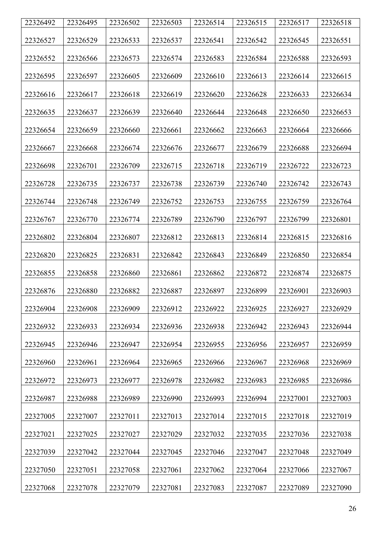| 22326492 | 22326495 | 22326502 | 22326503 | 22326514 | 22326515 | 22326517 | 22326518 |
|----------|----------|----------|----------|----------|----------|----------|----------|
|          |          |          |          |          |          |          |          |
| 22326527 | 22326529 | 22326533 | 22326537 | 22326541 | 22326542 | 22326545 | 22326551 |
| 22326552 | 22326566 | 22326573 | 22326574 | 22326583 | 22326584 | 22326588 | 22326593 |
|          |          |          |          |          |          |          |          |
| 22326595 | 22326597 | 22326605 | 22326609 | 22326610 | 22326613 | 22326614 | 22326615 |
| 22326616 | 22326617 | 22326618 | 22326619 | 22326620 | 22326628 | 22326633 | 22326634 |
| 22326635 | 22326637 | 22326639 | 22326640 | 22326644 | 22326648 | 22326650 | 22326653 |
| 22326654 | 22326659 | 22326660 | 22326661 | 22326662 | 22326663 | 22326664 | 22326666 |
| 22326667 | 22326668 | 22326674 | 22326676 | 22326677 | 22326679 | 22326688 | 22326694 |
| 22326698 | 22326701 | 22326709 | 22326715 | 22326718 | 22326719 | 22326722 | 22326723 |
|          |          |          |          |          |          |          |          |
| 22326728 | 22326735 | 22326737 | 22326738 | 22326739 | 22326740 | 22326742 | 22326743 |
| 22326744 | 22326748 | 22326749 | 22326752 | 22326753 | 22326755 | 22326759 | 22326764 |
| 22326767 | 22326770 | 22326774 | 22326789 | 22326790 | 22326797 | 22326799 | 22326801 |
| 22326802 | 22326804 | 22326807 | 22326812 | 22326813 | 22326814 | 22326815 | 22326816 |
| 22326820 | 22326825 | 22326831 | 22326842 | 22326843 | 22326849 | 22326850 | 22326854 |
| 22326855 | 22326858 | 22326860 | 22326861 | 22326862 | 22326872 | 22326874 | 22326875 |
| 22326876 | 22326880 | 22326882 | 22326887 | 22326897 | 22326899 | 22326901 | 22326903 |
| 22326904 | 22326908 | 22326909 | 22326912 | 22326922 | 22326925 | 22326927 | 22326929 |
| 22326932 | 22326933 | 22326934 | 22326936 | 22326938 | 22326942 | 22326943 | 22326944 |
| 22326945 | 22326946 | 22326947 | 22326954 | 22326955 | 22326956 | 22326957 | 22326959 |
| 22326960 | 22326961 | 22326964 | 22326965 | 22326966 | 22326967 | 22326968 | 22326969 |
| 22326972 | 22326973 | 22326977 | 22326978 | 22326982 | 22326983 | 22326985 | 22326986 |
| 22326987 | 22326988 | 22326989 | 22326990 | 22326993 | 22326994 | 22327001 | 22327003 |
| 22327005 | 22327007 | 22327011 | 22327013 | 22327014 | 22327015 | 22327018 | 22327019 |
| 22327021 | 22327025 | 22327027 | 22327029 | 22327032 | 22327035 | 22327036 | 22327038 |
| 22327039 | 22327042 | 22327044 | 22327045 | 22327046 | 22327047 | 22327048 | 22327049 |
| 22327050 | 22327051 | 22327058 | 22327061 | 22327062 | 22327064 | 22327066 | 22327067 |
| 22327068 | 22327078 | 22327079 | 22327081 | 22327083 | 22327087 | 22327089 | 22327090 |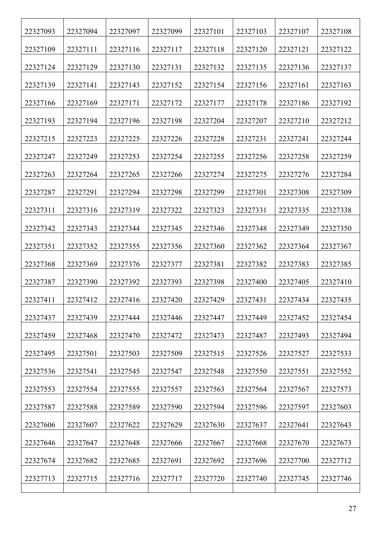| 22327093 | 22327094 | 22327097 | 22327099 | 22327101 | 22327103 | 22327107 | 22327108 |
|----------|----------|----------|----------|----------|----------|----------|----------|
| 22327109 | 22327111 | 22327116 | 22327117 | 22327118 | 22327120 | 22327121 | 22327122 |
| 22327124 | 22327129 | 22327130 | 22327131 | 22327132 | 22327135 | 22327136 | 22327137 |
| 22327139 | 22327141 | 22327143 | 22327152 | 22327154 | 22327156 | 22327161 | 22327163 |
| 22327166 | 22327169 | 22327171 | 22327172 | 22327177 | 22327178 | 22327186 | 22327192 |
| 22327193 | 22327194 | 22327196 | 22327198 | 22327204 | 22327207 | 22327210 | 22327212 |
| 22327215 | 22327223 | 22327225 | 22327226 | 22327228 | 22327231 | 22327241 | 22327244 |
| 22327247 | 22327249 | 22327253 | 22327254 | 22327255 | 22327256 | 22327258 | 22327259 |
| 22327263 | 22327264 | 22327265 | 22327266 | 22327274 | 22327275 | 22327276 | 22327284 |
| 22327287 | 22327291 | 22327294 | 22327298 | 22327299 | 22327301 | 22327308 | 22327309 |
| 22327311 | 22327316 | 22327319 | 22327322 | 22327323 | 22327331 | 22327335 | 22327338 |
| 22327342 | 22327343 | 22327344 | 22327345 | 22327346 | 22327348 | 22327349 | 22327350 |
| 22327351 | 22327352 | 22327355 | 22327356 | 22327360 | 22327362 | 22327364 | 22327367 |
| 22327368 | 22327369 | 22327376 | 22327377 | 22327381 | 22327382 | 22327383 | 22327385 |
| 22327387 | 22327390 | 22327392 | 22327393 | 22327398 | 22327400 | 22327405 | 22327410 |
| 22327411 | 22327412 | 22327416 | 22327420 | 22327429 | 22327431 | 22327434 | 22327435 |
| 22327437 | 22327439 | 22327444 | 22327446 | 22327447 | 22327449 | 22327452 | 22327454 |
| 22327459 | 22327468 | 22327470 | 22327472 | 22327473 | 22327487 | 22327493 | 22327494 |
| 22327495 | 22327501 | 22327503 | 22327509 | 22327515 | 22327526 | 22327527 | 22327533 |
| 22327536 | 22327541 | 22327545 | 22327547 | 22327548 | 22327550 | 22327551 | 22327552 |
| 22327553 | 22327554 | 22327555 | 22327557 | 22327563 | 22327564 | 22327567 | 22327573 |
| 22327587 | 22327588 | 22327589 | 22327590 | 22327594 | 22327596 | 22327597 | 22327603 |
| 22327606 | 22327607 | 22327622 | 22327629 | 22327630 | 22327637 | 22327641 | 22327643 |
| 22327646 | 22327647 | 22327648 | 22327666 | 22327667 | 22327668 | 22327670 | 22327673 |
| 22327674 | 22327682 | 22327685 | 22327691 | 22327692 | 22327696 | 22327700 | 22327712 |
| 22327713 | 22327715 | 22327716 | 22327717 | 22327720 | 22327740 | 22327745 | 22327746 |
|          |          |          |          |          |          |          |          |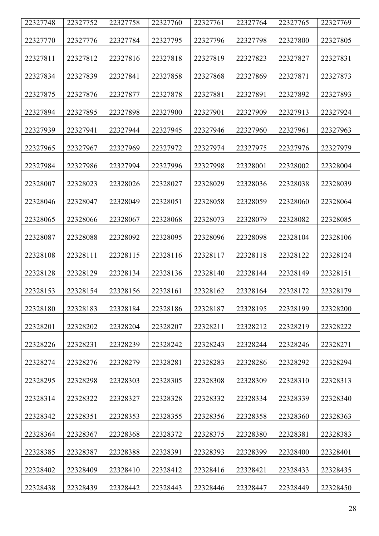| 22327748 | 22327752 | 22327758 | 22327760 | 22327761 | 22327764 | 22327765 | 22327769 |
|----------|----------|----------|----------|----------|----------|----------|----------|
|          |          |          |          |          |          |          |          |
| 22327770 | 22327776 | 22327784 | 22327795 | 22327796 | 22327798 | 22327800 | 22327805 |
| 22327811 | 22327812 | 22327816 | 22327818 | 22327819 | 22327823 | 22327827 | 22327831 |
| 22327834 | 22327839 | 22327841 | 22327858 | 22327868 | 22327869 | 22327871 | 22327873 |
| 22327875 | 22327876 | 22327877 | 22327878 | 22327881 | 22327891 | 22327892 | 22327893 |
| 22327894 | 22327895 | 22327898 | 22327900 | 22327901 | 22327909 | 22327913 | 22327924 |
| 22327939 | 22327941 | 22327944 | 22327945 | 22327946 | 22327960 | 22327961 | 22327963 |
| 22327965 | 22327967 | 22327969 | 22327972 | 22327974 | 22327975 | 22327976 | 22327979 |
| 22327984 | 22327986 | 22327994 | 22327996 | 22327998 | 22328001 | 22328002 | 22328004 |
| 22328007 | 22328023 | 22328026 | 22328027 | 22328029 | 22328036 | 22328038 | 22328039 |
| 22328046 | 22328047 | 22328049 | 22328051 | 22328058 | 22328059 | 22328060 | 22328064 |
| 22328065 | 22328066 | 22328067 | 22328068 | 22328073 | 22328079 | 22328082 | 22328085 |
| 22328087 | 22328088 | 22328092 | 22328095 | 22328096 | 22328098 | 22328104 | 22328106 |
| 22328108 | 22328111 | 22328115 | 22328116 | 22328117 | 22328118 | 22328122 | 22328124 |
| 22328128 | 22328129 | 22328134 | 22328136 | 22328140 | 22328144 | 22328149 | 22328151 |
| 22328153 | 22328154 | 22328156 | 22328161 | 22328162 | 22328164 | 22328172 | 22328179 |
| 22328180 | 22328183 | 22328184 | 22328186 | 22328187 | 22328195 | 22328199 | 22328200 |
| 22328201 | 22328202 | 22328204 | 22328207 | 22328211 | 22328212 | 22328219 | 22328222 |
| 22328226 | 22328231 | 22328239 | 22328242 | 22328243 | 22328244 | 22328246 | 22328271 |
| 22328274 | 22328276 | 22328279 | 22328281 | 22328283 | 22328286 | 22328292 | 22328294 |
| 22328295 | 22328298 | 22328303 | 22328305 | 22328308 | 22328309 | 22328310 | 22328313 |
| 22328314 | 22328322 | 22328327 | 22328328 | 22328332 | 22328334 | 22328339 | 22328340 |
| 22328342 | 22328351 | 22328353 | 22328355 | 22328356 | 22328358 | 22328360 | 22328363 |
| 22328364 | 22328367 | 22328368 | 22328372 | 22328375 | 22328380 | 22328381 | 22328383 |
| 22328385 | 22328387 | 22328388 | 22328391 | 22328393 | 22328399 | 22328400 | 22328401 |
| 22328402 | 22328409 | 22328410 | 22328412 | 22328416 | 22328421 | 22328433 | 22328435 |
| 22328438 | 22328439 | 22328442 | 22328443 | 22328446 | 22328447 | 22328449 | 22328450 |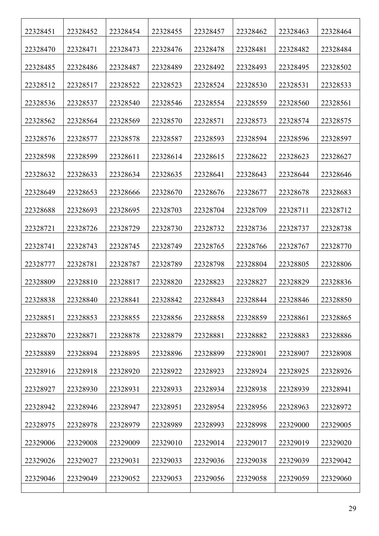| 22328451 | 22328452 | 22328454 | 22328455 | 22328457 | 22328462 | 22328463 | 22328464 |
|----------|----------|----------|----------|----------|----------|----------|----------|
| 22328470 | 22328471 | 22328473 | 22328476 | 22328478 | 22328481 | 22328482 | 22328484 |
| 22328485 | 22328486 | 22328487 | 22328489 | 22328492 | 22328493 | 22328495 | 22328502 |
| 22328512 | 22328517 | 22328522 | 22328523 | 22328524 | 22328530 | 22328531 | 22328533 |
| 22328536 | 22328537 | 22328540 | 22328546 | 22328554 | 22328559 | 22328560 | 22328561 |
| 22328562 | 22328564 | 22328569 | 22328570 | 22328571 | 22328573 | 22328574 | 22328575 |
| 22328576 | 22328577 | 22328578 | 22328587 | 22328593 | 22328594 | 22328596 | 22328597 |
| 22328598 | 22328599 | 22328611 | 22328614 | 22328615 | 22328622 | 22328623 | 22328627 |
| 22328632 | 22328633 | 22328634 | 22328635 | 22328641 | 22328643 | 22328644 | 22328646 |
| 22328649 | 22328653 | 22328666 | 22328670 | 22328676 | 22328677 | 22328678 | 22328683 |
| 22328688 | 22328693 | 22328695 | 22328703 | 22328704 | 22328709 | 22328711 | 22328712 |
| 22328721 | 22328726 | 22328729 | 22328730 | 22328732 | 22328736 | 22328737 | 22328738 |
| 22328741 | 22328743 | 22328745 | 22328749 | 22328765 | 22328766 | 22328767 | 22328770 |
| 22328777 | 22328781 | 22328787 | 22328789 | 22328798 | 22328804 | 22328805 | 22328806 |
| 22328809 | 22328810 | 22328817 | 22328820 | 22328823 | 22328827 | 22328829 | 22328836 |
| 22328838 | 22328840 | 22328841 | 22328842 | 22328843 | 22328844 | 22328846 | 22328850 |
| 22328851 | 22328853 | 22328855 | 22328856 | 22328858 | 22328859 | 22328861 | 22328865 |
| 22328870 | 22328871 | 22328878 | 22328879 | 22328881 | 22328882 | 22328883 | 22328886 |
| 22328889 | 22328894 | 22328895 | 22328896 | 22328899 | 22328901 | 22328907 | 22328908 |
| 22328916 | 22328918 | 22328920 | 22328922 | 22328923 | 22328924 | 22328925 | 22328926 |
| 22328927 | 22328930 | 22328931 | 22328933 | 22328934 | 22328938 | 22328939 | 22328941 |
| 22328942 | 22328946 | 22328947 | 22328951 | 22328954 | 22328956 | 22328963 | 22328972 |
| 22328975 | 22328978 | 22328979 | 22328989 | 22328993 | 22328998 | 22329000 | 22329005 |
| 22329006 | 22329008 | 22329009 | 22329010 | 22329014 | 22329017 | 22329019 | 22329020 |
| 22329026 | 22329027 | 22329031 | 22329033 | 22329036 | 22329038 | 22329039 | 22329042 |
| 22329046 | 22329049 | 22329052 | 22329053 | 22329056 | 22329058 | 22329059 | 22329060 |
|          |          |          |          |          |          |          |          |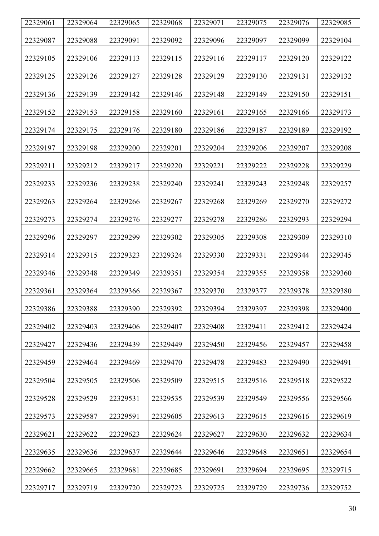| 22329061 | 22329064 | 22329065 | 22329068 | 22329071 | 22329075 | 22329076 | 22329085 |
|----------|----------|----------|----------|----------|----------|----------|----------|
| 22329087 | 22329088 | 22329091 | 22329092 | 22329096 | 22329097 | 22329099 | 22329104 |
| 22329105 | 22329106 | 22329113 | 22329115 | 22329116 | 22329117 | 22329120 | 22329122 |
| 22329125 | 22329126 | 22329127 | 22329128 | 22329129 | 22329130 | 22329131 | 22329132 |
| 22329136 | 22329139 | 22329142 | 22329146 | 22329148 | 22329149 | 22329150 | 22329151 |
| 22329152 | 22329153 | 22329158 | 22329160 | 22329161 | 22329165 | 22329166 | 22329173 |
| 22329174 | 22329175 | 22329176 | 22329180 | 22329186 | 22329187 | 22329189 | 22329192 |
| 22329197 | 22329198 | 22329200 | 22329201 | 22329204 | 22329206 | 22329207 | 22329208 |
| 22329211 | 22329212 | 22329217 | 22329220 | 22329221 | 22329222 | 22329228 | 22329229 |
| 22329233 | 22329236 | 22329238 | 22329240 | 22329241 | 22329243 | 22329248 | 22329257 |
| 22329263 | 22329264 | 22329266 | 22329267 | 22329268 | 22329269 | 22329270 | 22329272 |
| 22329273 | 22329274 | 22329276 | 22329277 | 22329278 | 22329286 | 22329293 | 22329294 |
| 22329296 | 22329297 | 22329299 | 22329302 | 22329305 | 22329308 | 22329309 | 22329310 |
| 22329314 | 22329315 | 22329323 | 22329324 | 22329330 | 22329331 | 22329344 | 22329345 |
| 22329346 | 22329348 | 22329349 | 22329351 | 22329354 | 22329355 | 22329358 | 22329360 |
| 22329361 | 22329364 | 22329366 | 22329367 | 22329370 | 22329377 | 22329378 | 22329380 |
| 22329386 | 22329388 | 22329390 | 22329392 | 22329394 | 22329397 | 22329398 | 22329400 |
| 22329402 | 22329403 | 22329406 | 22329407 | 22329408 | 22329411 | 22329412 | 22329424 |
| 22329427 | 22329436 | 22329439 | 22329449 | 22329450 | 22329456 | 22329457 | 22329458 |
| 22329459 | 22329464 | 22329469 | 22329470 | 22329478 | 22329483 | 22329490 | 22329491 |
| 22329504 | 22329505 | 22329506 | 22329509 | 22329515 | 22329516 | 22329518 | 22329522 |
| 22329528 | 22329529 | 22329531 | 22329535 | 22329539 | 22329549 | 22329556 | 22329566 |
| 22329573 | 22329587 | 22329591 | 22329605 | 22329613 | 22329615 | 22329616 | 22329619 |
| 22329621 | 22329622 | 22329623 | 22329624 | 22329627 | 22329630 | 22329632 | 22329634 |
| 22329635 | 22329636 | 22329637 | 22329644 | 22329646 | 22329648 | 22329651 | 22329654 |
| 22329662 | 22329665 | 22329681 | 22329685 | 22329691 | 22329694 | 22329695 | 22329715 |
| 22329717 | 22329719 | 22329720 | 22329723 | 22329725 | 22329729 | 22329736 | 22329752 |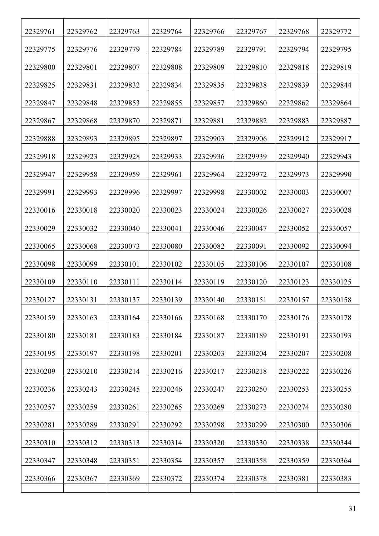| 22329761 | 22329762 | 22329763 | 22329764 | 22329766 | 22329767 | 22329768 | 22329772 |
|----------|----------|----------|----------|----------|----------|----------|----------|
| 22329775 | 22329776 | 22329779 | 22329784 | 22329789 | 22329791 | 22329794 | 22329795 |
| 22329800 | 22329801 | 22329807 | 22329808 | 22329809 | 22329810 | 22329818 | 22329819 |
| 22329825 | 22329831 | 22329832 | 22329834 | 22329835 | 22329838 | 22329839 | 22329844 |
| 22329847 | 22329848 | 22329853 | 22329855 | 22329857 | 22329860 | 22329862 | 22329864 |
| 22329867 | 22329868 | 22329870 | 22329871 | 22329881 | 22329882 | 22329883 | 22329887 |
| 22329888 | 22329893 | 22329895 | 22329897 | 22329903 | 22329906 | 22329912 | 22329917 |
| 22329918 | 22329923 | 22329928 | 22329933 | 22329936 | 22329939 | 22329940 | 22329943 |
| 22329947 | 22329958 | 22329959 | 22329961 | 22329964 | 22329972 | 22329973 | 22329990 |
| 22329991 | 22329993 | 22329996 | 22329997 | 22329998 | 22330002 | 22330003 | 22330007 |
| 22330016 | 22330018 | 22330020 | 22330023 | 22330024 | 22330026 | 22330027 | 22330028 |
| 22330029 | 22330032 | 22330040 | 22330041 | 22330046 | 22330047 | 22330052 | 22330057 |
| 22330065 | 22330068 | 22330073 | 22330080 | 22330082 | 22330091 | 22330092 | 22330094 |
| 22330098 | 22330099 | 22330101 | 22330102 | 22330105 | 22330106 | 22330107 | 22330108 |
| 22330109 | 22330110 | 22330111 | 22330114 | 22330119 | 22330120 | 22330123 | 22330125 |
| 22330127 | 22330131 | 22330137 | 22330139 | 22330140 | 22330151 | 22330157 | 22330158 |
| 22330159 | 22330163 | 22330164 | 22330166 | 22330168 | 22330170 | 22330176 | 22330178 |
| 22330180 | 22330181 | 22330183 | 22330184 | 22330187 | 22330189 | 22330191 | 22330193 |
| 22330195 | 22330197 | 22330198 | 22330201 | 22330203 | 22330204 | 22330207 | 22330208 |
| 22330209 | 22330210 | 22330214 | 22330216 | 22330217 | 22330218 | 22330222 | 22330226 |
| 22330236 | 22330243 | 22330245 | 22330246 | 22330247 | 22330250 | 22330253 | 22330255 |
| 22330257 | 22330259 | 22330261 | 22330265 | 22330269 | 22330273 | 22330274 | 22330280 |
| 22330281 | 22330289 | 22330291 | 22330292 | 22330298 | 22330299 | 22330300 | 22330306 |
| 22330310 | 22330312 | 22330313 | 22330314 | 22330320 | 22330330 | 22330338 | 22330344 |
| 22330347 | 22330348 | 22330351 | 22330354 | 22330357 | 22330358 | 22330359 | 22330364 |
| 22330366 | 22330367 | 22330369 | 22330372 | 22330374 | 22330378 | 22330381 | 22330383 |
|          |          |          |          |          |          |          |          |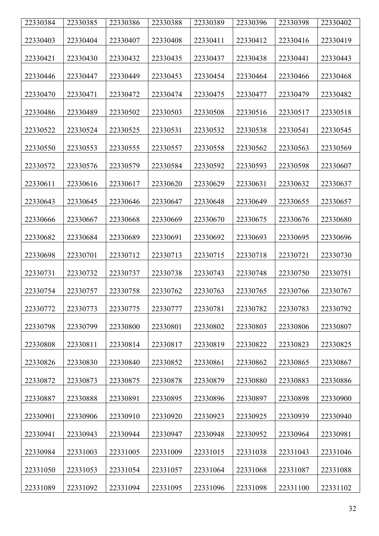| 22330384 | 22330385 | 22330386 | 22330388 | 22330389 | 22330396 | 22330398 | 22330402 |
|----------|----------|----------|----------|----------|----------|----------|----------|
|          |          |          |          |          |          |          |          |
| 22330403 | 22330404 | 22330407 | 22330408 | 22330411 | 22330412 | 22330416 | 22330419 |
| 22330421 | 22330430 | 22330432 | 22330435 | 22330437 | 22330438 | 22330441 | 22330443 |
|          |          |          |          |          |          |          |          |
| 22330446 | 22330447 | 22330449 | 22330453 | 22330454 | 22330464 | 22330466 | 22330468 |
| 22330470 | 22330471 | 22330472 | 22330474 | 22330475 | 22330477 | 22330479 | 22330482 |
|          |          |          |          |          |          |          |          |
| 22330486 | 22330489 | 22330502 | 22330503 | 22330508 | 22330516 | 22330517 | 22330518 |
| 22330522 | 22330524 | 22330525 | 22330531 | 22330532 | 22330538 | 22330541 | 22330545 |
|          | 22330553 | 22330555 |          |          |          |          |          |
| 22330550 |          |          | 22330557 | 22330558 | 22330562 | 22330563 | 22330569 |
| 22330572 | 22330576 | 22330579 | 22330584 | 22330592 | 22330593 | 22330598 | 22330607 |
| 22330611 | 22330616 | 22330617 | 22330620 | 22330629 | 22330631 | 22330632 | 22330637 |
|          |          |          |          |          |          |          |          |
| 22330643 | 22330645 | 22330646 | 22330647 | 22330648 | 22330649 | 22330655 | 22330657 |
| 22330666 | 22330667 | 22330668 | 22330669 | 22330670 | 22330675 | 22330676 | 22330680 |
|          |          |          |          |          |          |          |          |
| 22330682 | 22330684 | 22330689 | 22330691 | 22330692 | 22330693 | 22330695 | 22330696 |
| 22330698 | 22330701 | 22330712 | 22330713 | 22330715 | 22330718 | 22330721 | 22330730 |
|          |          |          |          |          |          |          |          |
| 22330731 | 22330732 | 22330737 | 22330738 | 22330743 | 22330748 | 22330750 | 22330751 |
| 22330754 | 22330757 | 22330758 | 22330762 | 22330763 | 22330765 | 22330766 | 22330767 |
|          |          |          |          |          |          |          |          |
| 22330772 | 22330773 | 22330775 | 22330777 | 22330781 | 22330782 | 22330783 | 22330792 |
| 22330798 | 22330799 | 22330800 | 22330801 | 22330802 | 22330803 | 22330806 | 22330807 |
|          |          |          |          |          |          |          |          |
| 22330808 | 22330811 | 22330814 | 22330817 | 22330819 | 22330822 | 22330823 | 22330825 |
| 22330826 | 22330830 | 22330840 | 22330852 | 22330861 | 22330862 | 22330865 | 22330867 |
|          |          |          |          |          |          |          |          |
| 22330872 | 22330873 | 22330875 | 22330878 | 22330879 | 22330880 | 22330883 | 22330886 |
| 22330887 | 22330888 | 22330891 | 22330895 | 22330896 | 22330897 | 22330898 | 22330900 |
|          |          |          |          |          |          |          |          |
| 22330901 | 22330906 | 22330910 | 22330920 | 22330923 | 22330925 | 22330939 | 22330940 |
| 22330941 | 22330943 | 22330944 | 22330947 | 22330948 | 22330952 | 22330964 | 22330981 |
|          |          |          |          |          |          |          |          |
| 22330984 | 22331003 | 22331005 | 22331009 | 22331015 | 22331038 | 22331043 | 22331046 |
| 22331050 | 22331053 | 22331054 | 22331057 | 22331064 | 22331068 | 22331087 | 22331088 |
|          |          |          |          |          |          |          |          |
| 22331089 | 22331092 | 22331094 | 22331095 | 22331096 | 22331098 | 22331100 | 22331102 |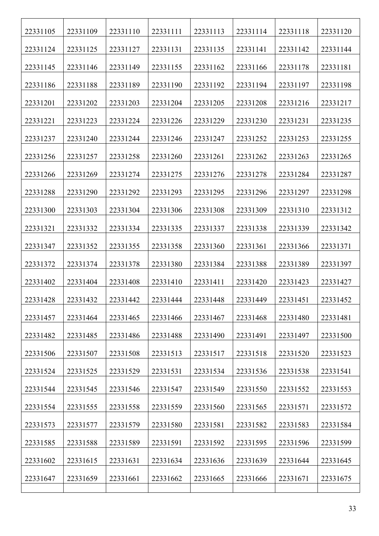| 22331105 | 22331109 | 22331110 | 22331111 | 22331113 | 22331114 | 22331118 | 22331120 |
|----------|----------|----------|----------|----------|----------|----------|----------|
| 22331124 | 22331125 | 22331127 | 22331131 | 22331135 | 22331141 | 22331142 | 22331144 |
| 22331145 | 22331146 | 22331149 | 22331155 | 22331162 | 22331166 | 22331178 | 22331181 |
| 22331186 | 22331188 | 22331189 | 22331190 | 22331192 | 22331194 | 22331197 | 22331198 |
| 22331201 | 22331202 | 22331203 | 22331204 | 22331205 | 22331208 | 22331216 | 22331217 |
| 22331221 | 22331223 | 22331224 | 22331226 | 22331229 | 22331230 | 22331231 | 22331235 |
| 22331237 | 22331240 | 22331244 | 22331246 | 22331247 | 22331252 | 22331253 | 22331255 |
| 22331256 | 22331257 | 22331258 | 22331260 | 22331261 | 22331262 | 22331263 | 22331265 |
| 22331266 | 22331269 | 22331274 | 22331275 | 22331276 | 22331278 | 22331284 | 22331287 |
| 22331288 | 22331290 | 22331292 | 22331293 | 22331295 | 22331296 | 22331297 | 22331298 |
| 22331300 | 22331303 | 22331304 | 22331306 | 22331308 | 22331309 | 22331310 | 22331312 |
| 22331321 | 22331332 | 22331334 | 22331335 | 22331337 | 22331338 | 22331339 | 22331342 |
| 22331347 | 22331352 | 22331355 | 22331358 | 22331360 | 22331361 | 22331366 | 22331371 |
| 22331372 | 22331374 | 22331378 | 22331380 | 22331384 | 22331388 | 22331389 | 22331397 |
| 22331402 | 22331404 | 22331408 | 22331410 | 22331411 | 22331420 | 22331423 | 22331427 |
| 22331428 | 22331432 | 22331442 | 22331444 | 22331448 | 22331449 | 22331451 | 22331452 |
| 22331457 | 22331464 | 22331465 | 22331466 | 22331467 | 22331468 | 22331480 | 22331481 |
| 22331482 | 22331485 | 22331486 | 22331488 | 22331490 | 22331491 | 22331497 | 22331500 |
| 22331506 | 22331507 | 22331508 | 22331513 | 22331517 | 22331518 | 22331520 | 22331523 |
| 22331524 | 22331525 | 22331529 | 22331531 | 22331534 | 22331536 | 22331538 | 22331541 |
| 22331544 | 22331545 | 22331546 | 22331547 | 22331549 | 22331550 | 22331552 | 22331553 |
| 22331554 | 22331555 | 22331558 | 22331559 | 22331560 | 22331565 | 22331571 | 22331572 |
| 22331573 | 22331577 | 22331579 | 22331580 | 22331581 | 22331582 | 22331583 | 22331584 |
| 22331585 | 22331588 | 22331589 | 22331591 | 22331592 | 22331595 | 22331596 | 22331599 |
| 22331602 | 22331615 | 22331631 | 22331634 | 22331636 | 22331639 | 22331644 | 22331645 |
| 22331647 | 22331659 | 22331661 | 22331662 | 22331665 | 22331666 | 22331671 | 22331675 |
|          |          |          |          |          |          |          |          |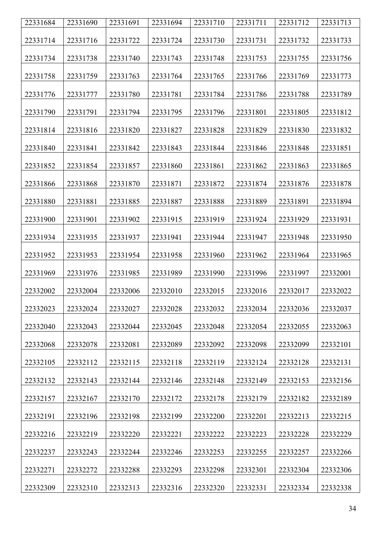| 22331684 | 22331690 | 22331691 | 22331694 | 22331710 | 22331711 | 22331712 | 22331713 |
|----------|----------|----------|----------|----------|----------|----------|----------|
| 22331714 | 22331716 | 22331722 | 22331724 | 22331730 | 22331731 | 22331732 | 22331733 |
| 22331734 | 22331738 | 22331740 | 22331743 | 22331748 | 22331753 | 22331755 | 22331756 |
| 22331758 | 22331759 | 22331763 | 22331764 | 22331765 | 22331766 | 22331769 | 22331773 |
| 22331776 | 22331777 | 22331780 | 22331781 | 22331784 | 22331786 | 22331788 | 22331789 |
| 22331790 | 22331791 | 22331794 | 22331795 | 22331796 | 22331801 | 22331805 | 22331812 |
| 22331814 | 22331816 | 22331820 | 22331827 | 22331828 | 22331829 | 22331830 | 22331832 |
| 22331840 | 22331841 | 22331842 | 22331843 | 22331844 | 22331846 | 22331848 | 22331851 |
| 22331852 | 22331854 | 22331857 | 22331860 | 22331861 | 22331862 | 22331863 | 22331865 |
| 22331866 | 22331868 | 22331870 | 22331871 | 22331872 | 22331874 | 22331876 | 22331878 |
| 22331880 | 22331881 | 22331885 | 22331887 | 22331888 | 22331889 | 22331891 | 22331894 |
| 22331900 | 22331901 | 22331902 | 22331915 | 22331919 | 22331924 | 22331929 | 22331931 |
| 22331934 | 22331935 | 22331937 | 22331941 | 22331944 | 22331947 | 22331948 | 22331950 |
| 22331952 | 22331953 | 22331954 | 22331958 | 22331960 | 22331962 | 22331964 | 22331965 |
| 22331969 | 22331976 | 22331985 | 22331989 | 22331990 | 22331996 | 22331997 | 22332001 |
| 22332002 | 22332004 | 22332006 | 22332010 | 22332015 | 22332016 | 22332017 | 22332022 |
| 22332023 | 22332024 | 22332027 | 22332028 | 22332032 | 22332034 | 22332036 | 22332037 |
| 22332040 | 22332043 | 22332044 | 22332045 | 22332048 | 22332054 | 22332055 | 22332063 |
| 22332068 | 22332078 | 22332081 | 22332089 | 22332092 | 22332098 | 22332099 | 22332101 |
| 22332105 | 22332112 | 22332115 | 22332118 | 22332119 | 22332124 | 22332128 | 22332131 |
| 22332132 | 22332143 | 22332144 | 22332146 | 22332148 | 22332149 | 22332153 | 22332156 |
| 22332157 | 22332167 | 22332170 | 22332172 | 22332178 | 22332179 | 22332182 | 22332189 |
| 22332191 | 22332196 | 22332198 | 22332199 | 22332200 | 22332201 | 22332213 | 22332215 |
| 22332216 | 22332219 | 22332220 | 22332221 | 22332222 | 22332223 | 22332228 | 22332229 |
| 22332237 | 22332243 | 22332244 | 22332246 | 22332253 | 22332255 | 22332257 | 22332266 |
| 22332271 | 22332272 | 22332288 | 22332293 | 22332298 | 22332301 | 22332304 | 22332306 |
| 22332309 | 22332310 | 22332313 | 22332316 | 22332320 | 22332331 | 22332334 | 22332338 |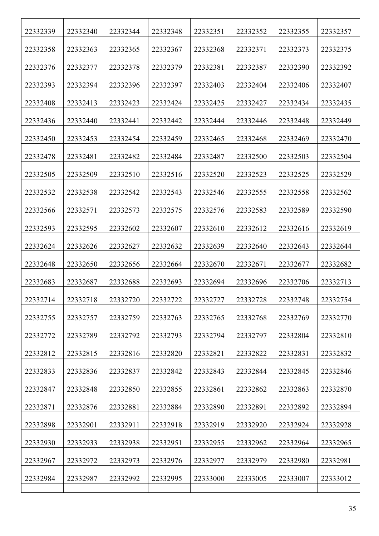| 22332339 | 22332340 | 22332344 | 22332348 | 22332351 | 22332352 | 22332355 | 22332357 |
|----------|----------|----------|----------|----------|----------|----------|----------|
| 22332358 | 22332363 | 22332365 | 22332367 | 22332368 | 22332371 | 22332373 | 22332375 |
| 22332376 | 22332377 | 22332378 | 22332379 | 22332381 | 22332387 | 22332390 | 22332392 |
| 22332393 | 22332394 | 22332396 | 22332397 | 22332403 | 22332404 | 22332406 | 22332407 |
| 22332408 | 22332413 | 22332423 | 22332424 | 22332425 | 22332427 | 22332434 | 22332435 |
| 22332436 | 22332440 | 22332441 | 22332442 | 22332444 | 22332446 | 22332448 | 22332449 |
| 22332450 | 22332453 | 22332454 | 22332459 | 22332465 | 22332468 | 22332469 | 22332470 |
| 22332478 | 22332481 | 22332482 | 22332484 | 22332487 | 22332500 | 22332503 | 22332504 |
| 22332505 | 22332509 | 22332510 | 22332516 | 22332520 | 22332523 | 22332525 | 22332529 |
| 22332532 | 22332538 | 22332542 | 22332543 | 22332546 | 22332555 | 22332558 | 22332562 |
| 22332566 | 22332571 | 22332573 | 22332575 | 22332576 | 22332583 | 22332589 | 22332590 |
| 22332593 | 22332595 | 22332602 | 22332607 | 22332610 | 22332612 | 22332616 | 22332619 |
| 22332624 | 22332626 | 22332627 | 22332632 | 22332639 | 22332640 | 22332643 | 22332644 |
| 22332648 | 22332650 | 22332656 | 22332664 | 22332670 | 22332671 | 22332677 | 22332682 |
| 22332683 | 22332687 | 22332688 | 22332693 | 22332694 | 22332696 | 22332706 | 22332713 |
| 22332714 | 22332718 | 22332720 | 22332722 | 22332727 | 22332728 | 22332748 | 22332754 |
| 22332755 | 22332757 | 22332759 | 22332763 | 22332765 | 22332768 | 22332769 | 22332770 |
| 22332772 | 22332789 | 22332792 | 22332793 | 22332794 | 22332797 | 22332804 | 22332810 |
| 22332812 | 22332815 | 22332816 | 22332820 | 22332821 | 22332822 | 22332831 | 22332832 |
| 22332833 | 22332836 | 22332837 | 22332842 | 22332843 | 22332844 | 22332845 | 22332846 |
| 22332847 | 22332848 | 22332850 | 22332855 | 22332861 | 22332862 | 22332863 | 22332870 |
| 22332871 | 22332876 | 22332881 | 22332884 | 22332890 | 22332891 | 22332892 | 22332894 |
| 22332898 | 22332901 | 22332911 | 22332918 | 22332919 | 22332920 | 22332924 | 22332928 |
| 22332930 | 22332933 | 22332938 | 22332951 | 22332955 | 22332962 | 22332964 | 22332965 |
| 22332967 | 22332972 | 22332973 | 22332976 | 22332977 | 22332979 | 22332980 | 22332981 |
| 22332984 | 22332987 | 22332992 | 22332995 | 22333000 | 22333005 | 22333007 | 22333012 |
|          |          |          |          |          |          |          |          |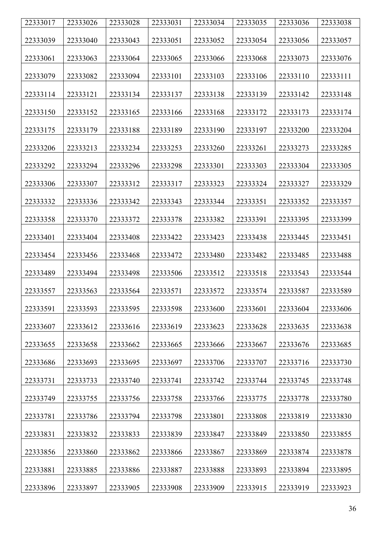| 22333017 | 22333026 | 22333028 | 22333031 | 22333034 | 22333035 | 22333036 | 22333038 |
|----------|----------|----------|----------|----------|----------|----------|----------|
| 22333039 | 22333040 | 22333043 | 22333051 | 22333052 | 22333054 | 22333056 | 22333057 |
|          |          |          |          |          |          |          |          |
| 22333061 | 22333063 | 22333064 | 22333065 | 22333066 | 22333068 | 22333073 | 22333076 |
| 22333079 | 22333082 | 22333094 | 22333101 | 22333103 | 22333106 | 22333110 | 22333111 |
| 22333114 | 22333121 | 22333134 | 22333137 | 22333138 | 22333139 | 22333142 | 22333148 |
| 22333150 | 22333152 | 22333165 | 22333166 | 22333168 | 22333172 | 22333173 | 22333174 |
| 22333175 | 22333179 | 22333188 | 22333189 | 22333190 | 22333197 | 22333200 | 22333204 |
| 22333206 | 22333213 | 22333234 | 22333253 | 22333260 | 22333261 | 22333273 | 22333285 |
| 22333292 | 22333294 | 22333296 | 22333298 | 22333301 | 22333303 | 22333304 | 22333305 |
| 22333306 | 22333307 | 22333312 | 22333317 | 22333323 | 22333324 | 22333327 | 22333329 |
| 22333332 | 22333336 | 22333342 | 22333343 | 22333344 | 22333351 | 22333352 | 22333357 |
| 22333358 | 22333370 | 22333372 | 22333378 | 22333382 | 22333391 | 22333395 | 22333399 |
| 22333401 | 22333404 | 22333408 | 22333422 | 22333423 | 22333438 | 22333445 | 22333451 |
| 22333454 | 22333456 | 22333468 | 22333472 | 22333480 | 22333482 | 22333485 | 22333488 |
| 22333489 | 22333494 | 22333498 | 22333506 | 22333512 | 22333518 | 22333543 | 22333544 |
| 22333557 | 22333563 | 22333564 | 22333571 | 22333572 | 22333574 | 22333587 | 22333589 |
| 22333591 | 22333593 | 22333595 | 22333598 | 22333600 | 22333601 | 22333604 | 22333606 |
| 22333607 | 22333612 | 22333616 | 22333619 | 22333623 | 22333628 | 22333635 | 22333638 |
| 22333655 | 22333658 | 22333662 | 22333665 | 22333666 | 22333667 | 22333676 | 22333685 |
| 22333686 | 22333693 | 22333695 | 22333697 | 22333706 | 22333707 | 22333716 | 22333730 |
| 22333731 | 22333733 | 22333740 | 22333741 | 22333742 | 22333744 | 22333745 | 22333748 |
| 22333749 | 22333755 | 22333756 | 22333758 | 22333766 | 22333775 | 22333778 | 22333780 |
| 22333781 | 22333786 | 22333794 | 22333798 | 22333801 | 22333808 | 22333819 | 22333830 |
| 22333831 | 22333832 | 22333833 | 22333839 | 22333847 | 22333849 | 22333850 | 22333855 |
| 22333856 | 22333860 | 22333862 | 22333866 | 22333867 | 22333869 | 22333874 | 22333878 |
| 22333881 | 22333885 | 22333886 | 22333887 | 22333888 | 22333893 | 22333894 | 22333895 |
| 22333896 | 22333897 | 22333905 | 22333908 | 22333909 | 22333915 | 22333919 | 22333923 |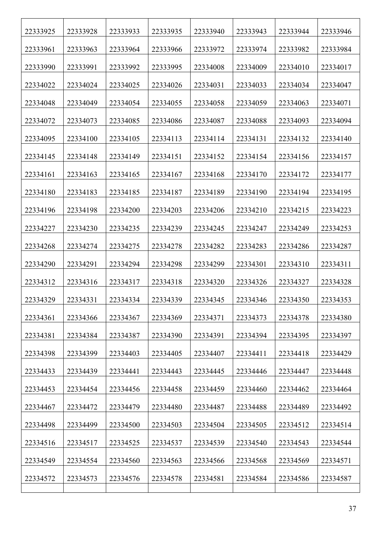| 22333925 | 22333928 | 22333933 | 22333935 | 22333940 | 22333943 | 22333944 | 22333946 |
|----------|----------|----------|----------|----------|----------|----------|----------|
| 22333961 | 22333963 | 22333964 | 22333966 | 22333972 | 22333974 | 22333982 | 22333984 |
| 22333990 | 22333991 | 22333992 | 22333995 | 22334008 | 22334009 | 22334010 | 22334017 |
| 22334022 | 22334024 | 22334025 | 22334026 | 22334031 | 22334033 | 22334034 | 22334047 |
| 22334048 | 22334049 | 22334054 | 22334055 | 22334058 | 22334059 | 22334063 | 22334071 |
| 22334072 | 22334073 | 22334085 | 22334086 | 22334087 | 22334088 | 22334093 | 22334094 |
| 22334095 | 22334100 | 22334105 | 22334113 | 22334114 | 22334131 | 22334132 | 22334140 |
| 22334145 | 22334148 | 22334149 | 22334151 | 22334152 | 22334154 | 22334156 | 22334157 |
| 22334161 | 22334163 | 22334165 | 22334167 | 22334168 | 22334170 | 22334172 | 22334177 |
| 22334180 | 22334183 | 22334185 | 22334187 | 22334189 | 22334190 | 22334194 | 22334195 |
| 22334196 | 22334198 | 22334200 | 22334203 | 22334206 | 22334210 | 22334215 | 22334223 |
| 22334227 | 22334230 | 22334235 | 22334239 | 22334245 | 22334247 | 22334249 | 22334253 |
| 22334268 | 22334274 | 22334275 | 22334278 | 22334282 | 22334283 | 22334286 | 22334287 |
| 22334290 | 22334291 | 22334294 | 22334298 | 22334299 | 22334301 | 22334310 | 22334311 |
| 22334312 | 22334316 | 22334317 | 22334318 | 22334320 | 22334326 | 22334327 | 22334328 |
| 22334329 | 22334331 | 22334334 | 22334339 | 22334345 | 22334346 | 22334350 | 22334353 |
| 22334361 | 22334366 | 22334367 | 22334369 | 22334371 | 22334373 | 22334378 | 22334380 |
| 22334381 | 22334384 | 22334387 | 22334390 | 22334391 | 22334394 | 22334395 | 22334397 |
| 22334398 | 22334399 | 22334403 | 22334405 | 22334407 | 22334411 | 22334418 | 22334429 |
| 22334433 | 22334439 | 22334441 | 22334443 | 22334445 | 22334446 | 22334447 | 22334448 |
| 22334453 | 22334454 | 22334456 | 22334458 | 22334459 | 22334460 | 22334462 | 22334464 |
| 22334467 | 22334472 | 22334479 | 22334480 | 22334487 | 22334488 | 22334489 | 22334492 |
| 22334498 | 22334499 | 22334500 | 22334503 | 22334504 | 22334505 | 22334512 | 22334514 |
| 22334516 | 22334517 | 22334525 | 22334537 | 22334539 | 22334540 | 22334543 | 22334544 |
| 22334549 | 22334554 | 22334560 | 22334563 | 22334566 | 22334568 | 22334569 | 22334571 |
| 22334572 | 22334573 | 22334576 | 22334578 | 22334581 | 22334584 | 22334586 | 22334587 |
|          |          |          |          |          |          |          |          |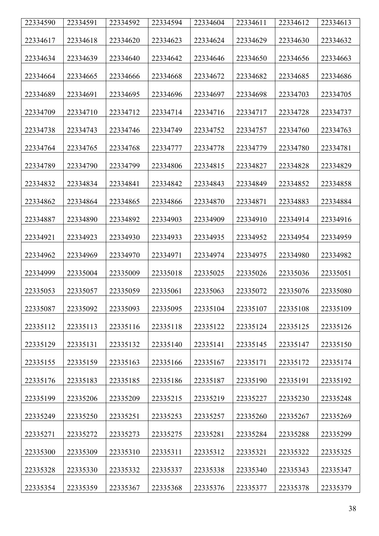| 22334590 | 22334591 | 22334592 | 22334594 | 22334604 | 22334611 | 22334612 | 22334613 |
|----------|----------|----------|----------|----------|----------|----------|----------|
|          |          |          |          |          |          |          |          |
| 22334617 | 22334618 | 22334620 | 22334623 | 22334624 | 22334629 | 22334630 | 22334632 |
| 22334634 | 22334639 | 22334640 | 22334642 | 22334646 | 22334650 | 22334656 | 22334663 |
|          |          |          |          |          |          |          |          |
| 22334664 | 22334665 | 22334666 | 22334668 | 22334672 | 22334682 | 22334685 | 22334686 |
| 22334689 | 22334691 | 22334695 | 22334696 | 22334697 | 22334698 | 22334703 | 22334705 |
|          |          |          |          |          |          |          |          |
| 22334709 | 22334710 | 22334712 | 22334714 | 22334716 | 22334717 | 22334728 | 22334737 |
| 22334738 | 22334743 | 22334746 | 22334749 | 22334752 | 22334757 | 22334760 | 22334763 |
|          |          |          |          |          |          |          |          |
| 22334764 | 22334765 | 22334768 | 22334777 | 22334778 | 22334779 | 22334780 | 22334781 |
| 22334789 | 22334790 | 22334799 | 22334806 | 22334815 | 22334827 | 22334828 | 22334829 |
|          |          |          |          |          |          |          |          |
| 22334832 | 22334834 | 22334841 | 22334842 | 22334843 | 22334849 | 22334852 | 22334858 |
| 22334862 | 22334864 | 22334865 | 22334866 | 22334870 | 22334871 | 22334883 | 22334884 |
|          |          |          |          |          |          |          |          |
| 22334887 | 22334890 | 22334892 | 22334903 | 22334909 | 22334910 | 22334914 | 22334916 |
| 22334921 | 22334923 | 22334930 | 22334933 | 22334935 | 22334952 | 22334954 | 22334959 |
|          |          |          |          |          |          |          |          |
| 22334962 | 22334969 | 22334970 | 22334971 | 22334974 | 22334975 | 22334980 | 22334982 |
| 22334999 | 22335004 | 22335009 | 22335018 | 22335025 | 22335026 | 22335036 | 22335051 |
|          |          |          |          |          |          |          |          |
| 22335053 | 22335057 | 22335059 | 22335061 | 22335063 | 22335072 | 22335076 | 22335080 |
| 22335087 | 22335092 | 22335093 | 22335095 | 22335104 | 22335107 | 22335108 | 22335109 |
|          |          |          |          |          |          |          |          |
| 22335112 | 22335113 | 22335116 | 22335118 | 22335122 | 22335124 | 22335125 | 22335126 |
| 22335129 | 22335131 | 22335132 | 22335140 | 22335141 | 22335145 | 22335147 | 22335150 |
|          |          |          |          |          |          |          |          |
| 22335155 | 22335159 | 22335163 | 22335166 | 22335167 | 22335171 | 22335172 | 22335174 |
| 22335176 | 22335183 | 22335185 | 22335186 | 22335187 | 22335190 | 22335191 | 22335192 |
|          |          |          |          |          |          |          |          |
| 22335199 | 22335206 | 22335209 | 22335215 | 22335219 | 22335227 | 22335230 | 22335248 |
| 22335249 | 22335250 | 22335251 | 22335253 | 22335257 | 22335260 | 22335267 | 22335269 |
|          |          |          |          |          |          |          |          |
| 22335271 | 22335272 | 22335273 | 22335275 | 22335281 | 22335284 | 22335288 | 22335299 |
| 22335300 | 22335309 | 22335310 | 22335311 | 22335312 | 22335321 | 22335322 | 22335325 |
|          |          |          |          |          |          |          |          |
| 22335328 | 22335330 | 22335332 | 22335337 | 22335338 | 22335340 | 22335343 | 22335347 |
| 22335354 | 22335359 | 22335367 | 22335368 | 22335376 | 22335377 | 22335378 | 22335379 |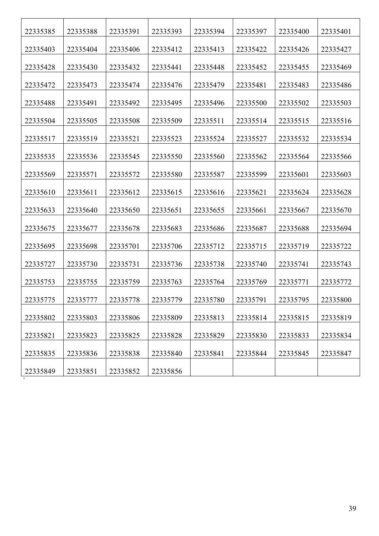| 22335385 | 22335388 | 22335391 | 22335393 | 22335394 | 22335397 | 22335400 | 22335401 |
|----------|----------|----------|----------|----------|----------|----------|----------|
| 22335403 | 22335404 | 22335406 | 22335412 | 22335413 | 22335422 | 22335426 | 22335427 |
| 22335428 | 22335430 | 22335432 | 22335441 | 22335448 | 22335452 | 22335455 | 22335469 |
| 22335472 | 22335473 | 22335474 | 22335476 | 22335479 | 22335481 | 22335483 | 22335486 |
| 22335488 | 22335491 | 22335492 | 22335495 | 22335496 | 22335500 | 22335502 | 22335503 |
| 22335504 | 22335505 | 22335508 | 22335509 | 22335511 | 22335514 | 22335515 | 22335516 |
| 22335517 | 22335519 | 22335521 | 22335523 | 22335524 | 22335527 | 22335532 | 22335534 |
| 22335535 | 22335536 | 22335545 | 22335550 | 22335560 | 22335562 | 22335564 | 22335566 |
| 22335569 | 22335571 | 22335572 | 22335580 | 22335587 | 22335599 | 22335601 | 22335603 |
| 22335610 | 22335611 | 22335612 | 22335615 | 22335616 | 22335621 | 22335624 | 22335628 |
| 22335633 | 22335640 | 22335650 | 22335651 | 22335655 | 22335661 | 22335667 | 22335670 |
| 22335675 | 22335677 | 22335678 | 22335683 | 22335686 | 22335687 | 22335688 | 22335694 |
| 22335695 | 22335698 | 22335701 | 22335706 | 22335712 | 22335715 | 22335719 | 22335722 |
| 22335727 | 22335730 | 22335731 | 22335736 | 22335738 | 22335740 | 22335741 | 22335743 |
| 22335753 | 22335755 | 22335759 | 22335763 | 22335764 | 22335769 | 22335771 | 22335772 |
| 22335775 | 22335777 | 22335778 | 22335779 | 22335780 | 22335791 | 22335795 | 22335800 |
| 22335802 | 22335803 | 22335806 | 22335809 | 22335813 | 22335814 | 22335815 | 22335819 |
| 22335821 | 22335823 | 22335825 | 22335828 | 22335829 | 22335830 | 22335833 | 22335834 |
| 22335835 | 22335836 | 22335838 | 22335840 | 22335841 | 22335844 | 22335845 | 22335847 |
| 22335849 | 22335851 | 22335852 | 22335856 |          |          |          |          |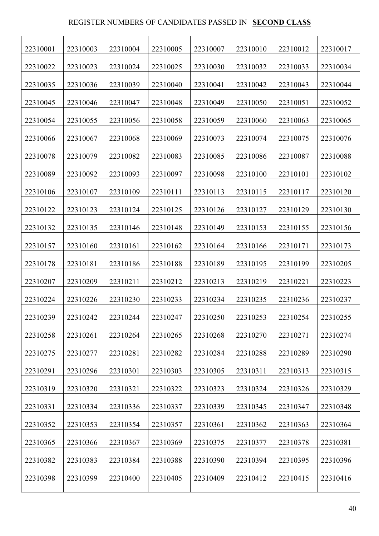## REGISTER NUMBERS OF CANDIDATES PASSED IN **SECOND CLASS**

| 22310001 | 22310003 | 22310004 | 22310005 | 22310007 | 22310010 | 22310012 | 22310017 |
|----------|----------|----------|----------|----------|----------|----------|----------|
| 22310022 | 22310023 | 22310024 | 22310025 | 22310030 | 22310032 | 22310033 | 22310034 |
| 22310035 | 22310036 | 22310039 | 22310040 | 22310041 | 22310042 | 22310043 | 22310044 |
| 22310045 | 22310046 | 22310047 | 22310048 | 22310049 | 22310050 | 22310051 | 22310052 |
| 22310054 | 22310055 | 22310056 | 22310058 | 22310059 | 22310060 | 22310063 | 22310065 |
| 22310066 | 22310067 | 22310068 | 22310069 | 22310073 | 22310074 | 22310075 | 22310076 |
| 22310078 | 22310079 | 22310082 | 22310083 | 22310085 | 22310086 | 22310087 | 22310088 |
| 22310089 | 22310092 | 22310093 | 22310097 | 22310098 | 22310100 | 22310101 | 22310102 |
| 22310106 | 22310107 | 22310109 | 22310111 | 22310113 | 22310115 | 22310117 | 22310120 |
|          |          |          |          |          |          |          |          |
| 22310122 | 22310123 | 22310124 | 22310125 | 22310126 | 22310127 | 22310129 | 22310130 |
| 22310132 | 22310135 | 22310146 | 22310148 | 22310149 | 22310153 | 22310155 | 22310156 |
| 22310157 | 22310160 | 22310161 | 22310162 | 22310164 | 22310166 | 22310171 | 22310173 |
| 22310178 | 22310181 | 22310186 | 22310188 | 22310189 | 22310195 | 22310199 | 22310205 |
| 22310207 | 22310209 | 22310211 | 22310212 | 22310213 | 22310219 | 22310221 | 22310223 |
| 22310224 | 22310226 | 22310230 | 22310233 | 22310234 | 22310235 | 22310236 | 22310237 |
| 22310239 | 22310242 | 22310244 | 22310247 | 22310250 | 22310253 | 22310254 | 22310255 |
| 22310258 | 22310261 | 22310264 | 22310265 | 22310268 | 22310270 | 22310271 | 22310274 |
| 22310275 | 22310277 | 22310281 | 22310282 | 22310284 | 22310288 | 22310289 | 22310290 |
| 22310291 | 22310296 | 22310301 | 22310303 | 22310305 | 22310311 | 22310313 | 22310315 |
| 22310319 | 22310320 | 22310321 | 22310322 | 22310323 | 22310324 | 22310326 | 22310329 |
| 22310331 | 22310334 | 22310336 | 22310337 | 22310339 | 22310345 | 22310347 | 22310348 |
| 22310352 | 22310353 | 22310354 | 22310357 | 22310361 | 22310362 | 22310363 | 22310364 |
| 22310365 | 22310366 | 22310367 | 22310369 | 22310375 | 22310377 | 22310378 | 22310381 |
|          |          |          |          |          |          |          |          |
| 22310382 | 22310383 | 22310384 | 22310388 | 22310390 | 22310394 | 22310395 | 22310396 |
| 22310398 | 22310399 | 22310400 | 22310405 | 22310409 | 22310412 | 22310415 | 22310416 |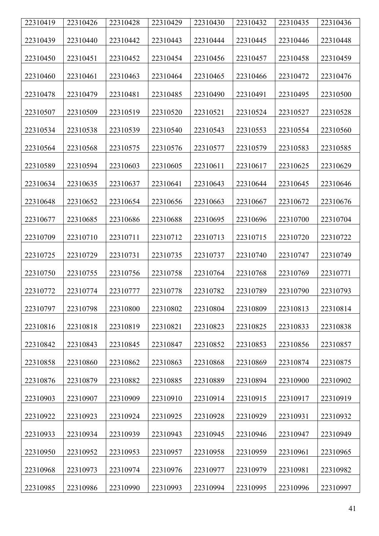| 22310419 | 22310426 | 22310428 | 22310429 | 22310430 | 22310432 | 22310435 | 22310436 |
|----------|----------|----------|----------|----------|----------|----------|----------|
| 22310439 | 22310440 | 22310442 | 22310443 | 22310444 | 22310445 | 22310446 | 22310448 |
| 22310450 | 22310451 | 22310452 | 22310454 | 22310456 | 22310457 | 22310458 | 22310459 |
| 22310460 | 22310461 | 22310463 | 22310464 | 22310465 | 22310466 | 22310472 | 22310476 |
| 22310478 | 22310479 | 22310481 | 22310485 | 22310490 | 22310491 | 22310495 | 22310500 |
| 22310507 | 22310509 | 22310519 | 22310520 | 22310521 | 22310524 | 22310527 | 22310528 |
| 22310534 | 22310538 | 22310539 | 22310540 | 22310543 | 22310553 | 22310554 | 22310560 |
| 22310564 | 22310568 | 22310575 | 22310576 | 22310577 | 22310579 | 22310583 | 22310585 |
| 22310589 | 22310594 | 22310603 | 22310605 | 22310611 | 22310617 | 22310625 | 22310629 |
| 22310634 | 22310635 | 22310637 | 22310641 | 22310643 | 22310644 | 22310645 | 22310646 |
| 22310648 | 22310652 | 22310654 | 22310656 | 22310663 | 22310667 | 22310672 | 22310676 |
| 22310677 | 22310685 | 22310686 | 22310688 | 22310695 | 22310696 | 22310700 | 22310704 |
| 22310709 | 22310710 | 22310711 | 22310712 | 22310713 | 22310715 | 22310720 | 22310722 |
| 22310725 | 22310729 | 22310731 | 22310735 | 22310737 | 22310740 | 22310747 | 22310749 |
| 22310750 | 22310755 | 22310756 | 22310758 | 22310764 | 22310768 | 22310769 | 22310771 |
| 22310772 | 22310774 | 22310777 | 22310778 | 22310782 | 22310789 | 22310790 | 22310793 |
| 22310797 | 22310798 | 22310800 | 22310802 | 22310804 | 22310809 | 22310813 | 22310814 |
| 22310816 | 22310818 | 22310819 | 22310821 | 22310823 | 22310825 | 22310833 | 22310838 |
| 22310842 | 22310843 | 22310845 | 22310847 | 22310852 | 22310853 | 22310856 | 22310857 |
| 22310858 | 22310860 | 22310862 | 22310863 | 22310868 | 22310869 | 22310874 | 22310875 |
| 22310876 | 22310879 | 22310882 | 22310885 | 22310889 | 22310894 | 22310900 | 22310902 |
| 22310903 | 22310907 | 22310909 | 22310910 | 22310914 | 22310915 | 22310917 | 22310919 |
| 22310922 | 22310923 | 22310924 | 22310925 | 22310928 | 22310929 | 22310931 | 22310932 |
| 22310933 | 22310934 | 22310939 | 22310943 | 22310945 | 22310946 | 22310947 | 22310949 |
| 22310950 | 22310952 | 22310953 | 22310957 | 22310958 | 22310959 | 22310961 | 22310965 |
| 22310968 | 22310973 | 22310974 | 22310976 | 22310977 | 22310979 | 22310981 | 22310982 |
| 22310985 | 22310986 | 22310990 | 22310993 | 22310994 | 22310995 | 22310996 | 22310997 |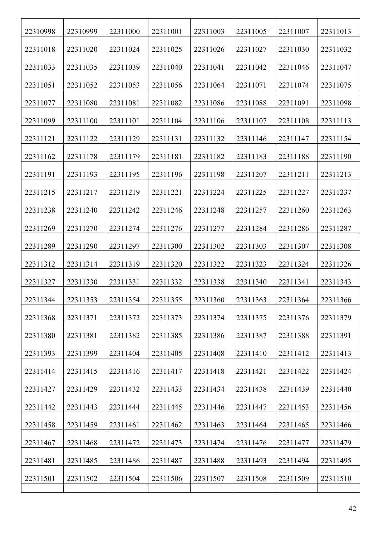| 22310998 | 22310999 | 22311000 | 22311001 | 22311003 | 22311005 | 22311007 | 22311013 |
|----------|----------|----------|----------|----------|----------|----------|----------|
| 22311018 | 22311020 | 22311024 | 22311025 | 22311026 | 22311027 | 22311030 | 22311032 |
| 22311033 | 22311035 | 22311039 | 22311040 | 22311041 | 22311042 | 22311046 | 22311047 |
| 22311051 | 22311052 | 22311053 | 22311056 | 22311064 | 22311071 | 22311074 | 22311075 |
| 22311077 | 22311080 | 22311081 | 22311082 | 22311086 | 22311088 | 22311091 | 22311098 |
| 22311099 | 22311100 | 22311101 | 22311104 | 22311106 | 22311107 | 22311108 | 22311113 |
| 22311121 | 22311122 | 22311129 | 22311131 | 22311132 | 22311146 | 22311147 | 22311154 |
| 22311162 | 22311178 | 22311179 | 22311181 | 22311182 | 22311183 | 22311188 | 22311190 |
| 22311191 | 22311193 | 22311195 | 22311196 | 22311198 | 22311207 | 22311211 | 22311213 |
| 22311215 | 22311217 | 22311219 | 22311221 | 22311224 | 22311225 | 22311227 | 22311237 |
| 22311238 | 22311240 | 22311242 | 22311246 | 22311248 | 22311257 | 22311260 | 22311263 |
| 22311269 | 22311270 | 22311274 | 22311276 | 22311277 | 22311284 | 22311286 | 22311287 |
| 22311289 | 22311290 | 22311297 | 22311300 | 22311302 | 22311303 | 22311307 | 22311308 |
| 22311312 | 22311314 | 22311319 | 22311320 | 22311322 | 22311323 | 22311324 | 22311326 |
| 22311327 | 22311330 | 22311331 | 22311332 | 22311338 | 22311340 | 22311341 | 22311343 |
| 22311344 | 22311353 | 22311354 | 22311355 | 22311360 | 22311363 | 22311364 | 22311366 |
| 22311368 | 22311371 | 22311372 | 22311373 | 22311374 | 22311375 | 22311376 | 22311379 |
| 22311380 | 22311381 | 22311382 | 22311385 | 22311386 | 22311387 | 22311388 | 22311391 |
| 22311393 | 22311399 | 22311404 | 22311405 | 22311408 | 22311410 | 22311412 | 22311413 |
| 22311414 | 22311415 | 22311416 | 22311417 | 22311418 | 22311421 | 22311422 | 22311424 |
| 22311427 | 22311429 | 22311432 | 22311433 | 22311434 | 22311438 | 22311439 | 22311440 |
| 22311442 | 22311443 | 22311444 | 22311445 | 22311446 | 22311447 | 22311453 | 22311456 |
| 22311458 | 22311459 | 22311461 | 22311462 | 22311463 | 22311464 | 22311465 | 22311466 |
| 22311467 | 22311468 | 22311472 | 22311473 | 22311474 | 22311476 | 22311477 | 22311479 |
| 22311481 | 22311485 | 22311486 | 22311487 | 22311488 | 22311493 | 22311494 | 22311495 |
| 22311501 | 22311502 | 22311504 | 22311506 | 22311507 | 22311508 | 22311509 | 22311510 |
|          |          |          |          |          |          |          |          |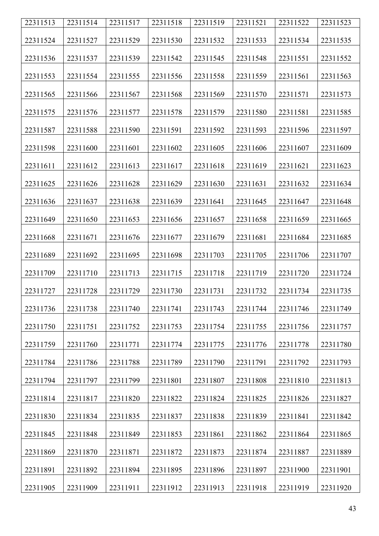| 22311513 | 22311514 | 22311517 | 22311518 | 22311519 | 22311521 | 22311522 | 22311523 |
|----------|----------|----------|----------|----------|----------|----------|----------|
| 22311524 | 22311527 | 22311529 | 22311530 | 22311532 | 22311533 | 22311534 | 22311535 |
| 22311536 | 22311537 | 22311539 | 22311542 | 22311545 | 22311548 | 22311551 | 22311552 |
| 22311553 | 22311554 | 22311555 | 22311556 | 22311558 | 22311559 | 22311561 | 22311563 |
| 22311565 | 22311566 | 22311567 | 22311568 | 22311569 | 22311570 | 22311571 | 22311573 |
| 22311575 | 22311576 | 22311577 | 22311578 | 22311579 | 22311580 | 22311581 | 22311585 |
| 22311587 | 22311588 | 22311590 | 22311591 | 22311592 | 22311593 | 22311596 | 22311597 |
| 22311598 | 22311600 | 22311601 | 22311602 | 22311605 | 22311606 | 22311607 | 22311609 |
| 22311611 | 22311612 | 22311613 | 22311617 | 22311618 | 22311619 | 22311621 | 22311623 |
| 22311625 | 22311626 | 22311628 | 22311629 | 22311630 | 22311631 | 22311632 | 22311634 |
| 22311636 | 22311637 | 22311638 | 22311639 | 22311641 | 22311645 | 22311647 | 22311648 |
| 22311649 | 22311650 | 22311653 | 22311656 | 22311657 | 22311658 | 22311659 | 22311665 |
| 22311668 | 22311671 | 22311676 | 22311677 | 22311679 | 22311681 | 22311684 | 22311685 |
| 22311689 | 22311692 | 22311695 | 22311698 | 22311703 | 22311705 | 22311706 | 22311707 |
| 22311709 | 22311710 | 22311713 | 22311715 | 22311718 | 22311719 | 22311720 | 22311724 |
| 22311727 | 22311728 | 22311729 | 22311730 | 22311731 | 22311732 | 22311734 | 22311735 |
| 22311736 | 22311738 | 22311740 | 22311741 | 22311743 | 22311744 | 22311746 | 22311749 |
| 22311750 | 22311751 | 22311752 | 22311753 | 22311754 | 22311755 | 22311756 | 22311757 |
| 22311759 | 22311760 | 22311771 | 22311774 | 22311775 | 22311776 | 22311778 | 22311780 |
| 22311784 | 22311786 | 22311788 | 22311789 | 22311790 | 22311791 | 22311792 | 22311793 |
| 22311794 | 22311797 | 22311799 | 22311801 | 22311807 | 22311808 | 22311810 | 22311813 |
| 22311814 | 22311817 | 22311820 | 22311822 | 22311824 | 22311825 | 22311826 | 22311827 |
| 22311830 | 22311834 | 22311835 | 22311837 | 22311838 | 22311839 | 22311841 | 22311842 |
| 22311845 | 22311848 | 22311849 | 22311853 | 22311861 | 22311862 | 22311864 | 22311865 |
| 22311869 | 22311870 | 22311871 | 22311872 | 22311873 | 22311874 | 22311887 | 22311889 |
| 22311891 | 22311892 | 22311894 | 22311895 | 22311896 | 22311897 | 22311900 | 22311901 |
| 22311905 | 22311909 | 22311911 | 22311912 | 22311913 | 22311918 | 22311919 | 22311920 |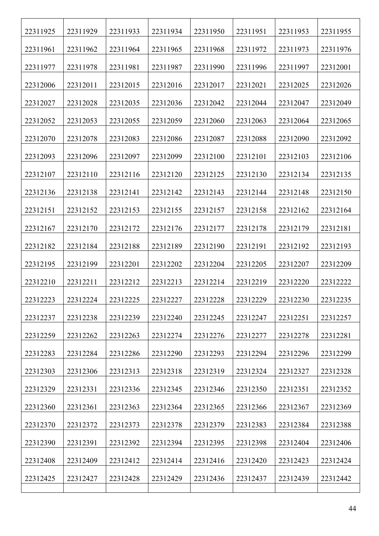| 22311925 | 22311929 | 22311933 | 22311934 | 22311950 | 22311951 | 22311953 | 22311955 |
|----------|----------|----------|----------|----------|----------|----------|----------|
| 22311961 | 22311962 | 22311964 | 22311965 | 22311968 | 22311972 | 22311973 | 22311976 |
| 22311977 | 22311978 | 22311981 | 22311987 | 22311990 | 22311996 | 22311997 | 22312001 |
| 22312006 | 22312011 | 22312015 | 22312016 | 22312017 | 22312021 | 22312025 | 22312026 |
| 22312027 | 22312028 | 22312035 | 22312036 | 22312042 | 22312044 | 22312047 | 22312049 |
| 22312052 | 22312053 | 22312055 | 22312059 | 22312060 | 22312063 | 22312064 | 22312065 |
| 22312070 | 22312078 | 22312083 | 22312086 | 22312087 | 22312088 | 22312090 | 22312092 |
| 22312093 | 22312096 | 22312097 | 22312099 | 22312100 | 22312101 | 22312103 | 22312106 |
| 22312107 | 22312110 | 22312116 | 22312120 | 22312125 | 22312130 | 22312134 | 22312135 |
| 22312136 | 22312138 | 22312141 | 22312142 | 22312143 | 22312144 | 22312148 | 22312150 |
| 22312151 | 22312152 | 22312153 | 22312155 | 22312157 | 22312158 | 22312162 | 22312164 |
| 22312167 | 22312170 | 22312172 | 22312176 | 22312177 | 22312178 | 22312179 | 22312181 |
| 22312182 | 22312184 | 22312188 | 22312189 | 22312190 | 22312191 | 22312192 | 22312193 |
| 22312195 | 22312199 | 22312201 | 22312202 | 22312204 | 22312205 | 22312207 | 22312209 |
| 22312210 | 22312211 | 22312212 | 22312213 | 22312214 | 22312219 | 22312220 | 22312222 |
| 22312223 | 22312224 | 22312225 | 22312227 | 22312228 | 22312229 | 22312230 | 22312235 |
| 22312237 | 22312238 | 22312239 | 22312240 | 22312245 | 22312247 | 22312251 | 22312257 |
| 22312259 | 22312262 | 22312263 | 22312274 | 22312276 | 22312277 | 22312278 | 22312281 |
| 22312283 | 22312284 | 22312286 | 22312290 | 22312293 | 22312294 | 22312296 | 22312299 |
| 22312303 | 22312306 | 22312313 | 22312318 | 22312319 | 22312324 | 22312327 | 22312328 |
| 22312329 | 22312331 | 22312336 | 22312345 | 22312346 | 22312350 | 22312351 | 22312352 |
| 22312360 | 22312361 | 22312363 | 22312364 | 22312365 | 22312366 | 22312367 | 22312369 |
| 22312370 | 22312372 | 22312373 | 22312378 | 22312379 | 22312383 | 22312384 | 22312388 |
| 22312390 | 22312391 | 22312392 | 22312394 | 22312395 | 22312398 | 22312404 | 22312406 |
| 22312408 | 22312409 | 22312412 | 22312414 | 22312416 | 22312420 | 22312423 | 22312424 |
| 22312425 | 22312427 | 22312428 | 22312429 | 22312436 | 22312437 | 22312439 | 22312442 |
|          |          |          |          |          |          |          |          |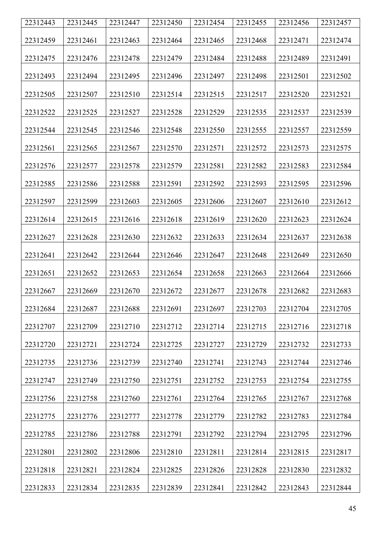| 22312443 | 22312445 | 22312447 | 22312450 | 22312454 | 22312455 | 22312456 | 22312457 |
|----------|----------|----------|----------|----------|----------|----------|----------|
| 22312459 | 22312461 | 22312463 | 22312464 | 22312465 | 22312468 | 22312471 | 22312474 |
| 22312475 | 22312476 | 22312478 | 22312479 | 22312484 | 22312488 | 22312489 | 22312491 |
| 22312493 | 22312494 | 22312495 | 22312496 | 22312497 | 22312498 | 22312501 | 22312502 |
| 22312505 | 22312507 | 22312510 | 22312514 | 22312515 | 22312517 | 22312520 | 22312521 |
| 22312522 | 22312525 | 22312527 | 22312528 | 22312529 | 22312535 | 22312537 | 22312539 |
| 22312544 | 22312545 | 22312546 | 22312548 | 22312550 | 22312555 | 22312557 | 22312559 |
| 22312561 | 22312565 | 22312567 | 22312570 | 22312571 | 22312572 | 22312573 | 22312575 |
| 22312576 | 22312577 | 22312578 | 22312579 | 22312581 | 22312582 | 22312583 | 22312584 |
| 22312585 | 22312586 | 22312588 | 22312591 | 22312592 | 22312593 | 22312595 | 22312596 |
| 22312597 | 22312599 | 22312603 | 22312605 | 22312606 | 22312607 | 22312610 | 22312612 |
| 22312614 | 22312615 | 22312616 | 22312618 | 22312619 | 22312620 | 22312623 | 22312624 |
| 22312627 | 22312628 | 22312630 | 22312632 | 22312633 | 22312634 | 22312637 | 22312638 |
| 22312641 | 22312642 | 22312644 | 22312646 | 22312647 | 22312648 | 22312649 | 22312650 |
| 22312651 | 22312652 | 22312653 | 22312654 | 22312658 | 22312663 | 22312664 | 22312666 |
| 22312667 | 22312669 | 22312670 | 22312672 | 22312677 | 22312678 | 22312682 | 22312683 |
| 22312684 | 22312687 | 22312688 | 22312691 | 22312697 | 22312703 | 22312704 | 22312705 |
| 22312707 | 22312709 | 22312710 | 22312712 | 22312714 | 22312715 | 22312716 | 22312718 |
| 22312720 | 22312721 | 22312724 | 22312725 | 22312727 | 22312729 | 22312732 | 22312733 |
| 22312735 | 22312736 | 22312739 | 22312740 | 22312741 | 22312743 | 22312744 | 22312746 |
| 22312747 | 22312749 | 22312750 | 22312751 | 22312752 | 22312753 | 22312754 | 22312755 |
| 22312756 | 22312758 | 22312760 | 22312761 | 22312764 | 22312765 | 22312767 | 22312768 |
| 22312775 | 22312776 | 22312777 | 22312778 | 22312779 | 22312782 | 22312783 | 22312784 |
| 22312785 | 22312786 | 22312788 | 22312791 | 22312792 | 22312794 | 22312795 | 22312796 |
| 22312801 | 22312802 | 22312806 | 22312810 | 22312811 | 22312814 | 22312815 | 22312817 |
| 22312818 | 22312821 | 22312824 | 22312825 | 22312826 | 22312828 | 22312830 | 22312832 |
| 22312833 | 22312834 | 22312835 | 22312839 | 22312841 | 22312842 | 22312843 | 22312844 |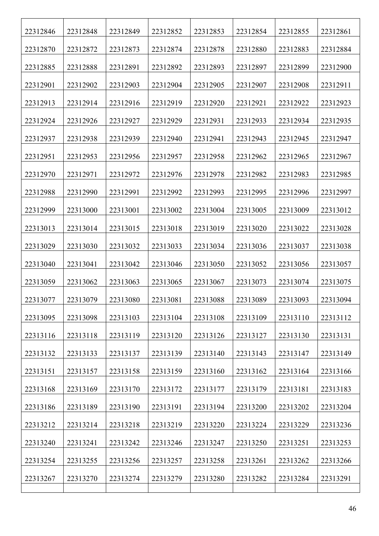| 22312846 | 22312848 | 22312849 | 22312852 | 22312853 | 22312854 | 22312855 | 22312861 |
|----------|----------|----------|----------|----------|----------|----------|----------|
| 22312870 | 22312872 | 22312873 | 22312874 | 22312878 | 22312880 | 22312883 | 22312884 |
| 22312885 | 22312888 | 22312891 | 22312892 | 22312893 | 22312897 | 22312899 | 22312900 |
| 22312901 | 22312902 | 22312903 | 22312904 | 22312905 | 22312907 | 22312908 | 22312911 |
| 22312913 | 22312914 | 22312916 | 22312919 | 22312920 | 22312921 | 22312922 | 22312923 |
| 22312924 | 22312926 | 22312927 | 22312929 | 22312931 | 22312933 | 22312934 | 22312935 |
| 22312937 | 22312938 | 22312939 | 22312940 | 22312941 | 22312943 | 22312945 | 22312947 |
| 22312951 | 22312953 | 22312956 | 22312957 | 22312958 | 22312962 | 22312965 | 22312967 |
| 22312970 | 22312971 | 22312972 | 22312976 | 22312978 | 22312982 | 22312983 | 22312985 |
| 22312988 | 22312990 | 22312991 | 22312992 | 22312993 | 22312995 | 22312996 | 22312997 |
| 22312999 | 22313000 | 22313001 | 22313002 | 22313004 | 22313005 | 22313009 | 22313012 |
| 22313013 | 22313014 | 22313015 | 22313018 | 22313019 | 22313020 | 22313022 | 22313028 |
| 22313029 | 22313030 | 22313032 | 22313033 | 22313034 | 22313036 | 22313037 | 22313038 |
| 22313040 | 22313041 | 22313042 | 22313046 | 22313050 | 22313052 | 22313056 | 22313057 |
| 22313059 | 22313062 | 22313063 | 22313065 | 22313067 | 22313073 | 22313074 | 22313075 |
| 22313077 | 22313079 | 22313080 | 22313081 | 22313088 | 22313089 | 22313093 | 22313094 |
| 22313095 | 22313098 | 22313103 | 22313104 | 22313108 | 22313109 | 22313110 | 22313112 |
| 22313116 | 22313118 | 22313119 | 22313120 | 22313126 | 22313127 | 22313130 | 22313131 |
| 22313132 | 22313133 | 22313137 | 22313139 | 22313140 | 22313143 | 22313147 | 22313149 |
| 22313151 | 22313157 | 22313158 | 22313159 | 22313160 | 22313162 | 22313164 | 22313166 |
| 22313168 | 22313169 | 22313170 | 22313172 | 22313177 | 22313179 | 22313181 | 22313183 |
| 22313186 | 22313189 | 22313190 | 22313191 | 22313194 | 22313200 | 22313202 | 22313204 |
| 22313212 | 22313214 | 22313218 | 22313219 | 22313220 | 22313224 | 22313229 | 22313236 |
| 22313240 | 22313241 | 22313242 | 22313246 | 22313247 | 22313250 | 22313251 | 22313253 |
| 22313254 | 22313255 | 22313256 | 22313257 | 22313258 | 22313261 | 22313262 | 22313266 |
| 22313267 | 22313270 | 22313274 | 22313279 | 22313280 | 22313282 | 22313284 | 22313291 |
|          |          |          |          |          |          |          |          |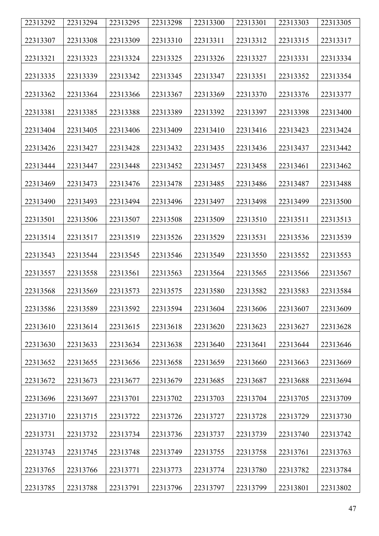| 22313292 | 22313294 | 22313295 | 22313298 | 22313300 | 22313301 | 22313303 | 22313305 |
|----------|----------|----------|----------|----------|----------|----------|----------|
|          |          |          |          |          |          |          |          |
| 22313307 | 22313308 | 22313309 | 22313310 | 22313311 | 22313312 | 22313315 | 22313317 |
| 22313321 | 22313323 | 22313324 | 22313325 | 22313326 | 22313327 | 22313331 | 22313334 |
|          |          |          |          |          |          |          |          |
| 22313335 | 22313339 | 22313342 | 22313345 | 22313347 | 22313351 | 22313352 | 22313354 |
| 22313362 | 22313364 | 22313366 | 22313367 | 22313369 | 22313370 | 22313376 | 22313377 |
| 22313381 | 22313385 | 22313388 | 22313389 | 22313392 | 22313397 | 22313398 | 22313400 |
| 22313404 | 22313405 | 22313406 | 22313409 | 22313410 | 22313416 | 22313423 | 22313424 |
| 22313426 | 22313427 | 22313428 | 22313432 | 22313435 | 22313436 | 22313437 | 22313442 |
| 22313444 | 22313447 | 22313448 | 22313452 | 22313457 | 22313458 | 22313461 | 22313462 |
| 22313469 | 22313473 | 22313476 | 22313478 | 22313485 | 22313486 | 22313487 | 22313488 |
|          |          |          |          |          |          |          |          |
| 22313490 | 22313493 | 22313494 | 22313496 | 22313497 | 22313498 | 22313499 | 22313500 |
| 22313501 | 22313506 | 22313507 | 22313508 | 22313509 | 22313510 | 22313511 | 22313513 |
| 22313514 | 22313517 | 22313519 | 22313526 | 22313529 | 22313531 | 22313536 | 22313539 |
| 22313543 | 22313544 | 22313545 | 22313546 | 22313549 | 22313550 | 22313552 | 22313553 |
| 22313557 | 22313558 | 22313561 | 22313563 | 22313564 | 22313565 | 22313566 | 22313567 |
| 22313568 | 22313569 | 22313573 | 22313575 | 22313580 | 22313582 | 22313583 | 22313584 |
| 22313586 | 22313589 | 22313592 | 22313594 | 22313604 | 22313606 | 22313607 | 22313609 |
| 22313610 | 22313614 | 22313615 | 22313618 | 22313620 | 22313623 | 22313627 | 22313628 |
| 22313630 | 22313633 | 22313634 | 22313638 | 22313640 | 22313641 | 22313644 | 22313646 |
| 22313652 | 22313655 | 22313656 | 22313658 | 22313659 | 22313660 | 22313663 | 22313669 |
| 22313672 | 22313673 | 22313677 | 22313679 | 22313685 | 22313687 | 22313688 | 22313694 |
| 22313696 | 22313697 | 22313701 | 22313702 | 22313703 | 22313704 | 22313705 | 22313709 |
| 22313710 | 22313715 | 22313722 | 22313726 | 22313727 | 22313728 | 22313729 | 22313730 |
| 22313731 | 22313732 | 22313734 | 22313736 | 22313737 | 22313739 | 22313740 | 22313742 |
| 22313743 | 22313745 | 22313748 | 22313749 | 22313755 | 22313758 | 22313761 | 22313763 |
| 22313765 | 22313766 | 22313771 | 22313773 | 22313774 | 22313780 | 22313782 | 22313784 |
| 22313785 | 22313788 | 22313791 | 22313796 | 22313797 | 22313799 | 22313801 | 22313802 |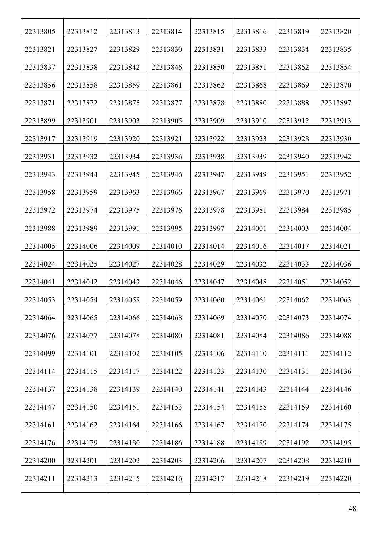| 22313805 | 22313812 | 22313813 | 22313814 | 22313815 | 22313816 | 22313819 | 22313820 |
|----------|----------|----------|----------|----------|----------|----------|----------|
| 22313821 | 22313827 | 22313829 | 22313830 | 22313831 | 22313833 | 22313834 | 22313835 |
| 22313837 | 22313838 | 22313842 | 22313846 | 22313850 | 22313851 | 22313852 | 22313854 |
| 22313856 | 22313858 | 22313859 | 22313861 | 22313862 | 22313868 | 22313869 | 22313870 |
| 22313871 | 22313872 | 22313875 | 22313877 | 22313878 | 22313880 | 22313888 | 22313897 |
| 22313899 | 22313901 | 22313903 | 22313905 | 22313909 | 22313910 | 22313912 | 22313913 |
| 22313917 | 22313919 | 22313920 | 22313921 | 22313922 | 22313923 | 22313928 | 22313930 |
| 22313931 | 22313932 | 22313934 | 22313936 | 22313938 | 22313939 | 22313940 | 22313942 |
| 22313943 | 22313944 | 22313945 | 22313946 | 22313947 | 22313949 | 22313951 | 22313952 |
| 22313958 | 22313959 | 22313963 | 22313966 | 22313967 | 22313969 | 22313970 | 22313971 |
| 22313972 | 22313974 | 22313975 | 22313976 | 22313978 | 22313981 | 22313984 | 22313985 |
| 22313988 | 22313989 | 22313991 | 22313995 | 22313997 | 22314001 | 22314003 | 22314004 |
| 22314005 | 22314006 | 22314009 | 22314010 | 22314014 | 22314016 | 22314017 | 22314021 |
| 22314024 | 22314025 | 22314027 | 22314028 | 22314029 | 22314032 | 22314033 | 22314036 |
| 22314041 | 22314042 | 22314043 | 22314046 | 22314047 | 22314048 | 22314051 | 22314052 |
| 22314053 | 22314054 | 22314058 | 22314059 | 22314060 | 22314061 | 22314062 | 22314063 |
| 22314064 | 22314065 | 22314066 | 22314068 | 22314069 | 22314070 | 22314073 | 22314074 |
| 22314076 | 22314077 | 22314078 | 22314080 | 22314081 | 22314084 | 22314086 | 22314088 |
| 22314099 | 22314101 | 22314102 | 22314105 | 22314106 | 22314110 | 22314111 | 22314112 |
| 22314114 | 22314115 | 22314117 | 22314122 | 22314123 | 22314130 | 22314131 | 22314136 |
| 22314137 | 22314138 | 22314139 | 22314140 | 22314141 | 22314143 | 22314144 | 22314146 |
| 22314147 | 22314150 | 22314151 | 22314153 | 22314154 | 22314158 | 22314159 | 22314160 |
| 22314161 | 22314162 | 22314164 | 22314166 | 22314167 | 22314170 | 22314174 | 22314175 |
| 22314176 | 22314179 | 22314180 | 22314186 | 22314188 | 22314189 | 22314192 | 22314195 |
| 22314200 | 22314201 | 22314202 | 22314203 | 22314206 | 22314207 | 22314208 | 22314210 |
| 22314211 | 22314213 | 22314215 | 22314216 | 22314217 | 22314218 | 22314219 | 22314220 |
|          |          |          |          |          |          |          |          |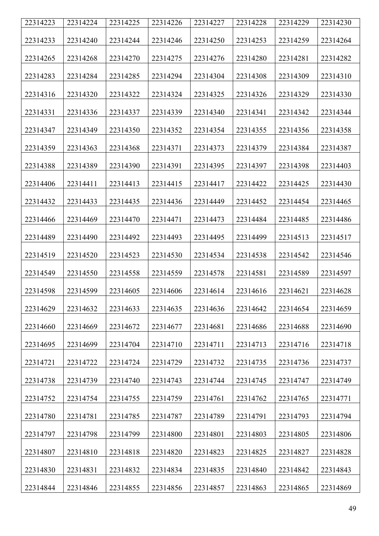| 22314223 | 22314224 | 22314225 | 22314226 | 22314227 | 22314228 | 22314229 | 22314230 |
|----------|----------|----------|----------|----------|----------|----------|----------|
| 22314233 | 22314240 | 22314244 | 22314246 | 22314250 | 22314253 | 22314259 | 22314264 |
| 22314265 | 22314268 | 22314270 | 22314275 | 22314276 | 22314280 | 22314281 | 22314282 |
| 22314283 | 22314284 | 22314285 | 22314294 | 22314304 | 22314308 | 22314309 | 22314310 |
| 22314316 | 22314320 | 22314322 | 22314324 | 22314325 | 22314326 | 22314329 | 22314330 |
| 22314331 | 22314336 | 22314337 | 22314339 | 22314340 | 22314341 | 22314342 | 22314344 |
| 22314347 | 22314349 | 22314350 | 22314352 | 22314354 | 22314355 | 22314356 | 22314358 |
| 22314359 | 22314363 | 22314368 | 22314371 | 22314373 | 22314379 | 22314384 | 22314387 |
| 22314388 | 22314389 | 22314390 | 22314391 | 22314395 | 22314397 | 22314398 | 22314403 |
| 22314406 | 22314411 | 22314413 | 22314415 | 22314417 | 22314422 | 22314425 | 22314430 |
| 22314432 | 22314433 | 22314435 | 22314436 | 22314449 | 22314452 | 22314454 | 22314465 |
| 22314466 | 22314469 | 22314470 | 22314471 | 22314473 | 22314484 | 22314485 | 22314486 |
| 22314489 | 22314490 | 22314492 | 22314493 | 22314495 | 22314499 | 22314513 | 22314517 |
| 22314519 | 22314520 | 22314523 | 22314530 | 22314534 | 22314538 | 22314542 | 22314546 |
| 22314549 | 22314550 | 22314558 | 22314559 | 22314578 | 22314581 | 22314589 | 22314597 |
| 22314598 | 22314599 | 22314605 | 22314606 | 22314614 | 22314616 | 22314621 | 22314628 |
| 22314629 | 22314632 | 22314633 | 22314635 | 22314636 | 22314642 | 22314654 | 22314659 |
| 22314660 | 22314669 | 22314672 | 22314677 | 22314681 | 22314686 | 22314688 | 22314690 |
| 22314695 | 22314699 | 22314704 | 22314710 | 22314711 | 22314713 | 22314716 | 22314718 |
| 22314721 | 22314722 | 22314724 | 22314729 | 22314732 | 22314735 | 22314736 | 22314737 |
| 22314738 | 22314739 | 22314740 | 22314743 | 22314744 | 22314745 | 22314747 | 22314749 |
| 22314752 | 22314754 | 22314755 | 22314759 | 22314761 | 22314762 | 22314765 | 22314771 |
| 22314780 | 22314781 | 22314785 | 22314787 | 22314789 | 22314791 | 22314793 | 22314794 |
| 22314797 | 22314798 | 22314799 | 22314800 | 22314801 | 22314803 | 22314805 | 22314806 |
| 22314807 | 22314810 | 22314818 | 22314820 | 22314823 | 22314825 | 22314827 | 22314828 |
| 22314830 | 22314831 | 22314832 | 22314834 | 22314835 | 22314840 | 22314842 | 22314843 |
| 22314844 | 22314846 | 22314855 | 22314856 | 22314857 | 22314863 | 22314865 | 22314869 |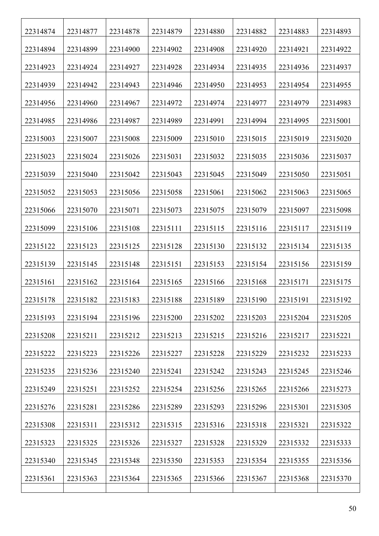| 22314874 | 22314877 | 22314878 | 22314879 | 22314880 | 22314882 | 22314883 | 22314893 |
|----------|----------|----------|----------|----------|----------|----------|----------|
| 22314894 | 22314899 | 22314900 | 22314902 | 22314908 | 22314920 | 22314921 | 22314922 |
| 22314923 | 22314924 | 22314927 | 22314928 | 22314934 | 22314935 | 22314936 | 22314937 |
| 22314939 | 22314942 | 22314943 | 22314946 | 22314950 | 22314953 | 22314954 | 22314955 |
| 22314956 | 22314960 | 22314967 | 22314972 | 22314974 | 22314977 | 22314979 | 22314983 |
| 22314985 | 22314986 | 22314987 | 22314989 | 22314991 | 22314994 | 22314995 | 22315001 |
| 22315003 | 22315007 | 22315008 | 22315009 | 22315010 | 22315015 | 22315019 | 22315020 |
| 22315023 | 22315024 | 22315026 | 22315031 | 22315032 | 22315035 | 22315036 | 22315037 |
| 22315039 | 22315040 | 22315042 | 22315043 | 22315045 | 22315049 | 22315050 | 22315051 |
| 22315052 | 22315053 | 22315056 | 22315058 | 22315061 | 22315062 | 22315063 | 22315065 |
| 22315066 | 22315070 | 22315071 | 22315073 | 22315075 | 22315079 | 22315097 | 22315098 |
| 22315099 | 22315106 | 22315108 | 22315111 | 22315115 | 22315116 | 22315117 | 22315119 |
| 22315122 | 22315123 | 22315125 | 22315128 | 22315130 | 22315132 | 22315134 | 22315135 |
| 22315139 | 22315145 | 22315148 | 22315151 | 22315153 | 22315154 | 22315156 | 22315159 |
| 22315161 | 22315162 | 22315164 | 22315165 | 22315166 | 22315168 | 22315171 | 22315175 |
| 22315178 | 22315182 | 22315183 | 22315188 | 22315189 | 22315190 | 22315191 | 22315192 |
| 22315193 | 22315194 | 22315196 | 22315200 | 22315202 | 22315203 | 22315204 | 22315205 |
| 22315208 | 22315211 | 22315212 | 22315213 | 22315215 | 22315216 | 22315217 | 22315221 |
| 22315222 | 22315223 | 22315226 | 22315227 | 22315228 | 22315229 | 22315232 | 22315233 |
| 22315235 | 22315236 | 22315240 | 22315241 | 22315242 | 22315243 | 22315245 | 22315246 |
| 22315249 | 22315251 | 22315252 | 22315254 | 22315256 | 22315265 | 22315266 | 22315273 |
| 22315276 | 22315281 | 22315286 | 22315289 | 22315293 | 22315296 | 22315301 | 22315305 |
| 22315308 | 22315311 | 22315312 | 22315315 | 22315316 | 22315318 | 22315321 | 22315322 |
| 22315323 | 22315325 | 22315326 | 22315327 | 22315328 | 22315329 | 22315332 | 22315333 |
| 22315340 | 22315345 | 22315348 | 22315350 | 22315353 | 22315354 | 22315355 | 22315356 |
| 22315361 | 22315363 | 22315364 | 22315365 | 22315366 | 22315367 | 22315368 | 22315370 |
|          |          |          |          |          |          |          |          |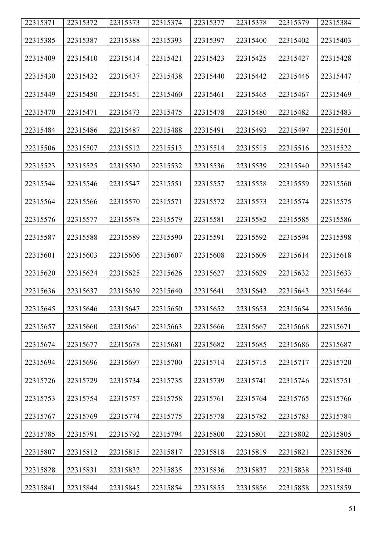| 22315371 | 22315372 | 22315373 | 22315374 | 22315377 | 22315378 | 22315379 | 22315384 |
|----------|----------|----------|----------|----------|----------|----------|----------|
| 22315385 | 22315387 | 22315388 | 22315393 | 22315397 | 22315400 | 22315402 | 22315403 |
| 22315409 | 22315410 | 22315414 | 22315421 | 22315423 | 22315425 | 22315427 | 22315428 |
| 22315430 | 22315432 | 22315437 | 22315438 | 22315440 | 22315442 | 22315446 | 22315447 |
|          |          |          |          |          |          |          |          |
| 22315449 | 22315450 | 22315451 | 22315460 | 22315461 | 22315465 | 22315467 | 22315469 |
| 22315470 | 22315471 | 22315473 | 22315475 | 22315478 | 22315480 | 22315482 | 22315483 |
| 22315484 | 22315486 | 22315487 | 22315488 | 22315491 | 22315493 | 22315497 | 22315501 |
| 22315506 | 22315507 | 22315512 | 22315513 | 22315514 | 22315515 | 22315516 | 22315522 |
| 22315523 | 22315525 | 22315530 | 22315532 | 22315536 | 22315539 | 22315540 | 22315542 |
| 22315544 | 22315546 | 22315547 | 22315551 | 22315557 | 22315558 | 22315559 | 22315560 |
| 22315564 | 22315566 | 22315570 | 22315571 | 22315572 | 22315573 | 22315574 | 22315575 |
| 22315576 | 22315577 | 22315578 | 22315579 | 22315581 | 22315582 | 22315585 | 22315586 |
| 22315587 | 22315588 | 22315589 | 22315590 | 22315591 | 22315592 | 22315594 | 22315598 |
| 22315601 | 22315603 | 22315606 | 22315607 | 22315608 | 22315609 | 22315614 | 22315618 |
| 22315620 | 22315624 | 22315625 | 22315626 | 22315627 | 22315629 | 22315632 | 22315633 |
| 22315636 | 22315637 | 22315639 | 22315640 | 22315641 | 22315642 | 22315643 | 22315644 |
| 22315645 | 22315646 | 22315647 | 22315650 | 22315652 | 22315653 | 22315654 | 22315656 |
| 22315657 | 22315660 | 22315661 | 22315663 | 22315666 | 22315667 | 22315668 | 22315671 |
| 22315674 | 22315677 | 22315678 | 22315681 | 22315682 | 22315685 | 22315686 | 22315687 |
| 22315694 | 22315696 | 22315697 | 22315700 | 22315714 | 22315715 | 22315717 | 22315720 |
| 22315726 | 22315729 | 22315734 | 22315735 | 22315739 | 22315741 | 22315746 | 22315751 |
| 22315753 | 22315754 | 22315757 | 22315758 | 22315761 | 22315764 | 22315765 | 22315766 |
| 22315767 | 22315769 | 22315774 | 22315775 | 22315778 | 22315782 | 22315783 | 22315784 |
| 22315785 | 22315791 | 22315792 | 22315794 | 22315800 | 22315801 | 22315802 | 22315805 |
| 22315807 | 22315812 | 22315815 | 22315817 | 22315818 | 22315819 | 22315821 | 22315826 |
| 22315828 | 22315831 | 22315832 | 22315835 | 22315836 | 22315837 | 22315838 | 22315840 |
| 22315841 | 22315844 | 22315845 | 22315854 | 22315855 | 22315856 | 22315858 | 22315859 |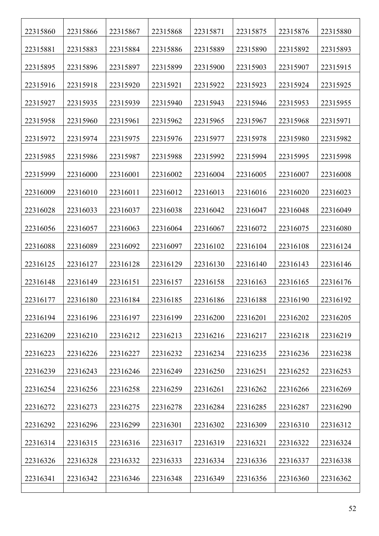| 22315860 | 22315866 | 22315867 | 22315868 | 22315871 | 22315875 | 22315876 | 22315880 |
|----------|----------|----------|----------|----------|----------|----------|----------|
| 22315881 | 22315883 | 22315884 | 22315886 | 22315889 | 22315890 | 22315892 | 22315893 |
| 22315895 | 22315896 | 22315897 | 22315899 | 22315900 | 22315903 | 22315907 | 22315915 |
| 22315916 | 22315918 | 22315920 | 22315921 | 22315922 | 22315923 | 22315924 | 22315925 |
| 22315927 | 22315935 | 22315939 | 22315940 | 22315943 | 22315946 | 22315953 | 22315955 |
| 22315958 | 22315960 | 22315961 | 22315962 | 22315965 | 22315967 | 22315968 | 22315971 |
| 22315972 | 22315974 | 22315975 | 22315976 | 22315977 | 22315978 | 22315980 | 22315982 |
| 22315985 | 22315986 | 22315987 | 22315988 | 22315992 | 22315994 | 22315995 | 22315998 |
| 22315999 | 22316000 | 22316001 | 22316002 | 22316004 | 22316005 | 22316007 | 22316008 |
| 22316009 | 22316010 | 22316011 | 22316012 | 22316013 | 22316016 | 22316020 | 22316023 |
| 22316028 | 22316033 | 22316037 | 22316038 | 22316042 | 22316047 | 22316048 | 22316049 |
| 22316056 | 22316057 | 22316063 | 22316064 | 22316067 | 22316072 | 22316075 | 22316080 |
| 22316088 | 22316089 | 22316092 | 22316097 | 22316102 | 22316104 | 22316108 | 22316124 |
| 22316125 | 22316127 | 22316128 | 22316129 | 22316130 | 22316140 | 22316143 | 22316146 |
| 22316148 | 22316149 | 22316151 | 22316157 | 22316158 | 22316163 | 22316165 | 22316176 |
| 22316177 | 22316180 | 22316184 | 22316185 | 22316186 | 22316188 | 22316190 | 22316192 |
| 22316194 | 22316196 | 22316197 | 22316199 | 22316200 | 22316201 | 22316202 | 22316205 |
| 22316209 | 22316210 | 22316212 | 22316213 | 22316216 | 22316217 | 22316218 | 22316219 |
| 22316223 | 22316226 | 22316227 | 22316232 | 22316234 | 22316235 | 22316236 | 22316238 |
| 22316239 | 22316243 | 22316246 | 22316249 | 22316250 | 22316251 | 22316252 | 22316253 |
| 22316254 | 22316256 | 22316258 | 22316259 | 22316261 | 22316262 | 22316266 | 22316269 |
| 22316272 | 22316273 | 22316275 | 22316278 | 22316284 | 22316285 | 22316287 | 22316290 |
| 22316292 | 22316296 | 22316299 | 22316301 | 22316302 | 22316309 | 22316310 | 22316312 |
| 22316314 | 22316315 | 22316316 | 22316317 | 22316319 | 22316321 | 22316322 | 22316324 |
| 22316326 | 22316328 | 22316332 | 22316333 | 22316334 | 22316336 | 22316337 | 22316338 |
| 22316341 | 22316342 | 22316346 | 22316348 | 22316349 | 22316356 | 22316360 | 22316362 |
|          |          |          |          |          |          |          |          |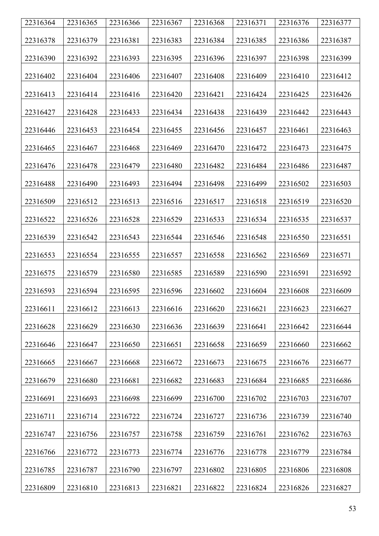| 22316364 | 22316365 | 22316366 | 22316367 | 22316368 | 22316371 | 22316376 | 22316377 |
|----------|----------|----------|----------|----------|----------|----------|----------|
| 22316378 | 22316379 | 22316381 | 22316383 | 22316384 | 22316385 | 22316386 | 22316387 |
|          |          |          |          |          |          |          |          |
| 22316390 | 22316392 | 22316393 | 22316395 | 22316396 | 22316397 | 22316398 | 22316399 |
| 22316402 | 22316404 | 22316406 | 22316407 | 22316408 | 22316409 | 22316410 | 22316412 |
| 22316413 | 22316414 | 22316416 | 22316420 | 22316421 | 22316424 | 22316425 | 22316426 |
| 22316427 | 22316428 | 22316433 | 22316434 | 22316438 | 22316439 | 22316442 | 22316443 |
| 22316446 | 22316453 | 22316454 | 22316455 | 22316456 | 22316457 | 22316461 | 22316463 |
| 22316465 | 22316467 | 22316468 | 22316469 | 22316470 | 22316472 | 22316473 | 22316475 |
| 22316476 | 22316478 | 22316479 | 22316480 | 22316482 | 22316484 | 22316486 | 22316487 |
| 22316488 | 22316490 | 22316493 | 22316494 | 22316498 | 22316499 | 22316502 | 22316503 |
| 22316509 | 22316512 | 22316513 | 22316516 | 22316517 | 22316518 | 22316519 | 22316520 |
| 22316522 | 22316526 | 22316528 | 22316529 | 22316533 | 22316534 | 22316535 | 22316537 |
| 22316539 | 22316542 | 22316543 | 22316544 | 22316546 | 22316548 | 22316550 | 22316551 |
| 22316553 | 22316554 | 22316555 | 22316557 | 22316558 | 22316562 | 22316569 | 22316571 |
| 22316575 | 22316579 | 22316580 | 22316585 | 22316589 | 22316590 | 22316591 | 22316592 |
| 22316593 | 22316594 | 22316595 | 22316596 | 22316602 | 22316604 | 22316608 | 22316609 |
| 22316611 | 22316612 | 22316613 | 22316616 | 22316620 | 22316621 | 22316623 | 22316627 |
| 22316628 | 22316629 | 22316630 | 22316636 | 22316639 | 22316641 | 22316642 | 22316644 |
| 22316646 | 22316647 | 22316650 | 22316651 | 22316658 | 22316659 | 22316660 | 22316662 |
| 22316665 | 22316667 | 22316668 | 22316672 | 22316673 | 22316675 | 22316676 | 22316677 |
| 22316679 | 22316680 | 22316681 | 22316682 | 22316683 | 22316684 | 22316685 | 22316686 |
| 22316691 | 22316693 | 22316698 | 22316699 | 22316700 | 22316702 | 22316703 | 22316707 |
| 22316711 | 22316714 | 22316722 | 22316724 | 22316727 | 22316736 | 22316739 | 22316740 |
| 22316747 | 22316756 | 22316757 | 22316758 | 22316759 | 22316761 | 22316762 | 22316763 |
| 22316766 | 22316772 | 22316773 | 22316774 | 22316776 | 22316778 | 22316779 | 22316784 |
| 22316785 | 22316787 | 22316790 | 22316797 | 22316802 | 22316805 | 22316806 | 22316808 |
| 22316809 | 22316810 | 22316813 | 22316821 | 22316822 | 22316824 | 22316826 | 22316827 |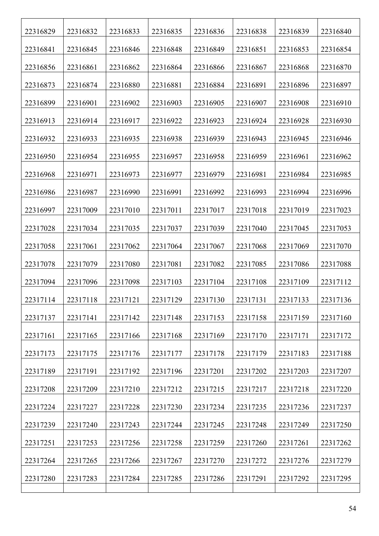| 22316829 | 22316832 | 22316833 | 22316835 | 22316836 | 22316838 | 22316839 | 22316840 |
|----------|----------|----------|----------|----------|----------|----------|----------|
| 22316841 | 22316845 | 22316846 | 22316848 | 22316849 | 22316851 | 22316853 | 22316854 |
| 22316856 | 22316861 | 22316862 | 22316864 | 22316866 | 22316867 | 22316868 | 22316870 |
| 22316873 | 22316874 | 22316880 | 22316881 | 22316884 | 22316891 | 22316896 | 22316897 |
| 22316899 | 22316901 | 22316902 | 22316903 | 22316905 | 22316907 | 22316908 | 22316910 |
| 22316913 | 22316914 | 22316917 | 22316922 | 22316923 | 22316924 | 22316928 | 22316930 |
| 22316932 | 22316933 | 22316935 | 22316938 | 22316939 | 22316943 | 22316945 | 22316946 |
| 22316950 | 22316954 | 22316955 | 22316957 | 22316958 | 22316959 | 22316961 | 22316962 |
| 22316968 | 22316971 | 22316973 | 22316977 | 22316979 | 22316981 | 22316984 | 22316985 |
| 22316986 | 22316987 | 22316990 | 22316991 | 22316992 | 22316993 | 22316994 | 22316996 |
| 22316997 | 22317009 | 22317010 | 22317011 | 22317017 | 22317018 | 22317019 | 22317023 |
| 22317028 | 22317034 | 22317035 | 22317037 | 22317039 | 22317040 | 22317045 | 22317053 |
| 22317058 | 22317061 | 22317062 | 22317064 | 22317067 | 22317068 | 22317069 | 22317070 |
| 22317078 | 22317079 | 22317080 | 22317081 | 22317082 | 22317085 | 22317086 | 22317088 |
| 22317094 | 22317096 | 22317098 | 22317103 | 22317104 | 22317108 | 22317109 | 22317112 |
| 22317114 | 22317118 | 22317121 | 22317129 | 22317130 | 22317131 | 22317133 | 22317136 |
| 22317137 | 22317141 | 22317142 | 22317148 | 22317153 | 22317158 | 22317159 | 22317160 |
| 22317161 | 22317165 | 22317166 | 22317168 | 22317169 | 22317170 | 22317171 | 22317172 |
| 22317173 | 22317175 | 22317176 | 22317177 | 22317178 | 22317179 | 22317183 | 22317188 |
| 22317189 | 22317191 | 22317192 | 22317196 | 22317201 | 22317202 | 22317203 | 22317207 |
| 22317208 | 22317209 | 22317210 | 22317212 | 22317215 | 22317217 | 22317218 | 22317220 |
| 22317224 | 22317227 | 22317228 | 22317230 | 22317234 | 22317235 | 22317236 | 22317237 |
| 22317239 | 22317240 | 22317243 | 22317244 | 22317245 | 22317248 | 22317249 | 22317250 |
| 22317251 | 22317253 | 22317256 | 22317258 | 22317259 | 22317260 | 22317261 | 22317262 |
| 22317264 | 22317265 | 22317266 | 22317267 | 22317270 | 22317272 | 22317276 | 22317279 |
| 22317280 | 22317283 | 22317284 | 22317285 | 22317286 | 22317291 | 22317292 | 22317295 |
|          |          |          |          |          |          |          |          |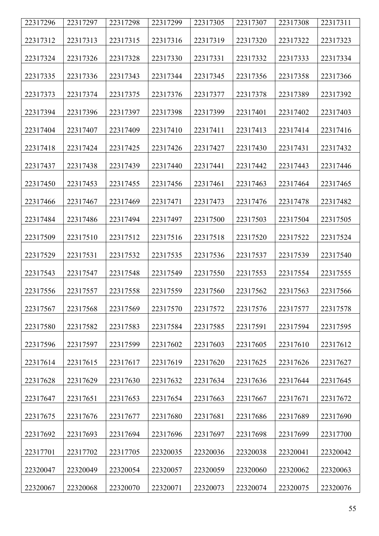| 22317296 | 22317297 | 22317298 | 22317299 | 22317305 | 22317307 | 22317308 | 22317311 |
|----------|----------|----------|----------|----------|----------|----------|----------|
| 22317312 | 22317313 | 22317315 | 22317316 | 22317319 | 22317320 | 22317322 | 22317323 |
| 22317324 | 22317326 | 22317328 | 22317330 | 22317331 | 22317332 | 22317333 | 22317334 |
| 22317335 | 22317336 | 22317343 | 22317344 | 22317345 | 22317356 | 22317358 | 22317366 |
| 22317373 | 22317374 | 22317375 | 22317376 | 22317377 | 22317378 | 22317389 | 22317392 |
| 22317394 | 22317396 | 22317397 | 22317398 | 22317399 | 22317401 | 22317402 | 22317403 |
| 22317404 | 22317407 | 22317409 | 22317410 | 22317411 | 22317413 | 22317414 | 22317416 |
| 22317418 | 22317424 | 22317425 | 22317426 | 22317427 | 22317430 | 22317431 | 22317432 |
| 22317437 | 22317438 | 22317439 | 22317440 | 22317441 | 22317442 | 22317443 | 22317446 |
| 22317450 | 22317453 | 22317455 | 22317456 | 22317461 | 22317463 | 22317464 | 22317465 |
| 22317466 | 22317467 | 22317469 | 22317471 | 22317473 | 22317476 | 22317478 | 22317482 |
| 22317484 | 22317486 | 22317494 | 22317497 | 22317500 | 22317503 | 22317504 | 22317505 |
| 22317509 | 22317510 | 22317512 | 22317516 | 22317518 | 22317520 | 22317522 | 22317524 |
| 22317529 | 22317531 | 22317532 | 22317535 | 22317536 | 22317537 | 22317539 | 22317540 |
| 22317543 | 22317547 | 22317548 | 22317549 | 22317550 | 22317553 | 22317554 | 22317555 |
| 22317556 | 22317557 | 22317558 | 22317559 | 22317560 | 22317562 | 22317563 | 22317566 |
| 22317567 | 22317568 | 22317569 | 22317570 | 22317572 | 22317576 | 22317577 | 22317578 |
| 22317580 | 22317582 | 22317583 | 22317584 | 22317585 | 22317591 | 22317594 | 22317595 |
| 22317596 | 22317597 | 22317599 | 22317602 | 22317603 | 22317605 | 22317610 | 22317612 |
| 22317614 | 22317615 | 22317617 | 22317619 | 22317620 | 22317625 | 22317626 | 22317627 |
| 22317628 | 22317629 | 22317630 | 22317632 | 22317634 | 22317636 | 22317644 | 22317645 |
| 22317647 | 22317651 | 22317653 | 22317654 | 22317663 | 22317667 | 22317671 | 22317672 |
| 22317675 | 22317676 | 22317677 | 22317680 | 22317681 | 22317686 | 22317689 | 22317690 |
| 22317692 | 22317693 | 22317694 | 22317696 | 22317697 | 22317698 | 22317699 | 22317700 |
| 22317701 | 22317702 | 22317705 | 22320035 | 22320036 | 22320038 | 22320041 | 22320042 |
| 22320047 | 22320049 | 22320054 | 22320057 | 22320059 | 22320060 | 22320062 | 22320063 |
| 22320067 | 22320068 | 22320070 | 22320071 | 22320073 | 22320074 | 22320075 | 22320076 |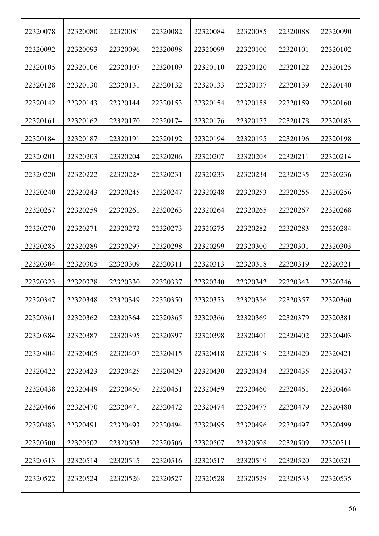| 22320078 | 22320080 | 22320081 | 22320082 | 22320084 | 22320085 | 22320088 | 22320090 |
|----------|----------|----------|----------|----------|----------|----------|----------|
| 22320092 | 22320093 | 22320096 | 22320098 | 22320099 | 22320100 | 22320101 | 22320102 |
| 22320105 | 22320106 | 22320107 | 22320109 | 22320110 | 22320120 | 22320122 | 22320125 |
| 22320128 | 22320130 | 22320131 | 22320132 | 22320133 | 22320137 | 22320139 | 22320140 |
| 22320142 | 22320143 | 22320144 | 22320153 | 22320154 | 22320158 | 22320159 | 22320160 |
| 22320161 | 22320162 | 22320170 | 22320174 | 22320176 | 22320177 | 22320178 | 22320183 |
| 22320184 | 22320187 | 22320191 | 22320192 | 22320194 | 22320195 | 22320196 | 22320198 |
| 22320201 | 22320203 | 22320204 | 22320206 | 22320207 | 22320208 | 22320211 | 22320214 |
| 22320220 | 22320222 | 22320228 | 22320231 | 22320233 | 22320234 | 22320235 | 22320236 |
| 22320240 | 22320243 | 22320245 | 22320247 | 22320248 | 22320253 | 22320255 | 22320256 |
| 22320257 | 22320259 | 22320261 | 22320263 | 22320264 | 22320265 | 22320267 | 22320268 |
| 22320270 | 22320271 | 22320272 | 22320273 | 22320275 | 22320282 | 22320283 | 22320284 |
| 22320285 | 22320289 | 22320297 | 22320298 | 22320299 | 22320300 | 22320301 | 22320303 |
| 22320304 | 22320305 | 22320309 | 22320311 | 22320313 | 22320318 | 22320319 | 22320321 |
| 22320323 | 22320328 | 22320330 | 22320337 | 22320340 | 22320342 | 22320343 | 22320346 |
| 22320347 | 22320348 | 22320349 | 22320350 | 22320353 | 22320356 | 22320357 | 22320360 |
| 22320361 | 22320362 | 22320364 | 22320365 | 22320366 | 22320369 | 22320379 | 22320381 |
| 22320384 | 22320387 | 22320395 | 22320397 | 22320398 | 22320401 | 22320402 | 22320403 |
| 22320404 | 22320405 | 22320407 | 22320415 | 22320418 | 22320419 | 22320420 | 22320421 |
| 22320422 | 22320423 | 22320425 | 22320429 | 22320430 | 22320434 | 22320435 | 22320437 |
| 22320438 | 22320449 | 22320450 | 22320451 | 22320459 | 22320460 | 22320461 | 22320464 |
| 22320466 | 22320470 | 22320471 | 22320472 | 22320474 | 22320477 | 22320479 | 22320480 |
| 22320483 | 22320491 | 22320493 | 22320494 | 22320495 | 22320496 | 22320497 | 22320499 |
| 22320500 | 22320502 | 22320503 | 22320506 | 22320507 | 22320508 | 22320509 | 22320511 |
| 22320513 | 22320514 | 22320515 | 22320516 | 22320517 | 22320519 | 22320520 | 22320521 |
| 22320522 | 22320524 | 22320526 | 22320527 | 22320528 | 22320529 | 22320533 | 22320535 |
|          |          |          |          |          |          |          |          |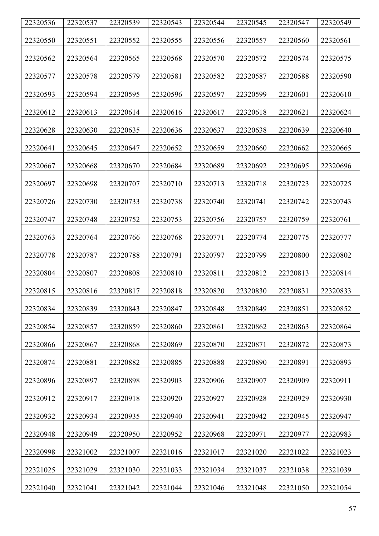| 22320536 | 22320537 | 22320539 | 22320543 | 22320544 | 22320545 | 22320547 | 22320549 |
|----------|----------|----------|----------|----------|----------|----------|----------|
|          |          |          |          |          |          |          |          |
| 22320550 | 22320551 | 22320552 | 22320555 | 22320556 | 22320557 | 22320560 | 22320561 |
| 22320562 | 22320564 | 22320565 | 22320568 | 22320570 | 22320572 | 22320574 | 22320575 |
| 22320577 | 22320578 | 22320579 | 22320581 | 22320582 | 22320587 | 22320588 | 22320590 |
| 22320593 | 22320594 | 22320595 | 22320596 | 22320597 | 22320599 | 22320601 | 22320610 |
| 22320612 | 22320613 | 22320614 | 22320616 | 22320617 | 22320618 | 22320621 | 22320624 |
| 22320628 | 22320630 | 22320635 | 22320636 | 22320637 | 22320638 | 22320639 | 22320640 |
| 22320641 | 22320645 | 22320647 | 22320652 | 22320659 | 22320660 | 22320662 | 22320665 |
| 22320667 | 22320668 | 22320670 | 22320684 | 22320689 | 22320692 | 22320695 | 22320696 |
| 22320697 | 22320698 | 22320707 | 22320710 | 22320713 | 22320718 | 22320723 | 22320725 |
| 22320726 | 22320730 | 22320733 | 22320738 | 22320740 | 22320741 | 22320742 | 22320743 |
| 22320747 | 22320748 | 22320752 | 22320753 | 22320756 | 22320757 | 22320759 | 22320761 |
| 22320763 | 22320764 | 22320766 | 22320768 | 22320771 | 22320774 | 22320775 | 22320777 |
| 22320778 | 22320787 | 22320788 | 22320791 | 22320797 | 22320799 | 22320800 | 22320802 |
| 22320804 | 22320807 | 22320808 | 22320810 | 22320811 | 22320812 | 22320813 | 22320814 |
| 22320815 | 22320816 | 22320817 | 22320818 | 22320820 | 22320830 | 22320831 | 22320833 |
| 22320834 | 22320839 | 22320843 | 22320847 | 22320848 | 22320849 | 22320851 | 22320852 |
| 22320854 | 22320857 | 22320859 | 22320860 | 22320861 | 22320862 | 22320863 | 22320864 |
| 22320866 | 22320867 | 22320868 | 22320869 | 22320870 | 22320871 | 22320872 | 22320873 |
| 22320874 | 22320881 | 22320882 | 22320885 | 22320888 | 22320890 | 22320891 | 22320893 |
| 22320896 | 22320897 | 22320898 | 22320903 | 22320906 | 22320907 | 22320909 | 22320911 |
| 22320912 | 22320917 | 22320918 | 22320920 | 22320927 | 22320928 | 22320929 | 22320930 |
| 22320932 | 22320934 | 22320935 | 22320940 | 22320941 | 22320942 | 22320945 | 22320947 |
| 22320948 | 22320949 | 22320950 | 22320952 | 22320968 | 22320971 | 22320977 | 22320983 |
| 22320998 | 22321002 | 22321007 | 22321016 | 22321017 | 22321020 | 22321022 | 22321023 |
| 22321025 | 22321029 | 22321030 | 22321033 | 22321034 | 22321037 | 22321038 | 22321039 |
| 22321040 | 22321041 | 22321042 | 22321044 | 22321046 | 22321048 | 22321050 | 22321054 |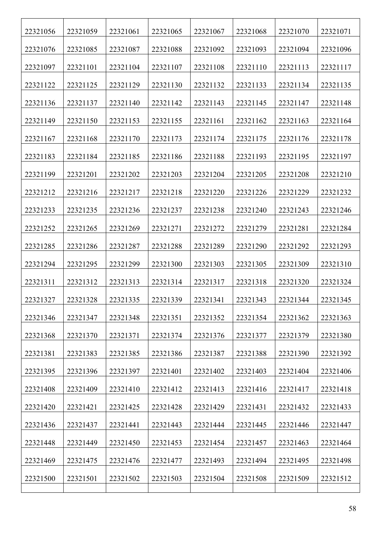| 22321056 | 22321059 | 22321061 | 22321065 | 22321067 | 22321068 | 22321070 | 22321071 |
|----------|----------|----------|----------|----------|----------|----------|----------|
| 22321076 | 22321085 | 22321087 | 22321088 | 22321092 | 22321093 | 22321094 | 22321096 |
| 22321097 | 22321101 | 22321104 | 22321107 | 22321108 | 22321110 | 22321113 | 22321117 |
| 22321122 | 22321125 | 22321129 | 22321130 | 22321132 | 22321133 | 22321134 | 22321135 |
| 22321136 | 22321137 | 22321140 | 22321142 | 22321143 | 22321145 | 22321147 | 22321148 |
| 22321149 | 22321150 | 22321153 | 22321155 | 22321161 | 22321162 | 22321163 | 22321164 |
| 22321167 | 22321168 | 22321170 | 22321173 | 22321174 | 22321175 | 22321176 | 22321178 |
| 22321183 | 22321184 | 22321185 | 22321186 | 22321188 | 22321193 | 22321195 | 22321197 |
| 22321199 | 22321201 | 22321202 | 22321203 | 22321204 | 22321205 | 22321208 | 22321210 |
| 22321212 | 22321216 | 22321217 | 22321218 | 22321220 | 22321226 | 22321229 | 22321232 |
| 22321233 | 22321235 | 22321236 | 22321237 | 22321238 | 22321240 | 22321243 | 22321246 |
| 22321252 | 22321265 | 22321269 | 22321271 | 22321272 | 22321279 | 22321281 | 22321284 |
| 22321285 | 22321286 | 22321287 | 22321288 | 22321289 | 22321290 | 22321292 | 22321293 |
| 22321294 | 22321295 | 22321299 | 22321300 | 22321303 | 22321305 | 22321309 | 22321310 |
| 22321311 | 22321312 | 22321313 | 22321314 | 22321317 | 22321318 | 22321320 | 22321324 |
| 22321327 | 22321328 | 22321335 | 22321339 | 22321341 | 22321343 | 22321344 | 22321345 |
| 22321346 | 22321347 | 22321348 | 22321351 | 22321352 | 22321354 | 22321362 | 22321363 |
| 22321368 | 22321370 | 22321371 | 22321374 | 22321376 | 22321377 | 22321379 | 22321380 |
| 22321381 | 22321383 | 22321385 | 22321386 | 22321387 | 22321388 | 22321390 | 22321392 |
| 22321395 | 22321396 | 22321397 | 22321401 | 22321402 | 22321403 | 22321404 | 22321406 |
| 22321408 | 22321409 | 22321410 | 22321412 | 22321413 | 22321416 | 22321417 | 22321418 |
| 22321420 | 22321421 | 22321425 | 22321428 | 22321429 | 22321431 | 22321432 | 22321433 |
| 22321436 | 22321437 | 22321441 | 22321443 | 22321444 | 22321445 | 22321446 | 22321447 |
| 22321448 | 22321449 | 22321450 | 22321453 | 22321454 | 22321457 | 22321463 | 22321464 |
| 22321469 | 22321475 | 22321476 | 22321477 | 22321493 | 22321494 | 22321495 | 22321498 |
| 22321500 | 22321501 | 22321502 | 22321503 | 22321504 | 22321508 | 22321509 | 22321512 |
|          |          |          |          |          |          |          |          |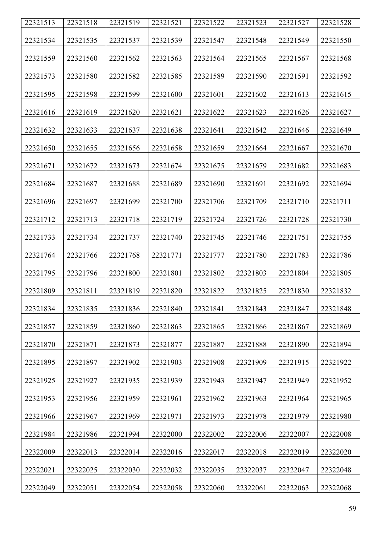| 22321513 | 22321518 | 22321519 | 22321521 | 22321522 | 22321523 | 22321527 | 22321528 |
|----------|----------|----------|----------|----------|----------|----------|----------|
| 22321534 | 22321535 | 22321537 | 22321539 | 22321547 | 22321548 | 22321549 | 22321550 |
| 22321559 | 22321560 | 22321562 | 22321563 | 22321564 | 22321565 | 22321567 | 22321568 |
| 22321573 | 22321580 | 22321582 | 22321585 | 22321589 | 22321590 | 22321591 | 22321592 |
| 22321595 | 22321598 | 22321599 | 22321600 | 22321601 | 22321602 | 22321613 | 22321615 |
| 22321616 | 22321619 | 22321620 | 22321621 | 22321622 | 22321623 | 22321626 | 22321627 |
| 22321632 | 22321633 | 22321637 | 22321638 | 22321641 | 22321642 | 22321646 | 22321649 |
| 22321650 | 22321655 | 22321656 | 22321658 | 22321659 | 22321664 | 22321667 | 22321670 |
| 22321671 | 22321672 | 22321673 | 22321674 | 22321675 | 22321679 | 22321682 | 22321683 |
| 22321684 | 22321687 | 22321688 | 22321689 | 22321690 | 22321691 | 22321692 | 22321694 |
| 22321696 | 22321697 | 22321699 | 22321700 | 22321706 | 22321709 | 22321710 | 22321711 |
| 22321712 | 22321713 | 22321718 | 22321719 | 22321724 | 22321726 | 22321728 | 22321730 |
| 22321733 | 22321734 | 22321737 | 22321740 | 22321745 | 22321746 | 22321751 | 22321755 |
| 22321764 | 22321766 | 22321768 | 22321771 | 22321777 | 22321780 | 22321783 | 22321786 |
| 22321795 | 22321796 | 22321800 | 22321801 | 22321802 | 22321803 | 22321804 | 22321805 |
| 22321809 | 22321811 | 22321819 | 22321820 | 22321822 | 22321825 | 22321830 | 22321832 |
| 22321834 | 22321835 | 22321836 | 22321840 | 22321841 | 22321843 | 22321847 | 22321848 |
| 22321857 | 22321859 | 22321860 | 22321863 | 22321865 | 22321866 | 22321867 | 22321869 |
| 22321870 | 22321871 | 22321873 | 22321877 | 22321887 | 22321888 | 22321890 | 22321894 |
| 22321895 | 22321897 | 22321902 | 22321903 | 22321908 | 22321909 | 22321915 | 22321922 |
| 22321925 | 22321927 | 22321935 | 22321939 | 22321943 | 22321947 | 22321949 | 22321952 |
| 22321953 | 22321956 | 22321959 | 22321961 | 22321962 | 22321963 | 22321964 | 22321965 |
| 22321966 | 22321967 | 22321969 | 22321971 | 22321973 | 22321978 | 22321979 | 22321980 |
| 22321984 | 22321986 | 22321994 | 22322000 | 22322002 | 22322006 | 22322007 | 22322008 |
| 22322009 | 22322013 | 22322014 | 22322016 | 22322017 | 22322018 | 22322019 | 22322020 |
| 22322021 | 22322025 | 22322030 | 22322032 | 22322035 | 22322037 | 22322047 | 22322048 |
| 22322049 | 22322051 | 22322054 | 22322058 | 22322060 | 22322061 | 22322063 | 22322068 |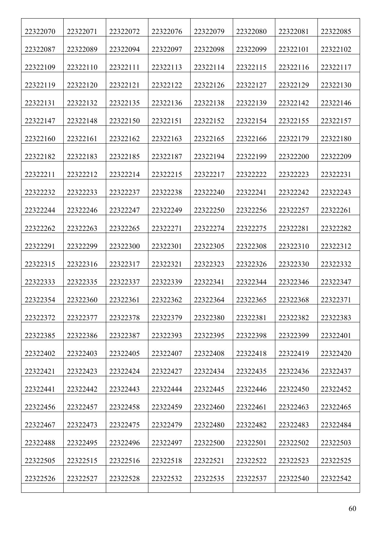| 22322070 | 22322071 | 22322072 | 22322076 | 22322079 | 22322080 | 22322081 | 22322085 |
|----------|----------|----------|----------|----------|----------|----------|----------|
| 22322087 | 22322089 | 22322094 | 22322097 | 22322098 | 22322099 | 22322101 | 22322102 |
| 22322109 | 22322110 | 22322111 | 22322113 | 22322114 | 22322115 | 22322116 | 22322117 |
| 22322119 | 22322120 | 22322121 | 22322122 | 22322126 | 22322127 | 22322129 | 22322130 |
| 22322131 | 22322132 | 22322135 | 22322136 | 22322138 | 22322139 | 22322142 | 22322146 |
| 22322147 | 22322148 | 22322150 | 22322151 | 22322152 | 22322154 | 22322155 | 22322157 |
| 22322160 | 22322161 | 22322162 | 22322163 | 22322165 | 22322166 | 22322179 | 22322180 |
| 22322182 | 22322183 | 22322185 | 22322187 | 22322194 | 22322199 | 22322200 | 22322209 |
| 22322211 | 22322212 | 22322214 | 22322215 | 22322217 | 22322222 | 22322223 | 22322231 |
| 22322232 | 22322233 | 22322237 | 22322238 | 22322240 | 22322241 | 22322242 | 22322243 |
| 22322244 | 22322246 | 22322247 | 22322249 | 22322250 | 22322256 | 22322257 | 22322261 |
| 22322262 | 22322263 | 22322265 | 22322271 | 22322274 | 22322275 | 22322281 | 22322282 |
| 22322291 | 22322299 | 22322300 | 22322301 | 22322305 | 22322308 | 22322310 | 22322312 |
| 22322315 | 22322316 | 22322317 | 22322321 | 22322323 | 22322326 | 22322330 | 22322332 |
| 22322333 | 22322335 | 22322337 | 22322339 | 22322341 | 22322344 | 22322346 | 22322347 |
| 22322354 | 22322360 | 22322361 | 22322362 | 22322364 | 22322365 | 22322368 | 22322371 |
| 22322372 | 22322377 | 22322378 | 22322379 | 22322380 | 22322381 | 22322382 | 22322383 |
| 22322385 | 22322386 | 22322387 | 22322393 | 22322395 | 22322398 | 22322399 | 22322401 |
| 22322402 | 22322403 | 22322405 | 22322407 | 22322408 | 22322418 | 22322419 | 22322420 |
| 22322421 | 22322423 | 22322424 | 22322427 | 22322434 | 22322435 | 22322436 | 22322437 |
| 22322441 | 22322442 | 22322443 | 22322444 | 22322445 | 22322446 | 22322450 | 22322452 |
| 22322456 | 22322457 | 22322458 | 22322459 | 22322460 | 22322461 | 22322463 | 22322465 |
| 22322467 | 22322473 | 22322475 | 22322479 | 22322480 | 22322482 | 22322483 | 22322484 |
| 22322488 | 22322495 | 22322496 | 22322497 | 22322500 | 22322501 | 22322502 | 22322503 |
| 22322505 | 22322515 | 22322516 | 22322518 | 22322521 | 22322522 | 22322523 | 22322525 |
| 22322526 | 22322527 | 22322528 | 22322532 | 22322535 | 22322537 | 22322540 | 22322542 |
|          |          |          |          |          |          |          |          |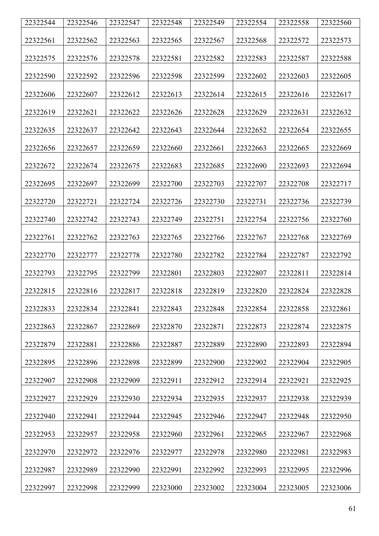| 22322544 | 22322546 | 22322547 | 22322548 | 22322549 | 22322554 | 22322558 | 22322560 |
|----------|----------|----------|----------|----------|----------|----------|----------|
| 22322561 |          |          | 22322565 |          |          |          |          |
|          | 22322562 | 22322563 |          | 22322567 | 22322568 | 22322572 | 22322573 |
| 22322575 | 22322576 | 22322578 | 22322581 | 22322582 | 22322583 | 22322587 | 22322588 |
| 22322590 | 22322592 | 22322596 | 22322598 | 22322599 | 22322602 | 22322603 | 22322605 |
| 22322606 | 22322607 | 22322612 | 22322613 | 22322614 | 22322615 | 22322616 | 22322617 |
| 22322619 | 22322621 | 22322622 | 22322626 | 22322628 | 22322629 | 22322631 | 22322632 |
| 22322635 | 22322637 | 22322642 | 22322643 | 22322644 | 22322652 | 22322654 | 22322655 |
| 22322656 | 22322657 | 22322659 | 22322660 | 22322661 | 22322663 | 22322665 | 22322669 |
| 22322672 | 22322674 | 22322675 | 22322683 | 22322685 | 22322690 | 22322693 | 22322694 |
| 22322695 | 22322697 | 22322699 | 22322700 | 22322703 | 22322707 | 22322708 | 22322717 |
| 22322720 | 22322721 | 22322724 | 22322726 | 22322730 | 22322731 | 22322736 | 22322739 |
| 22322740 | 22322742 | 22322743 | 22322749 | 22322751 | 22322754 | 22322756 | 22322760 |
| 22322761 | 22322762 | 22322763 | 22322765 | 22322766 | 22322767 | 22322768 | 22322769 |
| 22322770 | 22322777 | 22322778 | 22322780 | 22322782 | 22322784 | 22322787 | 22322792 |
| 22322793 | 22322795 | 22322799 | 22322801 | 22322803 | 22322807 | 22322811 | 22322814 |
| 22322815 | 22322816 | 22322817 | 22322818 | 22322819 | 22322820 | 22322824 | 22322828 |
| 22322833 | 22322834 | 22322841 | 22322843 | 22322848 | 22322854 | 22322858 | 22322861 |
| 22322863 | 22322867 | 22322869 | 22322870 | 22322871 | 22322873 | 22322874 | 22322875 |
| 22322879 | 22322881 | 22322886 | 22322887 | 22322889 | 22322890 | 22322893 | 22322894 |
| 22322895 | 22322896 | 22322898 | 22322899 | 22322900 | 22322902 | 22322904 | 22322905 |
| 22322907 | 22322908 | 22322909 | 22322911 | 22322912 | 22322914 | 22322921 | 22322925 |
| 22322927 | 22322929 | 22322930 | 22322934 | 22322935 | 22322937 | 22322938 | 22322939 |
| 22322940 | 22322941 | 22322944 | 22322945 | 22322946 | 22322947 | 22322948 | 22322950 |
| 22322953 | 22322957 | 22322958 | 22322960 | 22322961 | 22322965 | 22322967 | 22322968 |
| 22322970 | 22322972 | 22322976 | 22322977 | 22322978 | 22322980 | 22322981 | 22322983 |
| 22322987 | 22322989 | 22322990 | 22322991 | 22322992 | 22322993 | 22322995 | 22322996 |
| 22322997 | 22322998 | 22322999 | 22323000 | 22323002 | 22323004 | 22323005 | 22323006 |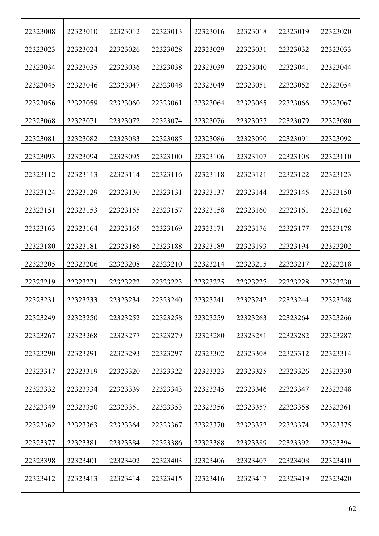| 22323008 | 22323010 | 22323012 | 22323013 | 22323016 | 22323018 | 22323019 | 22323020 |
|----------|----------|----------|----------|----------|----------|----------|----------|
| 22323023 | 22323024 | 22323026 | 22323028 | 22323029 | 22323031 | 22323032 | 22323033 |
| 22323034 | 22323035 | 22323036 | 22323038 | 22323039 | 22323040 | 22323041 | 22323044 |
| 22323045 | 22323046 | 22323047 | 22323048 | 22323049 | 22323051 | 22323052 | 22323054 |
| 22323056 | 22323059 | 22323060 | 22323061 | 22323064 | 22323065 | 22323066 | 22323067 |
| 22323068 | 22323071 | 22323072 | 22323074 | 22323076 | 22323077 | 22323079 | 22323080 |
| 22323081 | 22323082 | 22323083 | 22323085 | 22323086 | 22323090 | 22323091 | 22323092 |
| 22323093 | 22323094 | 22323095 | 22323100 | 22323106 | 22323107 | 22323108 | 22323110 |
| 22323112 | 22323113 | 22323114 | 22323116 | 22323118 | 22323121 | 22323122 | 22323123 |
| 22323124 | 22323129 | 22323130 | 22323131 | 22323137 | 22323144 | 22323145 | 22323150 |
| 22323151 | 22323153 | 22323155 | 22323157 | 22323158 | 22323160 | 22323161 | 22323162 |
| 22323163 | 22323164 | 22323165 | 22323169 | 22323171 | 22323176 | 22323177 | 22323178 |
| 22323180 | 22323181 | 22323186 | 22323188 | 22323189 | 22323193 | 22323194 | 22323202 |
| 22323205 | 22323206 | 22323208 | 22323210 | 22323214 | 22323215 | 22323217 | 22323218 |
| 22323219 | 22323221 | 22323222 | 22323223 | 22323225 | 22323227 | 22323228 | 22323230 |
| 22323231 | 22323233 | 22323234 | 22323240 | 22323241 | 22323242 | 22323244 | 22323248 |
| 22323249 | 22323250 | 22323252 | 22323258 | 22323259 | 22323263 | 22323264 | 22323266 |
| 22323267 | 22323268 | 22323277 | 22323279 | 22323280 | 22323281 | 22323282 | 22323287 |
| 22323290 | 22323291 | 22323293 | 22323297 | 22323302 | 22323308 | 22323312 | 22323314 |
| 22323317 | 22323319 | 22323320 | 22323322 | 22323323 | 22323325 | 22323326 | 22323330 |
| 22323332 | 22323334 | 22323339 | 22323343 | 22323345 | 22323346 | 22323347 | 22323348 |
| 22323349 | 22323350 | 22323351 | 22323353 | 22323356 | 22323357 | 22323358 | 22323361 |
| 22323362 | 22323363 | 22323364 | 22323367 | 22323370 | 22323372 | 22323374 | 22323375 |
| 22323377 | 22323381 | 22323384 | 22323386 | 22323388 | 22323389 | 22323392 | 22323394 |
| 22323398 | 22323401 | 22323402 | 22323403 | 22323406 | 22323407 | 22323408 | 22323410 |
| 22323412 | 22323413 | 22323414 | 22323415 | 22323416 | 22323417 | 22323419 | 22323420 |
|          |          |          |          |          |          |          |          |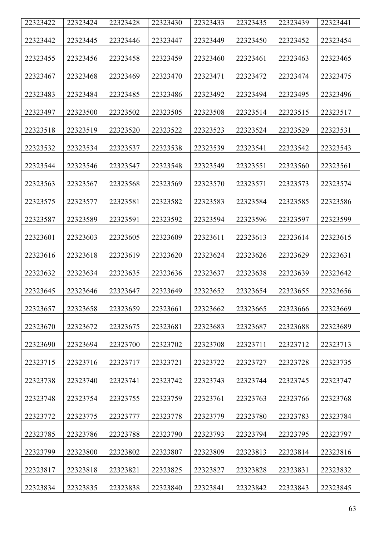| 22323422 | 22323424 | 22323428 | 22323430 | 22323433 | 22323435 | 22323439 | 22323441 |
|----------|----------|----------|----------|----------|----------|----------|----------|
| 22323442 | 22323445 | 22323446 | 22323447 | 22323449 | 22323450 | 22323452 | 22323454 |
| 22323455 | 22323456 | 22323458 | 22323459 | 22323460 | 22323461 | 22323463 | 22323465 |
| 22323467 | 22323468 | 22323469 | 22323470 | 22323471 | 22323472 | 22323474 | 22323475 |
| 22323483 | 22323484 | 22323485 | 22323486 | 22323492 | 22323494 | 22323495 | 22323496 |
| 22323497 | 22323500 | 22323502 | 22323505 | 22323508 | 22323514 | 22323515 | 22323517 |
| 22323518 | 22323519 | 22323520 | 22323522 | 22323523 | 22323524 | 22323529 | 22323531 |
| 22323532 | 22323534 | 22323537 | 22323538 | 22323539 | 22323541 | 22323542 | 22323543 |
| 22323544 | 22323546 | 22323547 | 22323548 | 22323549 | 22323551 | 22323560 | 22323561 |
| 22323563 | 22323567 | 22323568 | 22323569 | 22323570 | 22323571 | 22323573 | 22323574 |
| 22323575 | 22323577 | 22323581 | 22323582 | 22323583 | 22323584 | 22323585 | 22323586 |
| 22323587 | 22323589 | 22323591 | 22323592 | 22323594 | 22323596 | 22323597 | 22323599 |
| 22323601 | 22323603 | 22323605 | 22323609 | 22323611 | 22323613 | 22323614 | 22323615 |
| 22323616 | 22323618 | 22323619 | 22323620 | 22323624 | 22323626 | 22323629 | 22323631 |
| 22323632 | 22323634 | 22323635 | 22323636 | 22323637 | 22323638 | 22323639 | 22323642 |
| 22323645 | 22323646 | 22323647 | 22323649 | 22323652 | 22323654 | 22323655 | 22323656 |
| 22323657 | 22323658 | 22323659 | 22323661 | 22323662 | 22323665 | 22323666 | 22323669 |
| 22323670 | 22323672 | 22323675 | 22323681 | 22323683 | 22323687 | 22323688 | 22323689 |
| 22323690 | 22323694 | 22323700 | 22323702 | 22323708 | 22323711 | 22323712 | 22323713 |
| 22323715 | 22323716 | 22323717 | 22323721 | 22323722 | 22323727 | 22323728 | 22323735 |
| 22323738 | 22323740 | 22323741 | 22323742 | 22323743 | 22323744 | 22323745 | 22323747 |
| 22323748 | 22323754 | 22323755 | 22323759 | 22323761 | 22323763 | 22323766 | 22323768 |
| 22323772 | 22323775 | 22323777 | 22323778 | 22323779 | 22323780 | 22323783 | 22323784 |
| 22323785 | 22323786 | 22323788 | 22323790 | 22323793 | 22323794 | 22323795 | 22323797 |
| 22323799 | 22323800 | 22323802 | 22323807 | 22323809 | 22323813 | 22323814 | 22323816 |
| 22323817 | 22323818 | 22323821 | 22323825 | 22323827 | 22323828 | 22323831 | 22323832 |
| 22323834 | 22323835 | 22323838 | 22323840 | 22323841 | 22323842 | 22323843 | 22323845 |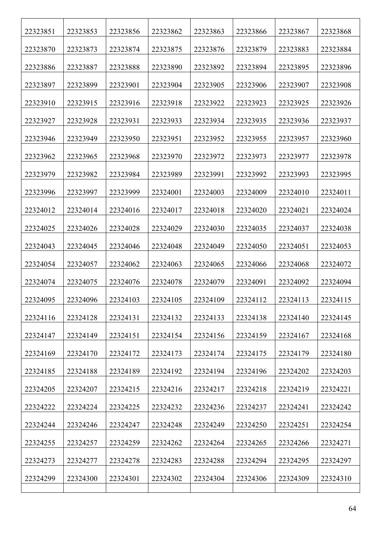| 22323851 | 22323853 | 22323856 | 22323862 | 22323863 | 22323866 | 22323867 | 22323868 |
|----------|----------|----------|----------|----------|----------|----------|----------|
| 22323870 | 22323873 | 22323874 | 22323875 | 22323876 | 22323879 | 22323883 | 22323884 |
| 22323886 | 22323887 | 22323888 | 22323890 | 22323892 | 22323894 | 22323895 | 22323896 |
| 22323897 | 22323899 | 22323901 | 22323904 | 22323905 | 22323906 | 22323907 | 22323908 |
| 22323910 | 22323915 | 22323916 | 22323918 | 22323922 | 22323923 | 22323925 | 22323926 |
| 22323927 | 22323928 | 22323931 | 22323933 | 22323934 | 22323935 | 22323936 | 22323937 |
| 22323946 | 22323949 | 22323950 | 22323951 | 22323952 | 22323955 | 22323957 | 22323960 |
| 22323962 | 22323965 | 22323968 | 22323970 | 22323972 | 22323973 | 22323977 | 22323978 |
| 22323979 | 22323982 | 22323984 | 22323989 | 22323991 | 22323992 | 22323993 | 22323995 |
| 22323996 | 22323997 | 22323999 | 22324001 | 22324003 | 22324009 | 22324010 | 22324011 |
| 22324012 | 22324014 | 22324016 | 22324017 | 22324018 | 22324020 | 22324021 | 22324024 |
| 22324025 | 22324026 | 22324028 | 22324029 | 22324030 | 22324035 | 22324037 | 22324038 |
| 22324043 | 22324045 | 22324046 | 22324048 | 22324049 | 22324050 | 22324051 | 22324053 |
| 22324054 | 22324057 | 22324062 | 22324063 | 22324065 | 22324066 | 22324068 | 22324072 |
| 22324074 | 22324075 | 22324076 | 22324078 | 22324079 | 22324091 | 22324092 | 22324094 |
| 22324095 | 22324096 | 22324103 | 22324105 | 22324109 | 22324112 | 22324113 | 22324115 |
| 22324116 | 22324128 | 22324131 | 22324132 | 22324133 | 22324138 | 22324140 | 22324145 |
| 22324147 | 22324149 | 22324151 | 22324154 | 22324156 | 22324159 | 22324167 | 22324168 |
| 22324169 | 22324170 | 22324172 | 22324173 | 22324174 | 22324175 | 22324179 | 22324180 |
| 22324185 | 22324188 | 22324189 | 22324192 | 22324194 | 22324196 | 22324202 | 22324203 |
| 22324205 | 22324207 | 22324215 | 22324216 | 22324217 | 22324218 | 22324219 | 22324221 |
| 22324222 | 22324224 | 22324225 | 22324232 | 22324236 | 22324237 | 22324241 | 22324242 |
| 22324244 | 22324246 | 22324247 | 22324248 | 22324249 | 22324250 | 22324251 | 22324254 |
| 22324255 | 22324257 | 22324259 | 22324262 | 22324264 | 22324265 | 22324266 | 22324271 |
| 22324273 | 22324277 | 22324278 | 22324283 | 22324288 | 22324294 | 22324295 | 22324297 |
| 22324299 | 22324300 | 22324301 | 22324302 | 22324304 | 22324306 | 22324309 | 22324310 |
|          |          |          |          |          |          |          |          |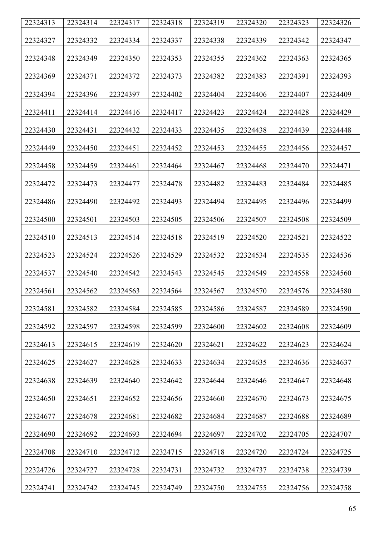| 22324313 | 22324314 | 22324317 | 22324318 | 22324319 | 22324320 | 22324323 | 22324326 |
|----------|----------|----------|----------|----------|----------|----------|----------|
|          |          |          |          |          |          |          |          |
| 22324327 | 22324332 | 22324334 | 22324337 | 22324338 | 22324339 | 22324342 | 22324347 |
| 22324348 | 22324349 | 22324350 | 22324353 | 22324355 | 22324362 | 22324363 | 22324365 |
| 22324369 | 22324371 | 22324372 | 22324373 | 22324382 | 22324383 | 22324391 | 22324393 |
| 22324394 | 22324396 | 22324397 | 22324402 | 22324404 | 22324406 | 22324407 | 22324409 |
| 22324411 | 22324414 | 22324416 | 22324417 | 22324423 | 22324424 | 22324428 | 22324429 |
| 22324430 | 22324431 | 22324432 | 22324433 | 22324435 | 22324438 | 22324439 | 22324448 |
| 22324449 | 22324450 | 22324451 | 22324452 | 22324453 | 22324455 | 22324456 | 22324457 |
| 22324458 | 22324459 | 22324461 | 22324464 | 22324467 | 22324468 | 22324470 | 22324471 |
| 22324472 | 22324473 | 22324477 | 22324478 | 22324482 | 22324483 | 22324484 | 22324485 |
| 22324486 | 22324490 | 22324492 | 22324493 | 22324494 | 22324495 | 22324496 | 22324499 |
| 22324500 | 22324501 | 22324503 | 22324505 | 22324506 | 22324507 | 22324508 | 22324509 |
| 22324510 | 22324513 | 22324514 | 22324518 | 22324519 | 22324520 | 22324521 | 22324522 |
| 22324523 | 22324524 | 22324526 | 22324529 | 22324532 | 22324534 | 22324535 | 22324536 |
| 22324537 | 22324540 | 22324542 | 22324543 | 22324545 | 22324549 | 22324558 | 22324560 |
| 22324561 | 22324562 | 22324563 | 22324564 | 22324567 | 22324570 | 22324576 | 22324580 |
| 22324581 | 22324582 | 22324584 | 22324585 | 22324586 | 22324587 | 22324589 | 22324590 |
| 22324592 | 22324597 | 22324598 | 22324599 | 22324600 | 22324602 | 22324608 | 22324609 |
| 22324613 | 22324615 | 22324619 | 22324620 | 22324621 | 22324622 | 22324623 | 22324624 |
| 22324625 | 22324627 | 22324628 | 22324633 | 22324634 | 22324635 | 22324636 | 22324637 |
| 22324638 | 22324639 | 22324640 | 22324642 | 22324644 | 22324646 | 22324647 | 22324648 |
| 22324650 | 22324651 | 22324652 | 22324656 | 22324660 | 22324670 | 22324673 | 22324675 |
| 22324677 | 22324678 | 22324681 | 22324682 | 22324684 | 22324687 | 22324688 | 22324689 |
| 22324690 | 22324692 | 22324693 | 22324694 | 22324697 | 22324702 | 22324705 | 22324707 |
| 22324708 | 22324710 | 22324712 | 22324715 | 22324718 | 22324720 | 22324724 | 22324725 |
| 22324726 | 22324727 | 22324728 | 22324731 | 22324732 | 22324737 | 22324738 | 22324739 |
| 22324741 | 22324742 | 22324745 | 22324749 | 22324750 | 22324755 | 22324756 | 22324758 |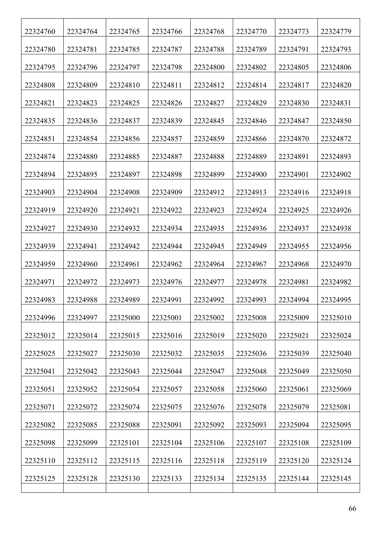| 22324760 | 22324764 | 22324765 | 22324766 | 22324768 | 22324770 | 22324773 | 22324779 |
|----------|----------|----------|----------|----------|----------|----------|----------|
| 22324780 | 22324781 | 22324785 | 22324787 | 22324788 | 22324789 | 22324791 | 22324793 |
| 22324795 | 22324796 | 22324797 | 22324798 | 22324800 | 22324802 | 22324805 | 22324806 |
| 22324808 | 22324809 | 22324810 | 22324811 | 22324812 | 22324814 | 22324817 | 22324820 |
| 22324821 | 22324823 | 22324825 | 22324826 | 22324827 | 22324829 | 22324830 | 22324831 |
| 22324835 | 22324836 | 22324837 | 22324839 | 22324845 | 22324846 | 22324847 | 22324850 |
| 22324851 | 22324854 | 22324856 | 22324857 | 22324859 | 22324866 | 22324870 | 22324872 |
| 22324874 | 22324880 | 22324885 | 22324887 | 22324888 | 22324889 | 22324891 | 22324893 |
| 22324894 | 22324895 | 22324897 | 22324898 | 22324899 | 22324900 | 22324901 | 22324902 |
| 22324903 | 22324904 | 22324908 | 22324909 | 22324912 | 22324913 | 22324916 | 22324918 |
| 22324919 | 22324920 | 22324921 | 22324922 | 22324923 | 22324924 | 22324925 | 22324926 |
| 22324927 | 22324930 | 22324932 | 22324934 | 22324935 | 22324936 | 22324937 | 22324938 |
| 22324939 | 22324941 | 22324942 | 22324944 | 22324945 | 22324949 | 22324955 | 22324956 |
| 22324959 | 22324960 | 22324961 | 22324962 | 22324964 | 22324967 | 22324968 | 22324970 |
| 22324971 | 22324972 | 22324973 | 22324976 | 22324977 | 22324978 | 22324981 | 22324982 |
| 22324983 | 22324988 | 22324989 | 22324991 | 22324992 | 22324993 | 22324994 | 22324995 |
| 22324996 | 22324997 | 22325000 | 22325001 | 22325002 | 22325008 | 22325009 | 22325010 |
| 22325012 | 22325014 | 22325015 | 22325016 | 22325019 | 22325020 | 22325021 | 22325024 |
| 22325025 | 22325027 | 22325030 | 22325032 | 22325035 | 22325036 | 22325039 | 22325040 |
| 22325041 | 22325042 | 22325043 | 22325044 | 22325047 | 22325048 | 22325049 | 22325050 |
| 22325051 | 22325052 | 22325054 | 22325057 | 22325058 | 22325060 | 22325061 | 22325069 |
| 22325071 | 22325072 | 22325074 | 22325075 | 22325076 | 22325078 | 22325079 | 22325081 |
| 22325082 | 22325085 | 22325088 | 22325091 | 22325092 | 22325093 | 22325094 | 22325095 |
| 22325098 | 22325099 | 22325101 | 22325104 | 22325106 | 22325107 | 22325108 | 22325109 |
| 22325110 | 22325112 | 22325115 | 22325116 | 22325118 | 22325119 | 22325120 | 22325124 |
| 22325125 | 22325128 | 22325130 | 22325133 | 22325134 | 22325135 | 22325144 | 22325145 |
|          |          |          |          |          |          |          |          |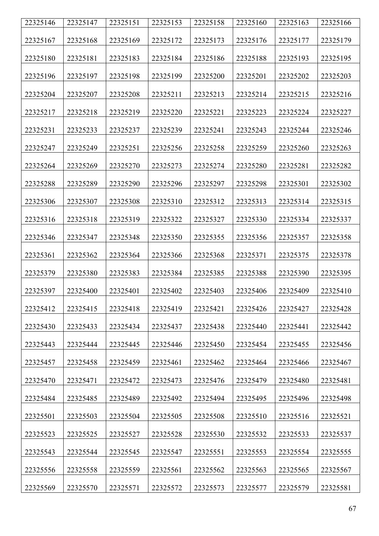| 22325146 | 22325147 | 22325151 | 22325153 | 22325158 | 22325160 | 22325163 | 22325166 |
|----------|----------|----------|----------|----------|----------|----------|----------|
| 22325167 | 22325168 | 22325169 | 22325172 | 22325173 | 22325176 | 22325177 | 22325179 |
| 22325180 | 22325181 | 22325183 | 22325184 | 22325186 | 22325188 | 22325193 | 22325195 |
| 22325196 | 22325197 | 22325198 | 22325199 | 22325200 | 22325201 | 22325202 | 22325203 |
| 22325204 | 22325207 | 22325208 | 22325211 | 22325213 | 22325214 | 22325215 | 22325216 |
| 22325217 | 22325218 | 22325219 | 22325220 | 22325221 | 22325223 | 22325224 | 22325227 |
| 22325231 | 22325233 | 22325237 | 22325239 | 22325241 | 22325243 | 22325244 | 22325246 |
| 22325247 | 22325249 | 22325251 | 22325256 | 22325258 | 22325259 | 22325260 | 22325263 |
| 22325264 | 22325269 | 22325270 | 22325273 | 22325274 | 22325280 | 22325281 | 22325282 |
| 22325288 | 22325289 | 22325290 | 22325296 | 22325297 | 22325298 | 22325301 | 22325302 |
| 22325306 | 22325307 | 22325308 | 22325310 | 22325312 | 22325313 | 22325314 | 22325315 |
| 22325316 | 22325318 | 22325319 | 22325322 | 22325327 | 22325330 | 22325334 | 22325337 |
| 22325346 | 22325347 | 22325348 | 22325350 | 22325355 | 22325356 | 22325357 | 22325358 |
| 22325361 | 22325362 | 22325364 | 22325366 | 22325368 | 22325371 | 22325375 | 22325378 |
| 22325379 | 22325380 | 22325383 | 22325384 | 22325385 | 22325388 | 22325390 | 22325395 |
| 22325397 | 22325400 | 22325401 | 22325402 | 22325403 | 22325406 | 22325409 | 22325410 |
| 22325412 | 22325415 | 22325418 | 22325419 | 22325421 | 22325426 | 22325427 | 22325428 |
| 22325430 | 22325433 | 22325434 | 22325437 | 22325438 | 22325440 | 22325441 | 22325442 |
| 22325443 | 22325444 | 22325445 | 22325446 | 22325450 | 22325454 | 22325455 | 22325456 |
| 22325457 | 22325458 | 22325459 | 22325461 | 22325462 | 22325464 | 22325466 | 22325467 |
| 22325470 | 22325471 | 22325472 | 22325473 | 22325476 | 22325479 | 22325480 | 22325481 |
| 22325484 | 22325485 | 22325489 | 22325492 | 22325494 | 22325495 | 22325496 | 22325498 |
| 22325501 | 22325503 | 22325504 | 22325505 | 22325508 | 22325510 | 22325516 | 22325521 |
| 22325523 | 22325525 | 22325527 | 22325528 | 22325530 | 22325532 | 22325533 | 22325537 |
| 22325543 | 22325544 | 22325545 | 22325547 | 22325551 | 22325553 | 22325554 | 22325555 |
| 22325556 | 22325558 | 22325559 | 22325561 | 22325562 | 22325563 | 22325565 | 22325567 |
| 22325569 | 22325570 | 22325571 | 22325572 | 22325573 | 22325577 | 22325579 | 22325581 |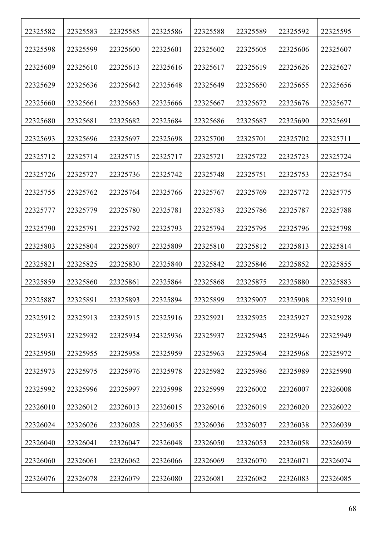| 22325582 | 22325583 | 22325585 | 22325586 | 22325588 | 22325589 | 22325592 | 22325595 |
|----------|----------|----------|----------|----------|----------|----------|----------|
| 22325598 | 22325599 | 22325600 | 22325601 | 22325602 | 22325605 | 22325606 | 22325607 |
| 22325609 | 22325610 | 22325613 | 22325616 | 22325617 | 22325619 | 22325626 | 22325627 |
| 22325629 | 22325636 | 22325642 | 22325648 | 22325649 | 22325650 | 22325655 | 22325656 |
| 22325660 | 22325661 | 22325663 | 22325666 | 22325667 | 22325672 | 22325676 | 22325677 |
| 22325680 | 22325681 | 22325682 | 22325684 | 22325686 | 22325687 | 22325690 | 22325691 |
| 22325693 | 22325696 | 22325697 | 22325698 | 22325700 | 22325701 | 22325702 | 22325711 |
| 22325712 | 22325714 | 22325715 | 22325717 | 22325721 | 22325722 | 22325723 | 22325724 |
| 22325726 | 22325727 | 22325736 | 22325742 | 22325748 | 22325751 | 22325753 | 22325754 |
| 22325755 | 22325762 | 22325764 | 22325766 | 22325767 | 22325769 | 22325772 | 22325775 |
| 22325777 | 22325779 | 22325780 | 22325781 | 22325783 | 22325786 | 22325787 | 22325788 |
| 22325790 | 22325791 | 22325792 | 22325793 | 22325794 | 22325795 | 22325796 | 22325798 |
| 22325803 | 22325804 | 22325807 | 22325809 | 22325810 | 22325812 | 22325813 | 22325814 |
| 22325821 | 22325825 | 22325830 | 22325840 | 22325842 | 22325846 | 22325852 | 22325855 |
| 22325859 | 22325860 | 22325861 | 22325864 | 22325868 | 22325875 | 22325880 | 22325883 |
| 22325887 | 22325891 | 22325893 | 22325894 | 22325899 | 22325907 | 22325908 | 22325910 |
| 22325912 | 22325913 | 22325915 | 22325916 | 22325921 | 22325925 | 22325927 | 22325928 |
| 22325931 | 22325932 | 22325934 | 22325936 | 22325937 | 22325945 | 22325946 | 22325949 |
| 22325950 | 22325955 | 22325958 | 22325959 | 22325963 | 22325964 | 22325968 | 22325972 |
| 22325973 | 22325975 | 22325976 | 22325978 | 22325982 | 22325986 | 22325989 | 22325990 |
| 22325992 | 22325996 | 22325997 | 22325998 | 22325999 | 22326002 | 22326007 | 22326008 |
| 22326010 | 22326012 | 22326013 | 22326015 | 22326016 | 22326019 | 22326020 | 22326022 |
| 22326024 | 22326026 | 22326028 | 22326035 | 22326036 | 22326037 | 22326038 | 22326039 |
| 22326040 | 22326041 | 22326047 | 22326048 | 22326050 | 22326053 | 22326058 | 22326059 |
| 22326060 | 22326061 | 22326062 | 22326066 | 22326069 | 22326070 | 22326071 | 22326074 |
| 22326076 | 22326078 | 22326079 | 22326080 | 22326081 | 22326082 | 22326083 | 22326085 |
|          |          |          |          |          |          |          |          |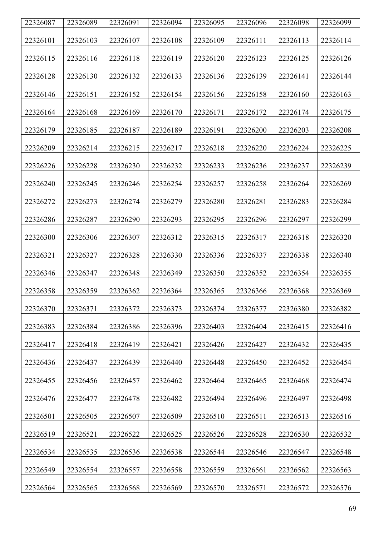| 22326087 | 22326089 | 22326091 | 22326094 | 22326095 | 22326096 | 22326098 | 22326099 |
|----------|----------|----------|----------|----------|----------|----------|----------|
| 22326101 | 22326103 | 22326107 | 22326108 | 22326109 | 22326111 | 22326113 | 22326114 |
| 22326115 | 22326116 | 22326118 | 22326119 | 22326120 | 22326123 | 22326125 | 22326126 |
| 22326128 | 22326130 | 22326132 | 22326133 | 22326136 | 22326139 | 22326141 | 22326144 |
| 22326146 | 22326151 | 22326152 | 22326154 | 22326156 | 22326158 | 22326160 | 22326163 |
| 22326164 | 22326168 | 22326169 | 22326170 | 22326171 | 22326172 | 22326174 | 22326175 |
| 22326179 | 22326185 | 22326187 | 22326189 | 22326191 | 22326200 | 22326203 | 22326208 |
| 22326209 | 22326214 | 22326215 | 22326217 | 22326218 | 22326220 | 22326224 | 22326225 |
| 22326226 | 22326228 | 22326230 | 22326232 | 22326233 | 22326236 | 22326237 | 22326239 |
| 22326240 | 22326245 | 22326246 | 22326254 | 22326257 | 22326258 | 22326264 | 22326269 |
| 22326272 | 22326273 | 22326274 | 22326279 | 22326280 | 22326281 | 22326283 | 22326284 |
| 22326286 | 22326287 | 22326290 | 22326293 | 22326295 | 22326296 | 22326297 | 22326299 |
| 22326300 | 22326306 | 22326307 | 22326312 | 22326315 | 22326317 | 22326318 | 22326320 |
| 22326321 | 22326327 | 22326328 | 22326330 | 22326336 | 22326337 | 22326338 | 22326340 |
| 22326346 | 22326347 | 22326348 | 22326349 | 22326350 | 22326352 | 22326354 | 22326355 |
| 22326358 | 22326359 | 22326362 | 22326364 | 22326365 | 22326366 | 22326368 | 22326369 |
| 22326370 | 22326371 | 22326372 | 22326373 | 22326374 | 22326377 | 22326380 | 22326382 |
| 22326383 | 22326384 | 22326386 | 22326396 | 22326403 | 22326404 | 22326415 | 22326416 |
| 22326417 | 22326418 | 22326419 | 22326421 | 22326426 | 22326427 | 22326432 | 22326435 |
| 22326436 | 22326437 | 22326439 | 22326440 | 22326448 | 22326450 | 22326452 | 22326454 |
| 22326455 | 22326456 | 22326457 | 22326462 | 22326464 | 22326465 | 22326468 | 22326474 |
| 22326476 | 22326477 | 22326478 | 22326482 | 22326494 | 22326496 | 22326497 | 22326498 |
| 22326501 | 22326505 | 22326507 | 22326509 | 22326510 | 22326511 | 22326513 | 22326516 |
| 22326519 | 22326521 | 22326522 | 22326525 | 22326526 | 22326528 | 22326530 | 22326532 |
| 22326534 | 22326535 | 22326536 | 22326538 | 22326544 | 22326546 | 22326547 | 22326548 |
| 22326549 | 22326554 | 22326557 | 22326558 | 22326559 | 22326561 | 22326562 | 22326563 |
| 22326564 | 22326565 | 22326568 | 22326569 | 22326570 | 22326571 | 22326572 | 22326576 |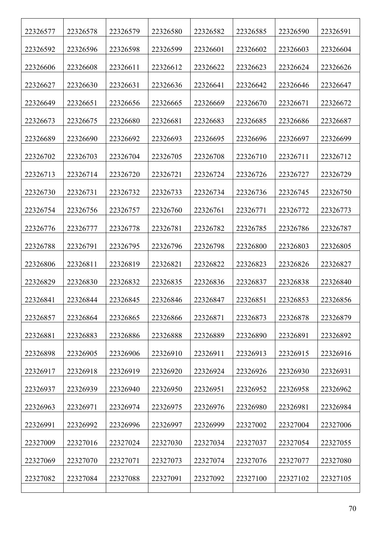| 22326577 | 22326578 | 22326579 | 22326580 | 22326582 | 22326585 | 22326590 | 22326591 |
|----------|----------|----------|----------|----------|----------|----------|----------|
| 22326592 | 22326596 | 22326598 | 22326599 | 22326601 | 22326602 | 22326603 | 22326604 |
| 22326606 | 22326608 | 22326611 | 22326612 | 22326622 | 22326623 | 22326624 | 22326626 |
| 22326627 | 22326630 | 22326631 | 22326636 | 22326641 | 22326642 | 22326646 | 22326647 |
| 22326649 | 22326651 | 22326656 | 22326665 | 22326669 | 22326670 | 22326671 | 22326672 |
| 22326673 | 22326675 | 22326680 | 22326681 | 22326683 | 22326685 | 22326686 | 22326687 |
| 22326689 | 22326690 | 22326692 | 22326693 | 22326695 | 22326696 | 22326697 | 22326699 |
| 22326702 | 22326703 | 22326704 | 22326705 | 22326708 | 22326710 | 22326711 | 22326712 |
| 22326713 | 22326714 | 22326720 | 22326721 | 22326724 | 22326726 | 22326727 | 22326729 |
| 22326730 | 22326731 | 22326732 | 22326733 | 22326734 | 22326736 | 22326745 | 22326750 |
| 22326754 | 22326756 | 22326757 | 22326760 | 22326761 | 22326771 | 22326772 | 22326773 |
| 22326776 | 22326777 | 22326778 | 22326781 | 22326782 | 22326785 | 22326786 | 22326787 |
| 22326788 | 22326791 | 22326795 | 22326796 | 22326798 | 22326800 | 22326803 | 22326805 |
| 22326806 | 22326811 | 22326819 | 22326821 | 22326822 | 22326823 | 22326826 | 22326827 |
| 22326829 | 22326830 | 22326832 | 22326835 | 22326836 | 22326837 | 22326838 | 22326840 |
| 22326841 | 22326844 | 22326845 | 22326846 | 22326847 | 22326851 | 22326853 | 22326856 |
| 22326857 | 22326864 | 22326865 | 22326866 | 22326871 | 22326873 | 22326878 | 22326879 |
| 22326881 | 22326883 | 22326886 | 22326888 | 22326889 | 22326890 | 22326891 | 22326892 |
| 22326898 | 22326905 | 22326906 | 22326910 | 22326911 | 22326913 | 22326915 | 22326916 |
| 22326917 | 22326918 | 22326919 | 22326920 | 22326924 | 22326926 | 22326930 | 22326931 |
| 22326937 | 22326939 | 22326940 | 22326950 | 22326951 | 22326952 | 22326958 | 22326962 |
| 22326963 | 22326971 | 22326974 | 22326975 | 22326976 | 22326980 | 22326981 | 22326984 |
| 22326991 | 22326992 | 22326996 | 22326997 | 22326999 | 22327002 | 22327004 | 22327006 |
| 22327009 | 22327016 | 22327024 | 22327030 | 22327034 | 22327037 | 22327054 | 22327055 |
| 22327069 | 22327070 | 22327071 | 22327073 | 22327074 | 22327076 | 22327077 | 22327080 |
| 22327082 | 22327084 | 22327088 | 22327091 | 22327092 | 22327100 | 22327102 | 22327105 |
|          |          |          |          |          |          |          |          |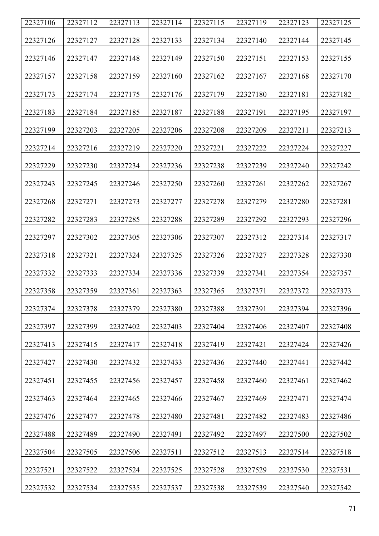| 22327106 | 22327112 | 22327113 | 22327114 | 22327115 | 22327119 | 22327123 | 22327125 |
|----------|----------|----------|----------|----------|----------|----------|----------|
| 22327126 | 22327127 | 22327128 | 22327133 | 22327134 | 22327140 | 22327144 | 22327145 |
| 22327146 | 22327147 | 22327148 | 22327149 | 22327150 | 22327151 | 22327153 | 22327155 |
| 22327157 | 22327158 | 22327159 | 22327160 | 22327162 | 22327167 | 22327168 | 22327170 |
| 22327173 | 22327174 | 22327175 | 22327176 | 22327179 | 22327180 | 22327181 | 22327182 |
| 22327183 | 22327184 | 22327185 | 22327187 | 22327188 | 22327191 | 22327195 | 22327197 |
| 22327199 | 22327203 | 22327205 | 22327206 | 22327208 | 22327209 | 22327211 | 22327213 |
| 22327214 | 22327216 | 22327219 | 22327220 | 22327221 | 22327222 | 22327224 | 22327227 |
| 22327229 | 22327230 | 22327234 | 22327236 | 22327238 | 22327239 | 22327240 | 22327242 |
| 22327243 | 22327245 | 22327246 | 22327250 | 22327260 | 22327261 | 22327262 | 22327267 |
| 22327268 | 22327271 | 22327273 | 22327277 | 22327278 | 22327279 | 22327280 | 22327281 |
| 22327282 | 22327283 | 22327285 | 22327288 | 22327289 | 22327292 | 22327293 | 22327296 |
| 22327297 | 22327302 | 22327305 | 22327306 | 22327307 | 22327312 | 22327314 | 22327317 |
| 22327318 | 22327321 | 22327324 | 22327325 | 22327326 | 22327327 | 22327328 | 22327330 |
| 22327332 | 22327333 | 22327334 | 22327336 | 22327339 | 22327341 | 22327354 | 22327357 |
| 22327358 | 22327359 | 22327361 | 22327363 | 22327365 | 22327371 | 22327372 | 22327373 |
| 22327374 | 22327378 | 22327379 | 22327380 | 22327388 | 22327391 | 22327394 | 22327396 |
| 22327397 | 22327399 | 22327402 | 22327403 | 22327404 | 22327406 | 22327407 | 22327408 |
| 22327413 | 22327415 | 22327417 | 22327418 | 22327419 | 22327421 | 22327424 | 22327426 |
| 22327427 | 22327430 | 22327432 | 22327433 | 22327436 | 22327440 | 22327441 | 22327442 |
| 22327451 | 22327455 | 22327456 | 22327457 | 22327458 | 22327460 | 22327461 | 22327462 |
| 22327463 | 22327464 | 22327465 | 22327466 | 22327467 | 22327469 | 22327471 | 22327474 |
| 22327476 | 22327477 | 22327478 | 22327480 | 22327481 | 22327482 | 22327483 | 22327486 |
| 22327488 | 22327489 | 22327490 | 22327491 | 22327492 | 22327497 | 22327500 | 22327502 |
| 22327504 | 22327505 | 22327506 | 22327511 | 22327512 | 22327513 | 22327514 | 22327518 |
| 22327521 | 22327522 | 22327524 | 22327525 | 22327528 | 22327529 | 22327530 | 22327531 |
| 22327532 | 22327534 | 22327535 | 22327537 | 22327538 | 22327539 | 22327540 | 22327542 |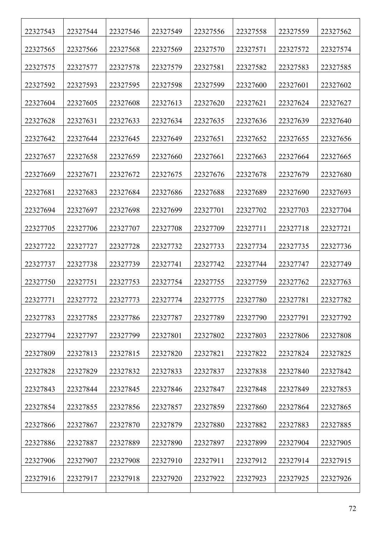| 22327543 | 22327544 | 22327546 | 22327549 | 22327556 | 22327558 | 22327559 | 22327562 |
|----------|----------|----------|----------|----------|----------|----------|----------|
| 22327565 | 22327566 | 22327568 | 22327569 | 22327570 | 22327571 | 22327572 | 22327574 |
| 22327575 | 22327577 | 22327578 | 22327579 | 22327581 | 22327582 | 22327583 | 22327585 |
| 22327592 | 22327593 | 22327595 | 22327598 | 22327599 | 22327600 | 22327601 | 22327602 |
| 22327604 | 22327605 | 22327608 | 22327613 | 22327620 | 22327621 | 22327624 | 22327627 |
| 22327628 | 22327631 | 22327633 | 22327634 | 22327635 | 22327636 | 22327639 | 22327640 |
| 22327642 | 22327644 | 22327645 | 22327649 | 22327651 | 22327652 | 22327655 | 22327656 |
| 22327657 | 22327658 | 22327659 | 22327660 | 22327661 | 22327663 | 22327664 | 22327665 |
| 22327669 | 22327671 | 22327672 | 22327675 | 22327676 | 22327678 | 22327679 | 22327680 |
| 22327681 | 22327683 | 22327684 | 22327686 | 22327688 | 22327689 | 22327690 | 22327693 |
| 22327694 | 22327697 | 22327698 | 22327699 | 22327701 | 22327702 | 22327703 | 22327704 |
| 22327705 | 22327706 | 22327707 | 22327708 | 22327709 | 22327711 | 22327718 | 22327721 |
| 22327722 | 22327727 | 22327728 | 22327732 | 22327733 | 22327734 | 22327735 | 22327736 |
| 22327737 | 22327738 | 22327739 | 22327741 | 22327742 | 22327744 | 22327747 | 22327749 |
| 22327750 | 22327751 | 22327753 | 22327754 | 22327755 | 22327759 | 22327762 | 22327763 |
| 22327771 | 22327772 | 22327773 | 22327774 | 22327775 | 22327780 | 22327781 | 22327782 |
| 22327783 | 22327785 | 22327786 | 22327787 | 22327789 | 22327790 | 22327791 | 22327792 |
| 22327794 | 22327797 | 22327799 | 22327801 | 22327802 | 22327803 | 22327806 | 22327808 |
| 22327809 | 22327813 | 22327815 | 22327820 | 22327821 | 22327822 | 22327824 | 22327825 |
| 22327828 | 22327829 | 22327832 | 22327833 | 22327837 | 22327838 | 22327840 | 22327842 |
| 22327843 | 22327844 | 22327845 | 22327846 | 22327847 | 22327848 | 22327849 | 22327853 |
| 22327854 | 22327855 | 22327856 | 22327857 | 22327859 | 22327860 | 22327864 | 22327865 |
| 22327866 | 22327867 | 22327870 | 22327879 | 22327880 | 22327882 | 22327883 | 22327885 |
| 22327886 | 22327887 | 22327889 | 22327890 | 22327897 | 22327899 | 22327904 | 22327905 |
| 22327906 | 22327907 | 22327908 | 22327910 | 22327911 | 22327912 | 22327914 | 22327915 |
| 22327916 | 22327917 | 22327918 | 22327920 | 22327922 | 22327923 | 22327925 | 22327926 |
|          |          |          |          |          |          |          |          |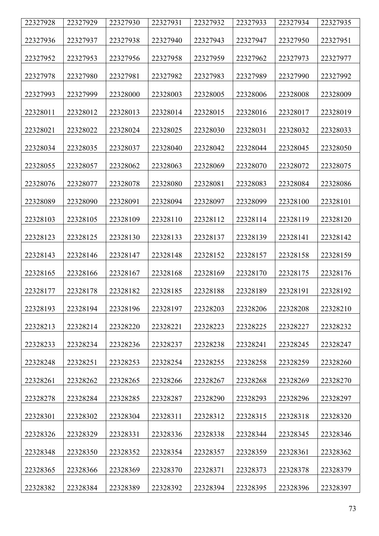| 22327928 | 22327929 | 22327930 | 22327931 | 22327932 | 22327933 | 22327934 | 22327935 |
|----------|----------|----------|----------|----------|----------|----------|----------|
| 22327936 | 22327937 | 22327938 | 22327940 | 22327943 | 22327947 | 22327950 | 22327951 |
| 22327952 | 22327953 | 22327956 | 22327958 | 22327959 | 22327962 | 22327973 | 22327977 |
| 22327978 | 22327980 | 22327981 | 22327982 | 22327983 | 22327989 | 22327990 | 22327992 |
| 22327993 | 22327999 | 22328000 | 22328003 | 22328005 | 22328006 | 22328008 | 22328009 |
| 22328011 | 22328012 | 22328013 | 22328014 | 22328015 | 22328016 | 22328017 | 22328019 |
| 22328021 | 22328022 | 22328024 | 22328025 | 22328030 | 22328031 | 22328032 | 22328033 |
| 22328034 | 22328035 | 22328037 | 22328040 | 22328042 | 22328044 | 22328045 | 22328050 |
| 22328055 | 22328057 | 22328062 | 22328063 | 22328069 | 22328070 | 22328072 | 22328075 |
| 22328076 | 22328077 | 22328078 | 22328080 | 22328081 | 22328083 | 22328084 | 22328086 |
| 22328089 | 22328090 | 22328091 | 22328094 | 22328097 | 22328099 | 22328100 | 22328101 |
| 22328103 | 22328105 | 22328109 | 22328110 | 22328112 | 22328114 | 22328119 | 22328120 |
| 22328123 | 22328125 | 22328130 | 22328133 | 22328137 | 22328139 | 22328141 | 22328142 |
| 22328143 | 22328146 | 22328147 | 22328148 | 22328152 | 22328157 | 22328158 | 22328159 |
| 22328165 | 22328166 | 22328167 | 22328168 | 22328169 | 22328170 | 22328175 | 22328176 |
| 22328177 | 22328178 | 22328182 | 22328185 | 22328188 | 22328189 | 22328191 | 22328192 |
| 22328193 | 22328194 | 22328196 | 22328197 | 22328203 | 22328206 | 22328208 | 22328210 |
| 22328213 | 22328214 | 22328220 | 22328221 | 22328223 | 22328225 | 22328227 | 22328232 |
| 22328233 | 22328234 | 22328236 | 22328237 | 22328238 | 22328241 | 22328245 | 22328247 |
| 22328248 | 22328251 | 22328253 | 22328254 | 22328255 | 22328258 | 22328259 | 22328260 |
| 22328261 | 22328262 | 22328265 | 22328266 | 22328267 | 22328268 | 22328269 | 22328270 |
| 22328278 | 22328284 | 22328285 | 22328287 | 22328290 | 22328293 | 22328296 | 22328297 |
| 22328301 | 22328302 | 22328304 | 22328311 | 22328312 | 22328315 | 22328318 | 22328320 |
| 22328326 | 22328329 | 22328331 | 22328336 | 22328338 | 22328344 | 22328345 | 22328346 |
| 22328348 | 22328350 | 22328352 | 22328354 | 22328357 | 22328359 | 22328361 | 22328362 |
| 22328365 | 22328366 | 22328369 | 22328370 | 22328371 | 22328373 | 22328378 | 22328379 |
| 22328382 | 22328384 | 22328389 | 22328392 | 22328394 | 22328395 | 22328396 | 22328397 |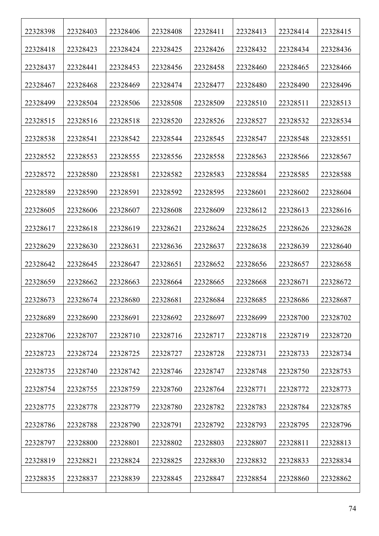| 22328398 | 22328403 | 22328406 | 22328408 | 22328411 | 22328413 | 22328414 | 22328415 |
|----------|----------|----------|----------|----------|----------|----------|----------|
| 22328418 | 22328423 | 22328424 | 22328425 | 22328426 | 22328432 | 22328434 | 22328436 |
| 22328437 | 22328441 | 22328453 | 22328456 | 22328458 | 22328460 | 22328465 | 22328466 |
| 22328467 | 22328468 | 22328469 | 22328474 | 22328477 | 22328480 | 22328490 | 22328496 |
| 22328499 | 22328504 | 22328506 | 22328508 | 22328509 | 22328510 | 22328511 | 22328513 |
| 22328515 | 22328516 | 22328518 | 22328520 | 22328526 | 22328527 | 22328532 | 22328534 |
| 22328538 | 22328541 | 22328542 | 22328544 | 22328545 | 22328547 | 22328548 | 22328551 |
| 22328552 | 22328553 | 22328555 | 22328556 | 22328558 | 22328563 | 22328566 | 22328567 |
| 22328572 | 22328580 | 22328581 | 22328582 | 22328583 | 22328584 | 22328585 | 22328588 |
| 22328589 | 22328590 | 22328591 | 22328592 | 22328595 | 22328601 | 22328602 | 22328604 |
| 22328605 | 22328606 | 22328607 | 22328608 | 22328609 | 22328612 | 22328613 | 22328616 |
| 22328617 | 22328618 | 22328619 | 22328621 | 22328624 | 22328625 | 22328626 | 22328628 |
| 22328629 | 22328630 | 22328631 | 22328636 | 22328637 | 22328638 | 22328639 | 22328640 |
| 22328642 | 22328645 | 22328647 | 22328651 | 22328652 | 22328656 | 22328657 | 22328658 |
| 22328659 | 22328662 | 22328663 | 22328664 | 22328665 | 22328668 | 22328671 | 22328672 |
| 22328673 | 22328674 | 22328680 | 22328681 | 22328684 | 22328685 | 22328686 | 22328687 |
| 22328689 | 22328690 | 22328691 | 22328692 | 22328697 | 22328699 | 22328700 | 22328702 |
| 22328706 | 22328707 | 22328710 | 22328716 | 22328717 | 22328718 | 22328719 | 22328720 |
| 22328723 | 22328724 | 22328725 | 22328727 | 22328728 | 22328731 | 22328733 | 22328734 |
| 22328735 | 22328740 | 22328742 | 22328746 | 22328747 | 22328748 | 22328750 | 22328753 |
| 22328754 | 22328755 | 22328759 | 22328760 | 22328764 | 22328771 | 22328772 | 22328773 |
| 22328775 | 22328778 | 22328779 | 22328780 | 22328782 | 22328783 | 22328784 | 22328785 |
| 22328786 | 22328788 | 22328790 | 22328791 | 22328792 | 22328793 | 22328795 | 22328796 |
| 22328797 | 22328800 | 22328801 | 22328802 | 22328803 | 22328807 | 22328811 | 22328813 |
| 22328819 | 22328821 | 22328824 | 22328825 | 22328830 | 22328832 | 22328833 | 22328834 |
| 22328835 | 22328837 | 22328839 | 22328845 | 22328847 | 22328854 | 22328860 | 22328862 |
|          |          |          |          |          |          |          |          |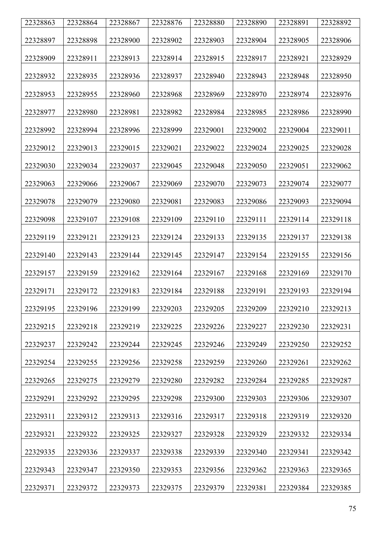| 22328863 | 22328864 | 22328867 | 22328876 | 22328880 | 22328890 | 22328891 | 22328892 |
|----------|----------|----------|----------|----------|----------|----------|----------|
|          |          |          |          |          |          |          |          |
| 22328897 | 22328898 | 22328900 | 22328902 | 22328903 | 22328904 | 22328905 | 22328906 |
| 22328909 | 22328911 | 22328913 | 22328914 | 22328915 | 22328917 | 22328921 | 22328929 |
| 22328932 | 22328935 | 22328936 | 22328937 | 22328940 | 22328943 | 22328948 | 22328950 |
| 22328953 | 22328955 | 22328960 | 22328968 | 22328969 | 22328970 | 22328974 | 22328976 |
| 22328977 | 22328980 | 22328981 | 22328982 | 22328984 | 22328985 | 22328986 | 22328990 |
| 22328992 | 22328994 | 22328996 | 22328999 | 22329001 | 22329002 | 22329004 | 22329011 |
| 22329012 | 22329013 | 22329015 | 22329021 | 22329022 | 22329024 | 22329025 | 22329028 |
| 22329030 | 22329034 | 22329037 | 22329045 | 22329048 | 22329050 | 22329051 | 22329062 |
| 22329063 | 22329066 | 22329067 | 22329069 | 22329070 | 22329073 | 22329074 | 22329077 |
| 22329078 | 22329079 | 22329080 | 22329081 | 22329083 | 22329086 | 22329093 | 22329094 |
| 22329098 | 22329107 | 22329108 | 22329109 | 22329110 | 22329111 | 22329114 | 22329118 |
| 22329119 | 22329121 | 22329123 | 22329124 | 22329133 | 22329135 | 22329137 | 22329138 |
| 22329140 | 22329143 | 22329144 | 22329145 | 22329147 | 22329154 | 22329155 | 22329156 |
| 22329157 | 22329159 | 22329162 | 22329164 | 22329167 | 22329168 | 22329169 | 22329170 |
| 22329171 | 22329172 | 22329183 | 22329184 | 22329188 | 22329191 | 22329193 | 22329194 |
| 22329195 | 22329196 | 22329199 | 22329203 | 22329205 | 22329209 | 22329210 | 22329213 |
| 22329215 | 22329218 | 22329219 | 22329225 | 22329226 | 22329227 | 22329230 | 22329231 |
| 22329237 | 22329242 | 22329244 | 22329245 | 22329246 | 22329249 | 22329250 | 22329252 |
| 22329254 | 22329255 | 22329256 | 22329258 | 22329259 | 22329260 | 22329261 | 22329262 |
| 22329265 | 22329275 | 22329279 | 22329280 | 22329282 | 22329284 | 22329285 | 22329287 |
| 22329291 | 22329292 | 22329295 | 22329298 | 22329300 | 22329303 | 22329306 | 22329307 |
| 22329311 | 22329312 | 22329313 | 22329316 | 22329317 | 22329318 | 22329319 | 22329320 |
| 22329321 | 22329322 | 22329325 | 22329327 | 22329328 | 22329329 | 22329332 | 22329334 |
| 22329335 | 22329336 | 22329337 | 22329338 | 22329339 | 22329340 | 22329341 | 22329342 |
| 22329343 | 22329347 | 22329350 | 22329353 | 22329356 | 22329362 | 22329363 | 22329365 |
| 22329371 | 22329372 | 22329373 | 22329375 | 22329379 | 22329381 | 22329384 | 22329385 |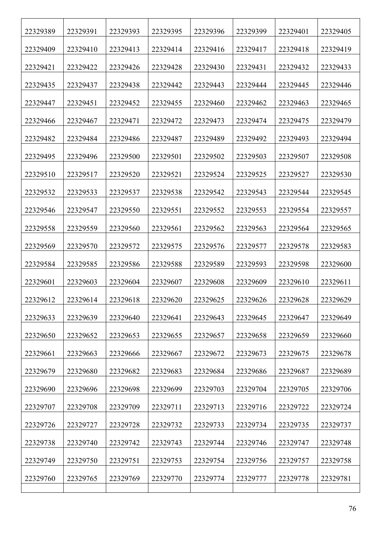| 22329389 | 22329391 | 22329393 | 22329395 | 22329396 | 22329399 | 22329401 | 22329405 |
|----------|----------|----------|----------|----------|----------|----------|----------|
| 22329409 | 22329410 | 22329413 | 22329414 | 22329416 | 22329417 | 22329418 | 22329419 |
| 22329421 | 22329422 | 22329426 | 22329428 | 22329430 | 22329431 | 22329432 | 22329433 |
| 22329435 | 22329437 | 22329438 | 22329442 | 22329443 | 22329444 | 22329445 | 22329446 |
| 22329447 | 22329451 | 22329452 | 22329455 | 22329460 | 22329462 | 22329463 | 22329465 |
| 22329466 | 22329467 | 22329471 | 22329472 | 22329473 | 22329474 | 22329475 | 22329479 |
| 22329482 | 22329484 | 22329486 | 22329487 | 22329489 | 22329492 | 22329493 | 22329494 |
| 22329495 | 22329496 | 22329500 | 22329501 | 22329502 | 22329503 | 22329507 | 22329508 |
| 22329510 | 22329517 | 22329520 | 22329521 | 22329524 | 22329525 | 22329527 | 22329530 |
| 22329532 | 22329533 | 22329537 | 22329538 | 22329542 | 22329543 | 22329544 | 22329545 |
| 22329546 | 22329547 | 22329550 | 22329551 | 22329552 | 22329553 | 22329554 | 22329557 |
| 22329558 | 22329559 | 22329560 | 22329561 | 22329562 | 22329563 | 22329564 | 22329565 |
| 22329569 | 22329570 | 22329572 | 22329575 | 22329576 | 22329577 | 22329578 | 22329583 |
| 22329584 | 22329585 | 22329586 | 22329588 | 22329589 | 22329593 | 22329598 | 22329600 |
| 22329601 | 22329603 | 22329604 | 22329607 | 22329608 | 22329609 | 22329610 | 22329611 |
| 22329612 | 22329614 | 22329618 | 22329620 | 22329625 | 22329626 | 22329628 | 22329629 |
| 22329633 | 22329639 | 22329640 | 22329641 | 22329643 | 22329645 | 22329647 | 22329649 |
| 22329650 | 22329652 | 22329653 | 22329655 | 22329657 | 22329658 | 22329659 | 22329660 |
| 22329661 | 22329663 | 22329666 | 22329667 | 22329672 | 22329673 | 22329675 | 22329678 |
| 22329679 | 22329680 | 22329682 | 22329683 | 22329684 | 22329686 | 22329687 | 22329689 |
| 22329690 | 22329696 | 22329698 | 22329699 | 22329703 | 22329704 | 22329705 | 22329706 |
| 22329707 | 22329708 | 22329709 | 22329711 | 22329713 | 22329716 | 22329722 | 22329724 |
| 22329726 | 22329727 | 22329728 | 22329732 | 22329733 | 22329734 | 22329735 | 22329737 |
| 22329738 | 22329740 | 22329742 | 22329743 | 22329744 | 22329746 | 22329747 | 22329748 |
| 22329749 | 22329750 | 22329751 | 22329753 | 22329754 | 22329756 | 22329757 | 22329758 |
| 22329760 | 22329765 | 22329769 | 22329770 | 22329774 | 22329777 | 22329778 | 22329781 |
|          |          |          |          |          |          |          |          |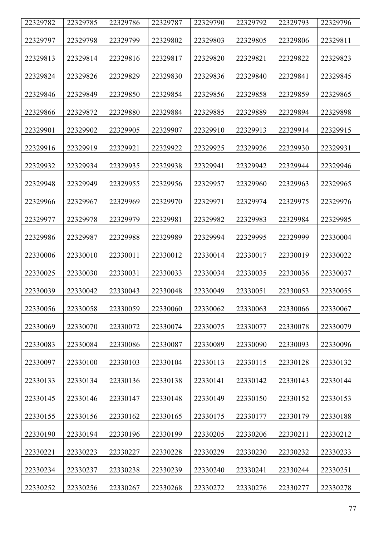| 22329782 | 22329785 | 22329786 | 22329787 | 22329790 | 22329792 | 22329793 | 22329796 |
|----------|----------|----------|----------|----------|----------|----------|----------|
| 22329797 | 22329798 | 22329799 | 22329802 | 22329803 | 22329805 | 22329806 | 22329811 |
| 22329813 | 22329814 | 22329816 | 22329817 | 22329820 | 22329821 | 22329822 | 22329823 |
| 22329824 | 22329826 | 22329829 | 22329830 | 22329836 | 22329840 | 22329841 | 22329845 |
| 22329846 | 22329849 | 22329850 | 22329854 | 22329856 | 22329858 | 22329859 | 22329865 |
| 22329866 | 22329872 | 22329880 | 22329884 | 22329885 | 22329889 | 22329894 | 22329898 |
| 22329901 | 22329902 | 22329905 | 22329907 | 22329910 | 22329913 | 22329914 | 22329915 |
| 22329916 | 22329919 | 22329921 | 22329922 | 22329925 | 22329926 | 22329930 | 22329931 |
| 22329932 | 22329934 | 22329935 | 22329938 | 22329941 | 22329942 | 22329944 | 22329946 |
| 22329948 | 22329949 | 22329955 | 22329956 | 22329957 | 22329960 | 22329963 | 22329965 |
| 22329966 | 22329967 | 22329969 | 22329970 | 22329971 | 22329974 | 22329975 | 22329976 |
| 22329977 | 22329978 | 22329979 | 22329981 | 22329982 | 22329983 | 22329984 | 22329985 |
| 22329986 | 22329987 | 22329988 | 22329989 | 22329994 | 22329995 | 22329999 | 22330004 |
| 22330006 | 22330010 | 22330011 | 22330012 | 22330014 | 22330017 | 22330019 | 22330022 |
| 22330025 | 22330030 | 22330031 | 22330033 | 22330034 | 22330035 | 22330036 | 22330037 |
| 22330039 | 22330042 | 22330043 | 22330048 | 22330049 | 22330051 | 22330053 | 22330055 |
| 22330056 | 22330058 | 22330059 | 22330060 | 22330062 | 22330063 | 22330066 | 22330067 |
| 22330069 | 22330070 | 22330072 | 22330074 | 22330075 | 22330077 | 22330078 | 22330079 |
| 22330083 | 22330084 | 22330086 | 22330087 | 22330089 | 22330090 | 22330093 | 22330096 |
| 22330097 | 22330100 | 22330103 | 22330104 | 22330113 | 22330115 | 22330128 | 22330132 |
| 22330133 | 22330134 | 22330136 | 22330138 | 22330141 | 22330142 | 22330143 | 22330144 |
| 22330145 | 22330146 | 22330147 | 22330148 | 22330149 | 22330150 | 22330152 | 22330153 |
| 22330155 | 22330156 | 22330162 | 22330165 | 22330175 | 22330177 | 22330179 | 22330188 |
| 22330190 | 22330194 | 22330196 | 22330199 | 22330205 | 22330206 | 22330211 | 22330212 |
| 22330221 | 22330223 | 22330227 | 22330228 | 22330229 | 22330230 | 22330232 | 22330233 |
| 22330234 | 22330237 | 22330238 | 22330239 | 22330240 | 22330241 | 22330244 | 22330251 |
| 22330252 | 22330256 | 22330267 | 22330268 | 22330272 | 22330276 | 22330277 | 22330278 |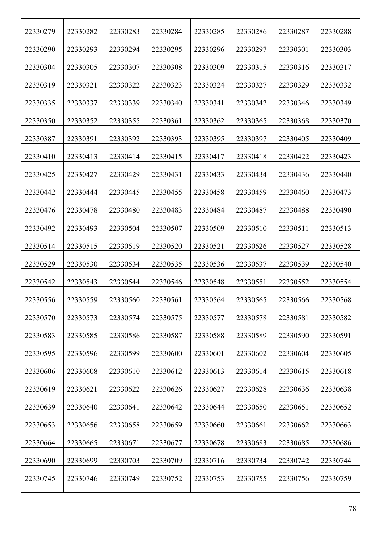| 22330279 | 22330282 | 22330283 | 22330284 | 22330285 | 22330286 | 22330287 | 22330288 |
|----------|----------|----------|----------|----------|----------|----------|----------|
| 22330290 | 22330293 | 22330294 | 22330295 | 22330296 | 22330297 | 22330301 | 22330303 |
| 22330304 | 22330305 | 22330307 | 22330308 | 22330309 | 22330315 | 22330316 | 22330317 |
| 22330319 | 22330321 | 22330322 | 22330323 | 22330324 | 22330327 | 22330329 | 22330332 |
| 22330335 | 22330337 | 22330339 | 22330340 | 22330341 | 22330342 | 22330346 | 22330349 |
| 22330350 | 22330352 | 22330355 | 22330361 | 22330362 | 22330365 | 22330368 | 22330370 |
| 22330387 | 22330391 | 22330392 | 22330393 | 22330395 | 22330397 | 22330405 | 22330409 |
| 22330410 | 22330413 | 22330414 | 22330415 | 22330417 | 22330418 | 22330422 | 22330423 |
| 22330425 | 22330427 | 22330429 | 22330431 | 22330433 | 22330434 | 22330436 | 22330440 |
| 22330442 | 22330444 | 22330445 | 22330455 | 22330458 | 22330459 | 22330460 | 22330473 |
| 22330476 | 22330478 | 22330480 | 22330483 | 22330484 | 22330487 | 22330488 | 22330490 |
| 22330492 | 22330493 | 22330504 | 22330507 | 22330509 | 22330510 | 22330511 | 22330513 |
| 22330514 | 22330515 | 22330519 | 22330520 | 22330521 | 22330526 | 22330527 | 22330528 |
| 22330529 | 22330530 | 22330534 | 22330535 | 22330536 | 22330537 | 22330539 | 22330540 |
| 22330542 | 22330543 | 22330544 | 22330546 | 22330548 | 22330551 | 22330552 | 22330554 |
| 22330556 | 22330559 | 22330560 | 22330561 | 22330564 | 22330565 | 22330566 | 22330568 |
| 22330570 | 22330573 | 22330574 | 22330575 | 22330577 | 22330578 | 22330581 | 22330582 |
| 22330583 | 22330585 | 22330586 | 22330587 | 22330588 | 22330589 | 22330590 | 22330591 |
| 22330595 | 22330596 | 22330599 | 22330600 | 22330601 | 22330602 | 22330604 | 22330605 |
| 22330606 | 22330608 | 22330610 | 22330612 | 22330613 | 22330614 | 22330615 | 22330618 |
| 22330619 | 22330621 | 22330622 | 22330626 | 22330627 | 22330628 | 22330636 | 22330638 |
| 22330639 | 22330640 | 22330641 | 22330642 | 22330644 | 22330650 | 22330651 | 22330652 |
| 22330653 | 22330656 | 22330658 | 22330659 | 22330660 | 22330661 | 22330662 | 22330663 |
| 22330664 | 22330665 | 22330671 | 22330677 | 22330678 | 22330683 | 22330685 | 22330686 |
| 22330690 | 22330699 | 22330703 | 22330709 | 22330716 | 22330734 | 22330742 | 22330744 |
| 22330745 | 22330746 | 22330749 | 22330752 | 22330753 | 22330755 | 22330756 | 22330759 |
|          |          |          |          |          |          |          |          |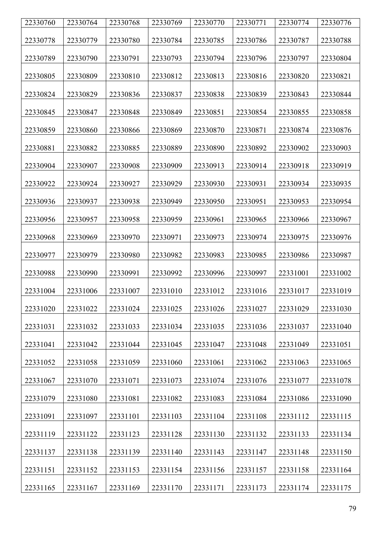| 22330760 | 22330764 | 22330768 | 22330769 | 22330770 | 22330771 | 22330774 | 22330776 |
|----------|----------|----------|----------|----------|----------|----------|----------|
| 22330778 | 22330779 | 22330780 | 22330784 | 22330785 | 22330786 | 22330787 | 22330788 |
| 22330789 | 22330790 | 22330791 | 22330793 | 22330794 | 22330796 | 22330797 | 22330804 |
| 22330805 | 22330809 | 22330810 | 22330812 | 22330813 | 22330816 | 22330820 | 22330821 |
| 22330824 | 22330829 | 22330836 | 22330837 | 22330838 | 22330839 | 22330843 | 22330844 |
| 22330845 | 22330847 | 22330848 | 22330849 | 22330851 | 22330854 | 22330855 | 22330858 |
| 22330859 | 22330860 | 22330866 | 22330869 | 22330870 | 22330871 | 22330874 | 22330876 |
| 22330881 | 22330882 | 22330885 | 22330889 | 22330890 | 22330892 | 22330902 | 22330903 |
| 22330904 | 22330907 | 22330908 | 22330909 | 22330913 | 22330914 | 22330918 | 22330919 |
| 22330922 | 22330924 | 22330927 | 22330929 | 22330930 | 22330931 | 22330934 | 22330935 |
| 22330936 | 22330937 | 22330938 | 22330949 | 22330950 | 22330951 | 22330953 | 22330954 |
| 22330956 | 22330957 | 22330958 | 22330959 | 22330961 | 22330965 | 22330966 | 22330967 |
| 22330968 | 22330969 | 22330970 | 22330971 | 22330973 | 22330974 | 22330975 | 22330976 |
| 22330977 | 22330979 | 22330980 | 22330982 | 22330983 | 22330985 | 22330986 | 22330987 |
| 22330988 | 22330990 | 22330991 | 22330992 | 22330996 | 22330997 | 22331001 | 22331002 |
| 22331004 | 22331006 | 22331007 | 22331010 | 22331012 | 22331016 | 22331017 | 22331019 |
| 22331020 | 22331022 | 22331024 | 22331025 | 22331026 | 22331027 | 22331029 | 22331030 |
| 22331031 | 22331032 | 22331033 | 22331034 | 22331035 | 22331036 | 22331037 | 22331040 |
| 22331041 | 22331042 | 22331044 | 22331045 | 22331047 | 22331048 | 22331049 | 22331051 |
| 22331052 | 22331058 | 22331059 | 22331060 | 22331061 | 22331062 | 22331063 | 22331065 |
| 22331067 | 22331070 | 22331071 | 22331073 | 22331074 | 22331076 | 22331077 | 22331078 |
| 22331079 | 22331080 | 22331081 | 22331082 | 22331083 | 22331084 | 22331086 | 22331090 |
| 22331091 | 22331097 | 22331101 | 22331103 | 22331104 | 22331108 | 22331112 | 22331115 |
| 22331119 | 22331122 | 22331123 | 22331128 | 22331130 | 22331132 | 22331133 | 22331134 |
| 22331137 | 22331138 | 22331139 | 22331140 | 22331143 | 22331147 | 22331148 | 22331150 |
| 22331151 | 22331152 | 22331153 | 22331154 | 22331156 | 22331157 | 22331158 | 22331164 |
| 22331165 | 22331167 | 22331169 | 22331170 | 22331171 | 22331173 | 22331174 | 22331175 |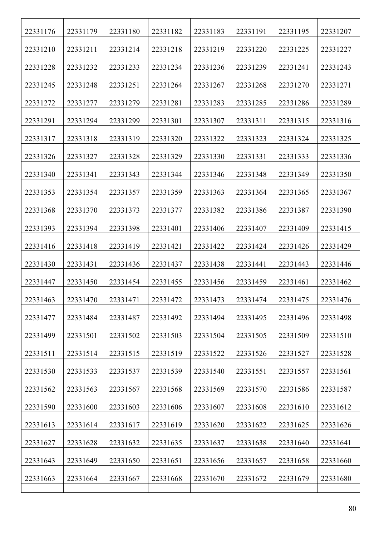| 22331176 | 22331179 | 22331180 | 22331182 | 22331183 | 22331191 | 22331195 | 22331207 |
|----------|----------|----------|----------|----------|----------|----------|----------|
| 22331210 | 22331211 | 22331214 | 22331218 | 22331219 | 22331220 | 22331225 | 22331227 |
| 22331228 | 22331232 | 22331233 | 22331234 | 22331236 | 22331239 | 22331241 | 22331243 |
| 22331245 | 22331248 | 22331251 | 22331264 | 22331267 | 22331268 | 22331270 | 22331271 |
| 22331272 | 22331277 | 22331279 | 22331281 | 22331283 | 22331285 | 22331286 | 22331289 |
| 22331291 | 22331294 | 22331299 | 22331301 | 22331307 | 22331311 | 22331315 | 22331316 |
| 22331317 | 22331318 | 22331319 | 22331320 | 22331322 | 22331323 | 22331324 | 22331325 |
| 22331326 | 22331327 | 22331328 | 22331329 | 22331330 | 22331331 | 22331333 | 22331336 |
| 22331340 | 22331341 | 22331343 | 22331344 | 22331346 | 22331348 | 22331349 | 22331350 |
| 22331353 | 22331354 | 22331357 | 22331359 | 22331363 | 22331364 | 22331365 | 22331367 |
| 22331368 | 22331370 | 22331373 | 22331377 | 22331382 | 22331386 | 22331387 | 22331390 |
| 22331393 | 22331394 | 22331398 | 22331401 | 22331406 | 22331407 | 22331409 | 22331415 |
| 22331416 | 22331418 | 22331419 | 22331421 | 22331422 | 22331424 | 22331426 | 22331429 |
| 22331430 | 22331431 | 22331436 | 22331437 | 22331438 | 22331441 | 22331443 | 22331446 |
| 22331447 | 22331450 | 22331454 | 22331455 | 22331456 | 22331459 | 22331461 | 22331462 |
| 22331463 | 22331470 | 22331471 | 22331472 | 22331473 | 22331474 | 22331475 | 22331476 |
| 22331477 | 22331484 | 22331487 | 22331492 | 22331494 | 22331495 | 22331496 | 22331498 |
| 22331499 | 22331501 | 22331502 | 22331503 | 22331504 | 22331505 | 22331509 | 22331510 |
| 22331511 | 22331514 | 22331515 | 22331519 | 22331522 | 22331526 | 22331527 | 22331528 |
| 22331530 | 22331533 | 22331537 | 22331539 | 22331540 | 22331551 | 22331557 | 22331561 |
| 22331562 | 22331563 | 22331567 | 22331568 | 22331569 | 22331570 | 22331586 | 22331587 |
| 22331590 | 22331600 | 22331603 | 22331606 | 22331607 | 22331608 | 22331610 | 22331612 |
| 22331613 | 22331614 | 22331617 | 22331619 | 22331620 | 22331622 | 22331625 | 22331626 |
| 22331627 | 22331628 | 22331632 | 22331635 | 22331637 | 22331638 | 22331640 | 22331641 |
| 22331643 | 22331649 | 22331650 | 22331651 | 22331656 | 22331657 | 22331658 | 22331660 |
| 22331663 | 22331664 | 22331667 | 22331668 | 22331670 | 22331672 | 22331679 | 22331680 |
|          |          |          |          |          |          |          |          |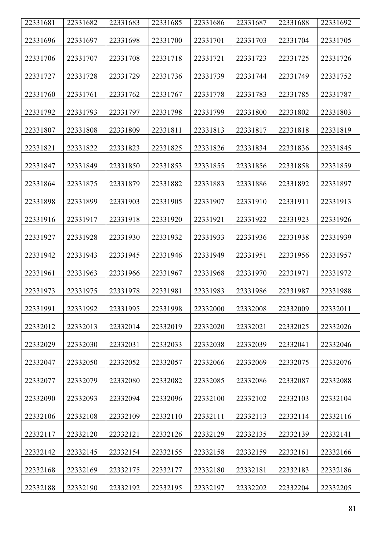| 22331681 | 22331682 | 22331683 | 22331685 | 22331686 | 22331687 | 22331688 | 22331692 |
|----------|----------|----------|----------|----------|----------|----------|----------|
| 22331696 | 22331697 | 22331698 | 22331700 | 22331701 | 22331703 | 22331704 | 22331705 |
| 22331706 | 22331707 | 22331708 | 22331718 | 22331721 | 22331723 | 22331725 | 22331726 |
| 22331727 | 22331728 | 22331729 | 22331736 | 22331739 | 22331744 | 22331749 | 22331752 |
| 22331760 | 22331761 | 22331762 | 22331767 | 22331778 | 22331783 | 22331785 | 22331787 |
| 22331792 | 22331793 | 22331797 | 22331798 | 22331799 | 22331800 | 22331802 | 22331803 |
| 22331807 | 22331808 | 22331809 | 22331811 | 22331813 | 22331817 | 22331818 | 22331819 |
| 22331821 | 22331822 | 22331823 | 22331825 | 22331826 | 22331834 | 22331836 | 22331845 |
| 22331847 | 22331849 | 22331850 | 22331853 | 22331855 | 22331856 | 22331858 | 22331859 |
| 22331864 | 22331875 | 22331879 | 22331882 | 22331883 | 22331886 | 22331892 | 22331897 |
| 22331898 | 22331899 | 22331903 | 22331905 | 22331907 | 22331910 | 22331911 | 22331913 |
| 22331916 | 22331917 | 22331918 | 22331920 | 22331921 | 22331922 | 22331923 | 22331926 |
| 22331927 | 22331928 | 22331930 | 22331932 | 22331933 | 22331936 | 22331938 | 22331939 |
| 22331942 | 22331943 | 22331945 | 22331946 | 22331949 | 22331951 | 22331956 | 22331957 |
| 22331961 | 22331963 | 22331966 | 22331967 | 22331968 | 22331970 | 22331971 | 22331972 |
| 22331973 | 22331975 | 22331978 | 22331981 | 22331983 | 22331986 | 22331987 | 22331988 |
| 22331991 | 22331992 | 22331995 | 22331998 | 22332000 | 22332008 | 22332009 | 22332011 |
| 22332012 | 22332013 | 22332014 | 22332019 | 22332020 | 22332021 | 22332025 | 22332026 |
| 22332029 | 22332030 | 22332031 | 22332033 | 22332038 | 22332039 | 22332041 | 22332046 |
| 22332047 | 22332050 | 22332052 | 22332057 | 22332066 | 22332069 | 22332075 | 22332076 |
| 22332077 | 22332079 | 22332080 | 22332082 | 22332085 | 22332086 | 22332087 | 22332088 |
| 22332090 | 22332093 | 22332094 | 22332096 | 22332100 | 22332102 | 22332103 | 22332104 |
| 22332106 | 22332108 | 22332109 | 22332110 | 22332111 | 22332113 | 22332114 | 22332116 |
| 22332117 | 22332120 | 22332121 | 22332126 | 22332129 | 22332135 | 22332139 | 22332141 |
| 22332142 | 22332145 | 22332154 | 22332155 | 22332158 | 22332159 | 22332161 | 22332166 |
| 22332168 | 22332169 | 22332175 | 22332177 | 22332180 | 22332181 | 22332183 | 22332186 |
| 22332188 | 22332190 | 22332192 | 22332195 | 22332197 | 22332202 | 22332204 | 22332205 |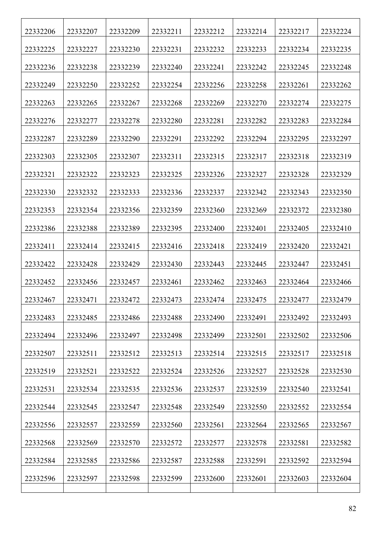| 22332206 | 22332207 | 22332209 | 22332211 | 22332212 | 22332214 | 22332217 | 22332224 |
|----------|----------|----------|----------|----------|----------|----------|----------|
| 22332225 | 22332227 | 22332230 | 22332231 | 22332232 | 22332233 | 22332234 | 22332235 |
| 22332236 | 22332238 | 22332239 | 22332240 | 22332241 | 22332242 | 22332245 | 22332248 |
| 22332249 | 22332250 | 22332252 | 22332254 | 22332256 | 22332258 | 22332261 | 22332262 |
| 22332263 | 22332265 | 22332267 | 22332268 | 22332269 | 22332270 | 22332274 | 22332275 |
| 22332276 | 22332277 | 22332278 | 22332280 | 22332281 | 22332282 | 22332283 | 22332284 |
| 22332287 | 22332289 | 22332290 | 22332291 | 22332292 | 22332294 | 22332295 | 22332297 |
| 22332303 | 22332305 | 22332307 | 22332311 | 22332315 | 22332317 | 22332318 | 22332319 |
| 22332321 | 22332322 | 22332323 | 22332325 | 22332326 | 22332327 | 22332328 | 22332329 |
| 22332330 | 22332332 | 22332333 | 22332336 | 22332337 | 22332342 | 22332343 | 22332350 |
| 22332353 | 22332354 | 22332356 | 22332359 | 22332360 | 22332369 | 22332372 | 22332380 |
| 22332386 | 22332388 | 22332389 | 22332395 | 22332400 | 22332401 | 22332405 | 22332410 |
| 22332411 | 22332414 | 22332415 | 22332416 | 22332418 | 22332419 | 22332420 | 22332421 |
| 22332422 | 22332428 | 22332429 | 22332430 | 22332443 | 22332445 | 22332447 | 22332451 |
| 22332452 | 22332456 | 22332457 | 22332461 | 22332462 | 22332463 | 22332464 | 22332466 |
| 22332467 | 22332471 | 22332472 | 22332473 | 22332474 | 22332475 | 22332477 | 22332479 |
| 22332483 | 22332485 | 22332486 | 22332488 | 22332490 | 22332491 | 22332492 | 22332493 |
| 22332494 | 22332496 | 22332497 | 22332498 | 22332499 | 22332501 | 22332502 | 22332506 |
| 22332507 | 22332511 | 22332512 | 22332513 | 22332514 | 22332515 | 22332517 | 22332518 |
| 22332519 | 22332521 | 22332522 | 22332524 | 22332526 | 22332527 | 22332528 | 22332530 |
| 22332531 | 22332534 | 22332535 | 22332536 | 22332537 | 22332539 | 22332540 | 22332541 |
| 22332544 | 22332545 | 22332547 | 22332548 | 22332549 | 22332550 | 22332552 | 22332554 |
| 22332556 | 22332557 | 22332559 | 22332560 | 22332561 | 22332564 | 22332565 | 22332567 |
| 22332568 | 22332569 | 22332570 | 22332572 | 22332577 | 22332578 | 22332581 | 22332582 |
| 22332584 | 22332585 | 22332586 | 22332587 | 22332588 | 22332591 | 22332592 | 22332594 |
| 22332596 | 22332597 | 22332598 | 22332599 | 22332600 | 22332601 | 22332603 | 22332604 |
|          |          |          |          |          |          |          |          |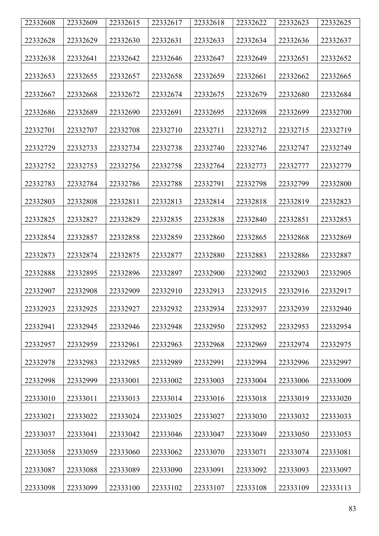| 22332608 | 22332609 | 22332615 | 22332617 | 22332618 | 22332622 | 22332623 | 22332625 |
|----------|----------|----------|----------|----------|----------|----------|----------|
| 22332628 | 22332629 | 22332630 | 22332631 | 22332633 | 22332634 | 22332636 | 22332637 |
|          |          |          |          |          |          |          |          |
| 22332638 | 22332641 | 22332642 | 22332646 | 22332647 | 22332649 | 22332651 | 22332652 |
| 22332653 | 22332655 | 22332657 | 22332658 | 22332659 | 22332661 | 22332662 | 22332665 |
| 22332667 | 22332668 | 22332672 | 22332674 | 22332675 | 22332679 | 22332680 | 22332684 |
| 22332686 | 22332689 | 22332690 | 22332691 | 22332695 | 22332698 | 22332699 | 22332700 |
| 22332701 | 22332707 | 22332708 | 22332710 | 22332711 | 22332712 | 22332715 | 22332719 |
| 22332729 | 22332733 | 22332734 | 22332738 | 22332740 | 22332746 | 22332747 | 22332749 |
| 22332752 | 22332753 | 22332756 | 22332758 | 22332764 | 22332773 | 22332777 | 22332779 |
| 22332783 | 22332784 | 22332786 | 22332788 | 22332791 | 22332798 | 22332799 | 22332800 |
| 22332803 | 22332808 | 22332811 | 22332813 | 22332814 | 22332818 | 22332819 | 22332823 |
| 22332825 | 22332827 | 22332829 | 22332835 | 22332838 | 22332840 | 22332851 | 22332853 |
| 22332854 | 22332857 | 22332858 | 22332859 | 22332860 | 22332865 | 22332868 | 22332869 |
| 22332873 | 22332874 | 22332875 | 22332877 | 22332880 | 22332883 | 22332886 | 22332887 |
| 22332888 | 22332895 | 22332896 | 22332897 | 22332900 | 22332902 | 22332903 | 22332905 |
| 22332907 | 22332908 | 22332909 | 22332910 | 22332913 | 22332915 | 22332916 | 22332917 |
| 22332923 | 22332925 | 22332927 | 22332932 | 22332934 | 22332937 | 22332939 | 22332940 |
| 22332941 | 22332945 | 22332946 | 22332948 | 22332950 | 22332952 | 22332953 | 22332954 |
| 22332957 | 22332959 | 22332961 | 22332963 | 22332968 | 22332969 | 22332974 | 22332975 |
| 22332978 | 22332983 | 22332985 | 22332989 | 22332991 | 22332994 | 22332996 | 22332997 |
| 22332998 | 22332999 | 22333001 | 22333002 | 22333003 | 22333004 | 22333006 | 22333009 |
| 22333010 | 22333011 | 22333013 | 22333014 | 22333016 | 22333018 | 22333019 | 22333020 |
| 22333021 | 22333022 | 22333024 | 22333025 | 22333027 | 22333030 | 22333032 | 22333033 |
| 22333037 | 22333041 | 22333042 | 22333046 | 22333047 | 22333049 | 22333050 | 22333053 |
| 22333058 | 22333059 | 22333060 | 22333062 | 22333070 | 22333071 | 22333074 | 22333081 |
| 22333087 | 22333088 | 22333089 | 22333090 | 22333091 | 22333092 | 22333093 | 22333097 |
| 22333098 | 22333099 | 22333100 | 22333102 | 22333107 | 22333108 | 22333109 | 22333113 |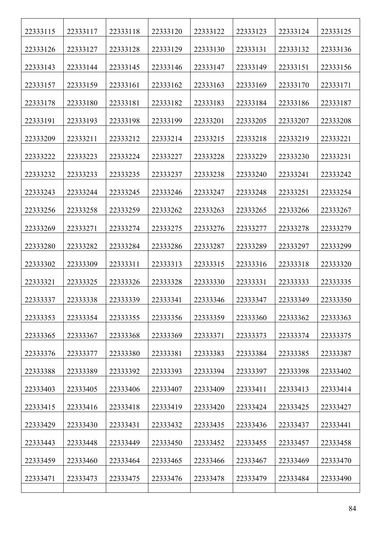| 22333115 | 22333117 | 22333118 | 22333120 | 22333122 | 22333123 | 22333124 | 22333125 |
|----------|----------|----------|----------|----------|----------|----------|----------|
| 22333126 | 22333127 | 22333128 | 22333129 | 22333130 | 22333131 | 22333132 | 22333136 |
| 22333143 | 22333144 | 22333145 | 22333146 | 22333147 | 22333149 | 22333151 | 22333156 |
| 22333157 | 22333159 | 22333161 | 22333162 | 22333163 | 22333169 | 22333170 | 22333171 |
| 22333178 | 22333180 | 22333181 | 22333182 | 22333183 | 22333184 | 22333186 | 22333187 |
| 22333191 | 22333193 | 22333198 | 22333199 | 22333201 | 22333205 | 22333207 | 22333208 |
| 22333209 | 22333211 | 22333212 | 22333214 | 22333215 | 22333218 | 22333219 | 22333221 |
| 22333222 | 22333223 | 22333224 | 22333227 | 22333228 | 22333229 | 22333230 | 22333231 |
| 22333232 | 22333233 | 22333235 | 22333237 | 22333238 | 22333240 | 22333241 | 22333242 |
| 22333243 | 22333244 | 22333245 | 22333246 | 22333247 | 22333248 | 22333251 | 22333254 |
| 22333256 | 22333258 | 22333259 | 22333262 | 22333263 | 22333265 | 22333266 | 22333267 |
| 22333269 | 22333271 | 22333274 | 22333275 | 22333276 | 22333277 | 22333278 | 22333279 |
| 22333280 | 22333282 | 22333284 | 22333286 | 22333287 | 22333289 | 22333297 | 22333299 |
| 22333302 | 22333309 | 22333311 | 22333313 | 22333315 | 22333316 | 22333318 | 22333320 |
| 22333321 | 22333325 | 22333326 | 22333328 | 22333330 | 22333331 | 22333333 | 22333335 |
| 22333337 | 22333338 | 22333339 | 22333341 | 22333346 | 22333347 | 22333349 | 22333350 |
| 22333353 | 22333354 | 22333355 | 22333356 | 22333359 | 22333360 | 22333362 | 22333363 |
| 22333365 | 22333367 | 22333368 | 22333369 | 22333371 | 22333373 | 22333374 | 22333375 |
| 22333376 | 22333377 | 22333380 | 22333381 | 22333383 | 22333384 | 22333385 | 22333387 |
| 22333388 | 22333389 | 22333392 | 22333393 | 22333394 | 22333397 | 22333398 | 22333402 |
| 22333403 | 22333405 | 22333406 | 22333407 | 22333409 | 22333411 | 22333413 | 22333414 |
| 22333415 | 22333416 | 22333418 | 22333419 | 22333420 | 22333424 | 22333425 | 22333427 |
| 22333429 | 22333430 | 22333431 | 22333432 | 22333435 | 22333436 | 22333437 | 22333441 |
| 22333443 | 22333448 | 22333449 | 22333450 | 22333452 | 22333455 | 22333457 | 22333458 |
| 22333459 | 22333460 | 22333464 | 22333465 | 22333466 | 22333467 | 22333469 | 22333470 |
| 22333471 | 22333473 | 22333475 | 22333476 | 22333478 | 22333479 | 22333484 | 22333490 |
|          |          |          |          |          |          |          |          |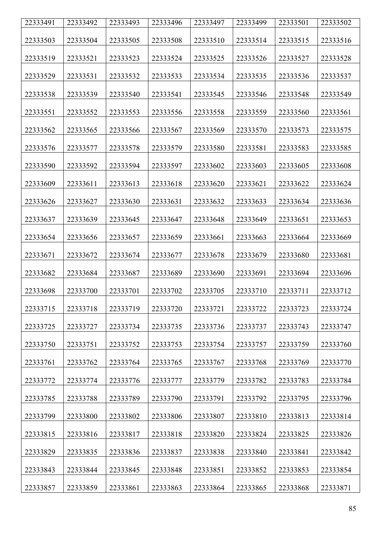| 22333491 | 22333492 | 22333493 | 22333496 | 22333497 | 22333499 | 22333501 | 22333502 |
|----------|----------|----------|----------|----------|----------|----------|----------|
| 22333503 | 22333504 | 22333505 | 22333508 | 22333510 | 22333514 | 22333515 | 22333516 |
|          |          |          |          |          |          |          |          |
| 22333519 | 22333521 | 22333523 | 22333524 | 22333525 | 22333526 | 22333527 | 22333528 |
| 22333529 | 22333531 | 22333532 | 22333533 | 22333534 | 22333535 | 22333536 | 22333537 |
| 22333538 | 22333539 | 22333540 | 22333541 | 22333545 | 22333546 | 22333548 | 22333549 |
| 22333551 | 22333552 | 22333553 | 22333556 | 22333558 | 22333559 | 22333560 | 22333561 |
| 22333562 | 22333565 | 22333566 | 22333567 | 22333569 | 22333570 | 22333573 | 22333575 |
| 22333576 | 22333577 | 22333578 | 22333579 | 22333580 | 22333581 | 22333583 | 22333585 |
| 22333590 | 22333592 | 22333594 | 22333597 | 22333602 | 22333603 | 22333605 | 22333608 |
| 22333609 | 22333611 | 22333613 | 22333618 | 22333620 | 22333621 | 22333622 | 22333624 |
| 22333626 | 22333627 | 22333630 | 22333631 | 22333632 | 22333633 | 22333634 | 22333636 |
| 22333637 | 22333639 | 22333645 | 22333647 | 22333648 | 22333649 | 22333651 | 22333653 |
| 22333654 | 22333656 | 22333657 | 22333659 | 22333661 | 22333663 | 22333664 | 22333669 |
| 22333671 | 22333672 | 22333674 | 22333677 | 22333678 | 22333679 | 22333680 | 22333681 |
| 22333682 | 22333684 | 22333687 | 22333689 | 22333690 | 22333691 | 22333694 | 22333696 |
| 22333698 | 22333700 | 22333701 | 22333702 | 22333705 | 22333710 | 22333711 | 22333712 |
| 22333715 | 22333718 | 22333719 | 22333720 | 22333721 | 22333722 | 22333723 | 22333724 |
| 22333725 | 22333727 | 22333734 | 22333735 | 22333736 | 22333737 | 22333743 | 22333747 |
| 22333750 | 22333751 | 22333752 | 22333753 | 22333754 | 22333757 | 22333759 | 22333760 |
| 22333761 | 22333762 | 22333764 | 22333765 | 22333767 | 22333768 | 22333769 | 22333770 |
| 22333772 | 22333774 | 22333776 | 22333777 | 22333779 | 22333782 | 22333783 | 22333784 |
| 22333785 | 22333788 | 22333789 | 22333790 | 22333791 | 22333792 | 22333795 | 22333796 |
| 22333799 | 22333800 | 22333802 | 22333806 | 22333807 | 22333810 | 22333813 | 22333814 |
| 22333815 | 22333816 | 22333817 | 22333818 | 22333820 | 22333824 | 22333825 | 22333826 |
| 22333829 | 22333835 | 22333836 | 22333837 | 22333838 | 22333840 | 22333841 | 22333842 |
| 22333843 | 22333844 | 22333845 | 22333848 | 22333851 | 22333852 | 22333853 | 22333854 |
| 22333857 | 22333859 | 22333861 | 22333863 | 22333864 | 22333865 | 22333868 | 22333871 |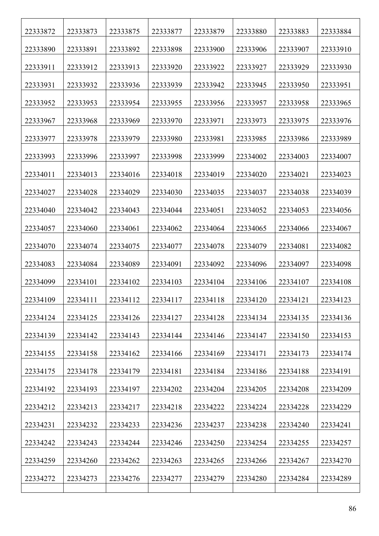| 22333872 | 22333873 | 22333875 | 22333877 | 22333879 | 22333880 | 22333883 | 22333884 |
|----------|----------|----------|----------|----------|----------|----------|----------|
| 22333890 | 22333891 | 22333892 | 22333898 | 22333900 | 22333906 | 22333907 | 22333910 |
| 22333911 | 22333912 | 22333913 | 22333920 | 22333922 | 22333927 | 22333929 | 22333930 |
| 22333931 | 22333932 | 22333936 | 22333939 | 22333942 | 22333945 | 22333950 | 22333951 |
| 22333952 | 22333953 | 22333954 | 22333955 | 22333956 | 22333957 | 22333958 | 22333965 |
| 22333967 | 22333968 | 22333969 | 22333970 | 22333971 | 22333973 | 22333975 | 22333976 |
| 22333977 | 22333978 | 22333979 | 22333980 | 22333981 | 22333985 | 22333986 | 22333989 |
| 22333993 | 22333996 | 22333997 | 22333998 | 22333999 | 22334002 | 22334003 | 22334007 |
| 22334011 | 22334013 | 22334016 | 22334018 | 22334019 | 22334020 | 22334021 | 22334023 |
| 22334027 | 22334028 | 22334029 | 22334030 | 22334035 | 22334037 | 22334038 | 22334039 |
| 22334040 | 22334042 | 22334043 | 22334044 | 22334051 | 22334052 | 22334053 | 22334056 |
| 22334057 | 22334060 | 22334061 | 22334062 | 22334064 | 22334065 | 22334066 | 22334067 |
| 22334070 | 22334074 | 22334075 | 22334077 | 22334078 | 22334079 | 22334081 | 22334082 |
| 22334083 | 22334084 | 22334089 | 22334091 | 22334092 | 22334096 | 22334097 | 22334098 |
| 22334099 | 22334101 | 22334102 | 22334103 | 22334104 | 22334106 | 22334107 | 22334108 |
| 22334109 | 22334111 | 22334112 | 22334117 | 22334118 | 22334120 | 22334121 | 22334123 |
| 22334124 | 22334125 | 22334126 | 22334127 | 22334128 | 22334134 | 22334135 | 22334136 |
| 22334139 | 22334142 | 22334143 | 22334144 | 22334146 | 22334147 | 22334150 | 22334153 |
| 22334155 | 22334158 | 22334162 | 22334166 | 22334169 | 22334171 | 22334173 | 22334174 |
| 22334175 | 22334178 | 22334179 | 22334181 | 22334184 | 22334186 | 22334188 | 22334191 |
| 22334192 | 22334193 | 22334197 | 22334202 | 22334204 | 22334205 | 22334208 | 22334209 |
| 22334212 | 22334213 | 22334217 | 22334218 | 22334222 | 22334224 | 22334228 | 22334229 |
| 22334231 | 22334232 | 22334233 | 22334236 | 22334237 | 22334238 | 22334240 | 22334241 |
| 22334242 | 22334243 | 22334244 | 22334246 | 22334250 | 22334254 | 22334255 | 22334257 |
| 22334259 | 22334260 | 22334262 | 22334263 | 22334265 | 22334266 | 22334267 | 22334270 |
| 22334272 | 22334273 | 22334276 | 22334277 | 22334279 | 22334280 | 22334284 | 22334289 |
|          |          |          |          |          |          |          |          |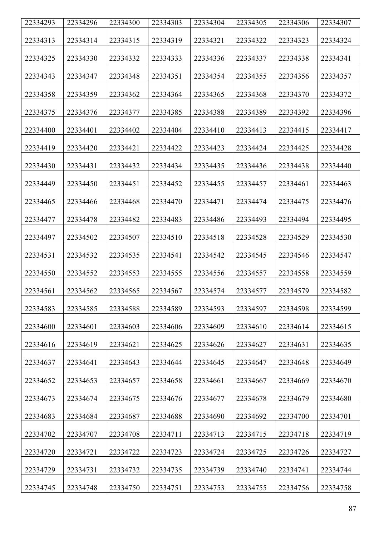| 22334293 | 22334296 | 22334300 | 22334303 | 22334304 | 22334305 | 22334306 | 22334307 |
|----------|----------|----------|----------|----------|----------|----------|----------|
| 22334313 | 22334314 | 22334315 | 22334319 | 22334321 | 22334322 | 22334323 | 22334324 |
| 22334325 | 22334330 | 22334332 | 22334333 | 22334336 | 22334337 | 22334338 | 22334341 |
| 22334343 | 22334347 | 22334348 | 22334351 | 22334354 | 22334355 | 22334356 | 22334357 |
| 22334358 | 22334359 | 22334362 | 22334364 | 22334365 | 22334368 | 22334370 | 22334372 |
| 22334375 | 22334376 | 22334377 | 22334385 | 22334388 | 22334389 | 22334392 | 22334396 |
| 22334400 | 22334401 | 22334402 | 22334404 | 22334410 | 22334413 | 22334415 | 22334417 |
| 22334419 | 22334420 | 22334421 | 22334422 | 22334423 | 22334424 | 22334425 | 22334428 |
| 22334430 | 22334431 | 22334432 | 22334434 | 22334435 | 22334436 | 22334438 | 22334440 |
| 22334449 | 22334450 | 22334451 | 22334452 | 22334455 | 22334457 | 22334461 | 22334463 |
| 22334465 | 22334466 | 22334468 | 22334470 | 22334471 | 22334474 | 22334475 | 22334476 |
| 22334477 | 22334478 | 22334482 | 22334483 | 22334486 | 22334493 | 22334494 | 22334495 |
| 22334497 | 22334502 | 22334507 | 22334510 | 22334518 | 22334528 | 22334529 | 22334530 |
| 22334531 | 22334532 | 22334535 | 22334541 | 22334542 | 22334545 | 22334546 | 22334547 |
| 22334550 | 22334552 | 22334553 | 22334555 | 22334556 | 22334557 | 22334558 | 22334559 |
| 22334561 | 22334562 | 22334565 | 22334567 | 22334574 | 22334577 | 22334579 | 22334582 |
| 22334583 | 22334585 | 22334588 | 22334589 | 22334593 | 22334597 | 22334598 | 22334599 |
| 22334600 | 22334601 | 22334603 | 22334606 | 22334609 | 22334610 | 22334614 | 22334615 |
| 22334616 | 22334619 | 22334621 | 22334625 | 22334626 | 22334627 | 22334631 | 22334635 |
| 22334637 | 22334641 | 22334643 | 22334644 | 22334645 | 22334647 | 22334648 | 22334649 |
| 22334652 | 22334653 | 22334657 | 22334658 | 22334661 | 22334667 | 22334669 | 22334670 |
| 22334673 | 22334674 | 22334675 | 22334676 | 22334677 | 22334678 | 22334679 | 22334680 |
| 22334683 | 22334684 | 22334687 | 22334688 | 22334690 | 22334692 | 22334700 | 22334701 |
| 22334702 | 22334707 | 22334708 | 22334711 | 22334713 | 22334715 | 22334718 | 22334719 |
| 22334720 | 22334721 | 22334722 | 22334723 | 22334724 | 22334725 | 22334726 | 22334727 |
| 22334729 | 22334731 | 22334732 | 22334735 | 22334739 | 22334740 | 22334741 | 22334744 |
| 22334745 | 22334748 | 22334750 | 22334751 | 22334753 | 22334755 | 22334756 | 22334758 |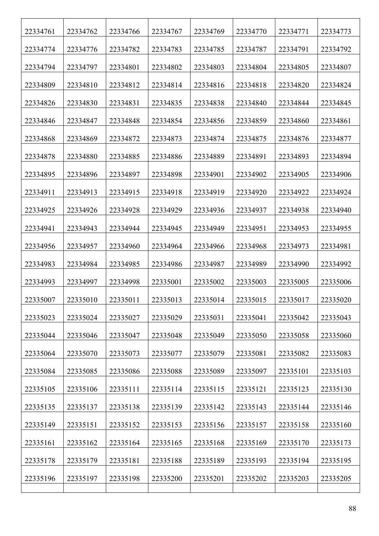| 22334761 | 22334762 | 22334766 | 22334767 | 22334769 | 22334770 | 22334771 | 22334773 |
|----------|----------|----------|----------|----------|----------|----------|----------|
| 22334774 | 22334776 | 22334782 | 22334783 | 22334785 | 22334787 | 22334791 | 22334792 |
| 22334794 | 22334797 | 22334801 | 22334802 | 22334803 | 22334804 | 22334805 | 22334807 |
| 22334809 | 22334810 | 22334812 | 22334814 | 22334816 | 22334818 | 22334820 | 22334824 |
| 22334826 | 22334830 | 22334831 | 22334835 | 22334838 | 22334840 | 22334844 | 22334845 |
| 22334846 | 22334847 | 22334848 | 22334854 | 22334856 | 22334859 | 22334860 | 22334861 |
| 22334868 | 22334869 | 22334872 | 22334873 | 22334874 | 22334875 | 22334876 | 22334877 |
| 22334878 | 22334880 | 22334885 | 22334886 | 22334889 | 22334891 | 22334893 | 22334894 |
| 22334895 | 22334896 | 22334897 | 22334898 | 22334901 | 22334902 | 22334905 | 22334906 |
| 22334911 | 22334913 | 22334915 | 22334918 | 22334919 | 22334920 | 22334922 | 22334924 |
| 22334925 | 22334926 | 22334928 | 22334929 | 22334936 | 22334937 | 22334938 | 22334940 |
| 22334941 | 22334943 | 22334944 | 22334945 | 22334949 | 22334951 | 22334953 | 22334955 |
| 22334956 | 22334957 | 22334960 | 22334964 | 22334966 | 22334968 | 22334973 | 22334981 |
| 22334983 | 22334984 | 22334985 | 22334986 | 22334987 | 22334989 | 22334990 | 22334992 |
| 22334993 | 22334997 | 22334998 | 22335001 | 22335002 | 22335003 | 22335005 | 22335006 |
| 22335007 | 22335010 | 22335011 | 22335013 | 22335014 | 22335015 | 22335017 | 22335020 |
| 22335023 | 22335024 | 22335027 | 22335029 | 22335031 | 22335041 | 22335042 | 22335043 |
| 22335044 | 22335046 | 22335047 | 22335048 | 22335049 | 22335050 | 22335058 | 22335060 |
| 22335064 | 22335070 | 22335073 | 22335077 | 22335079 | 22335081 | 22335082 | 22335083 |
| 22335084 | 22335085 | 22335086 | 22335088 | 22335089 | 22335097 | 22335101 | 22335103 |
| 22335105 | 22335106 | 22335111 | 22335114 | 22335115 | 22335121 | 22335123 | 22335130 |
| 22335135 | 22335137 | 22335138 | 22335139 | 22335142 | 22335143 | 22335144 | 22335146 |
| 22335149 | 22335151 | 22335152 | 22335153 | 22335156 | 22335157 | 22335158 | 22335160 |
| 22335161 | 22335162 | 22335164 | 22335165 | 22335168 | 22335169 | 22335170 | 22335173 |
| 22335178 | 22335179 | 22335181 | 22335188 | 22335189 | 22335193 | 22335194 | 22335195 |
| 22335196 | 22335197 | 22335198 | 22335200 | 22335201 | 22335202 | 22335203 | 22335205 |
|          |          |          |          |          |          |          |          |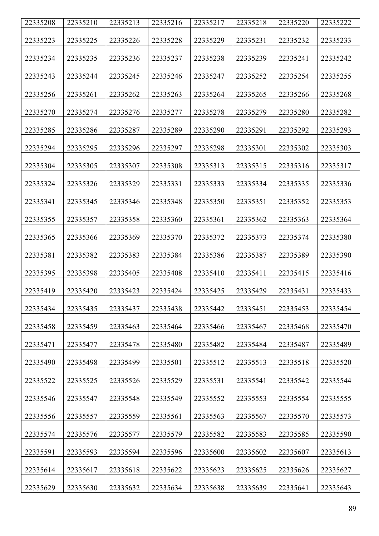| 22335208 | 22335210 | 22335213 | 22335216 | 22335217 | 22335218 | 22335220 | 22335222 |
|----------|----------|----------|----------|----------|----------|----------|----------|
| 22335223 | 22335225 | 22335226 | 22335228 | 22335229 | 22335231 | 22335232 | 22335233 |
| 22335234 | 22335235 | 22335236 | 22335237 | 22335238 | 22335239 | 22335241 | 22335242 |
| 22335243 | 22335244 | 22335245 | 22335246 | 22335247 | 22335252 | 22335254 | 22335255 |
| 22335256 | 22335261 | 22335262 | 22335263 | 22335264 | 22335265 | 22335266 | 22335268 |
| 22335270 | 22335274 | 22335276 | 22335277 | 22335278 | 22335279 | 22335280 | 22335282 |
| 22335285 | 22335286 | 22335287 | 22335289 | 22335290 | 22335291 | 22335292 | 22335293 |
| 22335294 | 22335295 | 22335296 | 22335297 | 22335298 | 22335301 | 22335302 | 22335303 |
| 22335304 | 22335305 | 22335307 | 22335308 | 22335313 | 22335315 | 22335316 | 22335317 |
| 22335324 | 22335326 | 22335329 | 22335331 | 22335333 | 22335334 | 22335335 | 22335336 |
| 22335341 | 22335345 | 22335346 | 22335348 | 22335350 | 22335351 | 22335352 | 22335353 |
| 22335355 | 22335357 | 22335358 | 22335360 | 22335361 | 22335362 | 22335363 | 22335364 |
| 22335365 | 22335366 | 22335369 | 22335370 | 22335372 | 22335373 | 22335374 | 22335380 |
| 22335381 | 22335382 | 22335383 | 22335384 | 22335386 | 22335387 | 22335389 | 22335390 |
| 22335395 | 22335398 | 22335405 | 22335408 | 22335410 | 22335411 | 22335415 | 22335416 |
| 22335419 | 22335420 | 22335423 | 22335424 | 22335425 | 22335429 | 22335431 | 22335433 |
| 22335434 | 22335435 | 22335437 | 22335438 | 22335442 | 22335451 | 22335453 | 22335454 |
| 22335458 | 22335459 | 22335463 | 22335464 | 22335466 | 22335467 | 22335468 | 22335470 |
| 22335471 | 22335477 | 22335478 | 22335480 | 22335482 | 22335484 | 22335487 | 22335489 |
| 22335490 | 22335498 | 22335499 | 22335501 | 22335512 | 22335513 | 22335518 | 22335520 |
| 22335522 | 22335525 | 22335526 | 22335529 | 22335531 | 22335541 | 22335542 | 22335544 |
| 22335546 | 22335547 | 22335548 | 22335549 | 22335552 | 22335553 | 22335554 | 22335555 |
| 22335556 | 22335557 | 22335559 | 22335561 | 22335563 | 22335567 | 22335570 | 22335573 |
| 22335574 | 22335576 | 22335577 | 22335579 | 22335582 | 22335583 | 22335585 | 22335590 |
| 22335591 | 22335593 | 22335594 | 22335596 | 22335600 | 22335602 | 22335607 | 22335613 |
| 22335614 | 22335617 | 22335618 | 22335622 | 22335623 | 22335625 | 22335626 | 22335627 |
| 22335629 | 22335630 | 22335632 | 22335634 | 22335638 | 22335639 | 22335641 | 22335643 |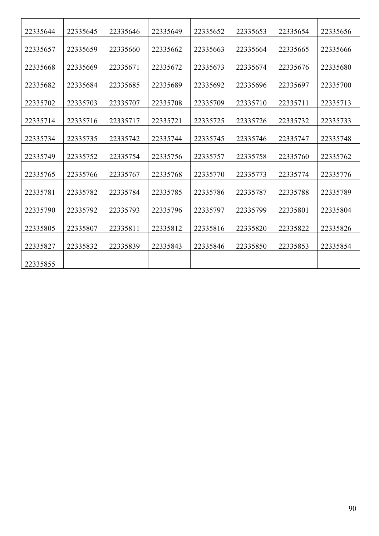| 22335644 | 22335645 | 22335646 | 22335649 | 22335652 | 22335653 | 22335654 | 22335656 |
|----------|----------|----------|----------|----------|----------|----------|----------|
| 22335657 | 22335659 | 22335660 | 22335662 | 22335663 | 22335664 | 22335665 | 22335666 |
| 22335668 | 22335669 | 22335671 | 22335672 | 22335673 | 22335674 | 22335676 | 22335680 |
| 22335682 | 22335684 | 22335685 | 22335689 | 22335692 | 22335696 | 22335697 | 22335700 |
| 22335702 | 22335703 | 22335707 | 22335708 | 22335709 | 22335710 | 22335711 | 22335713 |
| 22335714 | 22335716 | 22335717 | 22335721 | 22335725 | 22335726 | 22335732 | 22335733 |
|          |          |          |          |          |          |          |          |
| 22335734 | 22335735 | 22335742 | 22335744 | 22335745 | 22335746 | 22335747 | 22335748 |
| 22335749 | 22335752 | 22335754 | 22335756 | 22335757 | 22335758 | 22335760 | 22335762 |
| 22335765 | 22335766 | 22335767 | 22335768 | 22335770 | 22335773 | 22335774 | 22335776 |
| 22335781 | 22335782 | 22335784 | 22335785 | 22335786 | 22335787 | 22335788 | 22335789 |
| 22335790 | 22335792 | 22335793 | 22335796 | 22335797 | 22335799 | 22335801 | 22335804 |
| 22335805 | 22335807 | 22335811 | 22335812 | 22335816 | 22335820 | 22335822 | 22335826 |
| 22335827 | 22335832 | 22335839 | 22335843 | 22335846 | 22335850 | 22335853 | 22335854 |
| 22335855 |          |          |          |          |          |          |          |